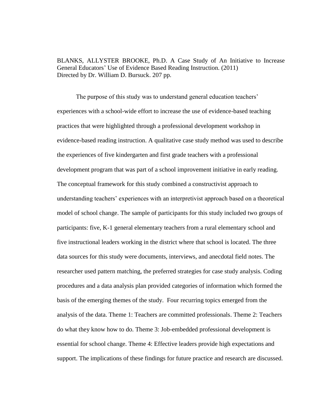BLANKS, ALLYSTER BROOKE, Ph.D. A Case Study of An Initiative to Increase General Educators' Use of Evidence Based Reading Instruction. (2011) Directed by Dr. William D. Bursuck. 207 pp.

The purpose of this study was to understand general education teachers' experiences with a school-wide effort to increase the use of evidence-based teaching practices that were highlighted through a professional development workshop in evidence-based reading instruction. A qualitative case study method was used to describe the experiences of five kindergarten and first grade teachers with a professional development program that was part of a school improvement initiative in early reading. The conceptual framework for this study combined a constructivist approach to understanding teachers' experiences with an interpretivist approach based on a theoretical model of school change. The sample of participants for this study included two groups of participants: five, K-1 general elementary teachers from a rural elementary school and five instructional leaders working in the district where that school is located. The three data sources for this study were documents, interviews, and anecdotal field notes. The researcher used pattern matching, the preferred strategies for case study analysis. Coding procedures and a data analysis plan provided categories of information which formed the basis of the emerging themes of the study. Four recurring topics emerged from the analysis of the data. Theme 1: Teachers are committed professionals. Theme 2: Teachers do what they know how to do. Theme 3: Job-embedded professional development is essential for school change. Theme 4: Effective leaders provide high expectations and support. The implications of these findings for future practice and research are discussed.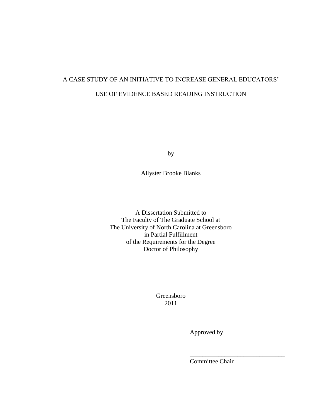# A CASE STUDY OF AN INITIATIVE TO INCREASE GENERAL EDUCATORS' USE OF EVIDENCE BASED READING INSTRUCTION

by

Allyster Brooke Blanks

A Dissertation Submitted to The Faculty of The Graduate School at The University of North Carolina at Greensboro in Partial Fulfillment of the Requirements for the Degree Doctor of Philosophy

> Greensboro 2011

> > Approved by

Committee Chair

\_\_\_\_\_\_\_\_\_\_\_\_\_\_\_\_\_\_\_\_\_\_\_\_\_\_\_\_\_\_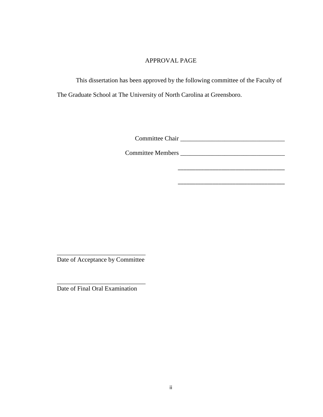# APPROVAL PAGE

This dissertation has been approved by the following committee of the Faculty of The Graduate School at The University of North Carolina at Greensboro.

Committee Chair \_\_\_\_\_\_\_\_\_\_\_\_\_\_\_\_\_\_\_\_\_\_\_\_\_\_\_\_\_\_\_\_\_

Committee Members \_\_\_\_\_\_\_\_\_\_\_\_\_\_\_\_\_\_\_\_\_\_\_\_\_\_\_\_\_\_\_\_\_

\_\_\_\_\_\_\_\_\_\_\_\_\_\_\_\_\_\_\_\_\_\_\_\_\_\_\_\_\_\_\_\_\_\_\_\_\_

\_\_\_\_\_\_\_\_\_\_\_\_\_\_\_\_\_\_\_\_\_\_\_\_\_\_\_\_ Date of Acceptance by Committee

\_\_\_\_\_\_\_\_\_\_\_\_\_\_\_\_\_\_\_\_\_\_\_\_\_\_\_\_ Date of Final Oral Examination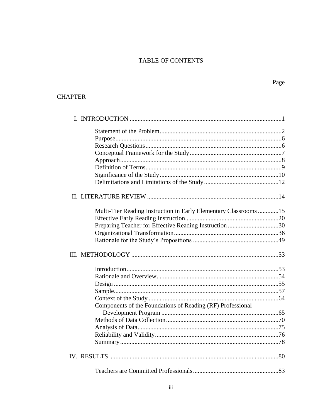# TABLE OF CONTENTS

# **CHAPTER**

| Multi-Tier Reading Instruction in Early Elementary Classrooms15 |  |
|-----------------------------------------------------------------|--|
|                                                                 |  |
| Preparing Teacher for Effective Reading Instruction 30          |  |
|                                                                 |  |
|                                                                 |  |
|                                                                 |  |
|                                                                 |  |
|                                                                 |  |
|                                                                 |  |
|                                                                 |  |
|                                                                 |  |
|                                                                 |  |
|                                                                 |  |
| Components of the Foundations of Reading (RF) Professional      |  |
|                                                                 |  |
|                                                                 |  |
|                                                                 |  |
|                                                                 |  |
|                                                                 |  |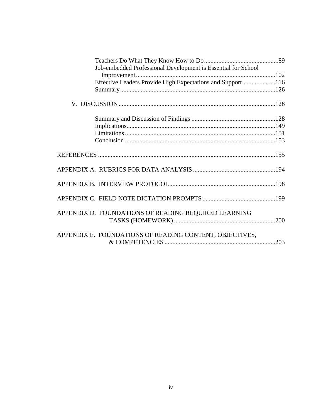| Job-embedded Professional Development is Essential for School |  |
|---------------------------------------------------------------|--|
|                                                               |  |
| Effective Leaders Provide High Expectations and Support116    |  |
|                                                               |  |
|                                                               |  |
|                                                               |  |
|                                                               |  |
|                                                               |  |
|                                                               |  |
|                                                               |  |
|                                                               |  |
|                                                               |  |
|                                                               |  |
| APPENDIX D. FOUNDATIONS OF READING REQUIRED LEARNING          |  |
| APPENDIX E. FOUNDATIONS OF READING CONTENT, OBJECTIVES,       |  |
|                                                               |  |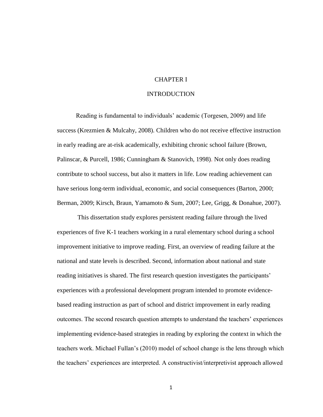# CHAPTER I

#### INTRODUCTION

Reading is fundamental to individuals' academic (Torgesen, 2009) and life success (Krezmien & Mulcahy, 2008). Children who do not receive effective instruction in early reading are at-risk academically, exhibiting chronic school failure (Brown, Palinscar, & Purcell, 1986; Cunningham & Stanovich, 1998). Not only does reading contribute to school success, but also it matters in life. Low reading achievement can have serious long-term individual, economic, and social consequences (Barton, 2000; Berman, 2009; Kirsch, Braun, Yamamoto & Sum, 2007; Lee, Grigg, & Donahue, 2007).

This dissertation study explores persistent reading failure through the lived experiences of five K-1 teachers working in a rural elementary school during a school improvement initiative to improve reading. First, an overview of reading failure at the national and state levels is described. Second, information about national and state reading initiatives is shared. The first research question investigates the participants' experiences with a professional development program intended to promote evidencebased reading instruction as part of school and district improvement in early reading outcomes. The second research question attempts to understand the teachers' experiences implementing evidence-based strategies in reading by exploring the context in which the teachers work. Michael Fullan's (2010) model of school change is the lens through which the teachers' experiences are interpreted. A constructivist/interpretivist approach allowed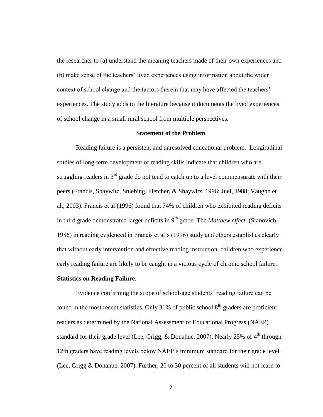the researcher to (a) understand the meaning teachers made of their own experiences and (b) make sense of the teachers' lived experiences using information about the wider context of school change and the factors therein that may have affected the teachers' experiences. The study adds to the literature because it documents the lived experiences of school change in a small rural school from multiple perspectives.

# **Statement of the Problem**

Reading failure is a persistent and unresolved educational problem. Longitudinal studies of long-term development of reading skills indicate that children who are struggling readers in  $3<sup>rd</sup>$  grade do not tend to catch up to a level commensurate with their peers (Francis, Shaywitz, Stuebing, Fletcher, & Shaywitz, 1996; Juel, 1988; Vaughn et al., 2003). Francis et al (1996) found that 74% of children who exhibited reading deficits in third grade demonstrated larger deficits in  $9<sup>th</sup>$  grade. The *Matthew effect* (Stanovich, 1986) in reading evidenced in Francis et al's (1996) study and others establishes clearly that without early intervention and effective reading instruction, children who experience early reading failure are likely to be caught in a vicious cycle of chronic school failure. **Statistics on Reading Failure**.

Evidence confirming the scope of school-age students' reading failure can be found in the most recent statistics. Only 31% of public school  $8<sup>th</sup>$  graders are proficient readers as determined by the National Assessment of Educational Progress (NAEP) standard for their grade level (Lee, Grigg, & Donahue, 2007). Nearly 25% of  $4<sup>th</sup>$  through 12th graders have reading levels below NAEP's minimum standard for their grade level (Lee, Grigg & Donahue, 2007). Further, 20 to 30 percent of all students will not learn to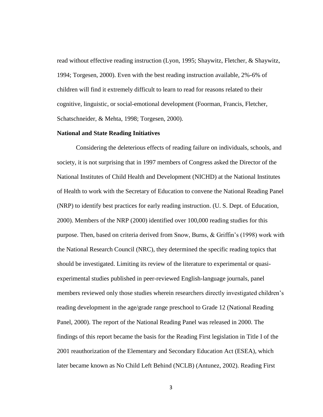read without effective reading instruction (Lyon, 1995; Shaywitz, Fletcher, & Shaywitz, 1994; Torgesen, 2000). Even with the best reading instruction available, 2%-6% of children will find it extremely difficult to learn to read for reasons related to their cognitive, linguistic, or social-emotional development (Foorman, Francis, Fletcher, Schatschneider, & Mehta, 1998; Torgesen, 2000).

#### **National and State Reading Initiatives**

Considering the deleterious effects of reading failure on individuals, schools, and society, it is not surprising that in 1997 members of Congress asked the Director of the National Institutes of Child Health and Development (NICHD) at the National Institutes of Health to work with the Secretary of Education to convene the National Reading Panel (NRP) to identify best practices for early reading instruction. (U. S. Dept. of Education, 2000). Members of the NRP (2000) identified over 100,000 reading studies for this purpose. Then, based on criteria derived from Snow, Burns, & Griffin's (1998) work with the National Research Council (NRC), they determined the specific reading topics that should be investigated. Limiting its review of the literature to experimental or quasiexperimental studies published in peer-reviewed English-language journals, panel members reviewed only those studies wherein researchers directly investigated children's reading development in the age/grade range preschool to Grade 12 (National Reading Panel, 2000). The report of the National Reading Panel was released in 2000. The findings of this report became the basis for the Reading First legislation in Title I of the 2001 reauthorization of the Elementary and Secondary Education Act (ESEA), which later became known as No Child Left Behind (NCLB) (Antunez, 2002). Reading First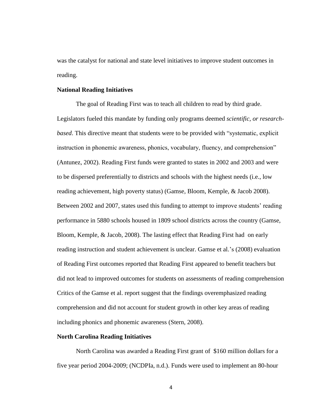was the catalyst for national and state level initiatives to improve student outcomes in reading.

#### **National Reading Initiatives**

The goal of Reading First was to teach all children to read by third grade. Legislators fueled this mandate by funding only programs deemed *scientific, or researchbased*. This directive meant that students were to be provided with "systematic, explicit instruction in phonemic awareness, phonics, vocabulary, fluency, and comprehension" (Antunez, 2002). Reading First funds were granted to states in 2002 and 2003 and were to be dispersed preferentially to districts and schools with the highest needs (i.e., low reading achievement, high poverty status) (Gamse, Bloom, Kemple, & Jacob 2008). Between 2002 and 2007, states used this funding to attempt to improve students' reading performance in 5880 schools housed in 1809 school districts across the country (Gamse, Bloom, Kemple, & Jacob, 2008). The lasting effect that Reading First had on early reading instruction and student achievement is unclear. Gamse et al.'s (2008) evaluation of Reading First outcomes reported that Reading First appeared to benefit teachers but did not lead to improved outcomes for students on assessments of reading comprehension Critics of the Gamse et al. report suggest that the findings overemphasized reading comprehension and did not account for student growth in other key areas of reading including phonics and phonemic awareness (Stern, 2008).

#### **North Carolina Reading Initiatives**

North Carolina was awarded a Reading First grant of \$160 million dollars for a five year period 2004-2009; (NCDPIa, n.d.). Funds were used to implement an 80-hour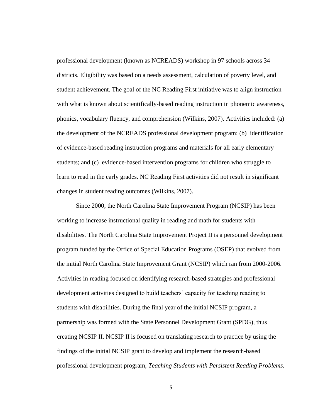professional development (known as NCREADS) workshop in 97 schools across 34 districts. Eligibility was based on a needs assessment, calculation of poverty level, and student achievement. The goal of the NC Reading First initiative was to align instruction with what is known about scientifically-based reading instruction in phonemic awareness, phonics, vocabulary fluency, and comprehension (Wilkins, 2007). Activities included: (a) the development of the NCREADS professional development program; (b) identification of evidence-based reading instruction programs and materials for all early elementary students; and (c) evidence-based intervention programs for children who struggle to learn to read in the early grades. NC Reading First activities did not result in significant changes in student reading outcomes (Wilkins, 2007).

Since 2000, the North Carolina State Improvement Program (NCSIP) has been working to increase instructional quality in reading and math for students with disabilities. The North Carolina State Improvement Project II is a personnel development program funded by the Office of Special Education Programs (OSEP) that evolved from the initial North Carolina State Improvement Grant (NCSIP) which ran from 2000-2006. Activities in reading focused on identifying research-based strategies and professional development activities designed to build teachers' capacity for teaching reading to students with disabilities. During the final year of the initial NCSIP program, a partnership was formed with the State Personnel Development Grant (SPDG), thus creating NCSIP II. NCSIP II is focused on translating research to practice by using the findings of the initial NCSIP grant to develop and implement the research-based professional development program, *Teaching Students with Persistent Reading Problems.*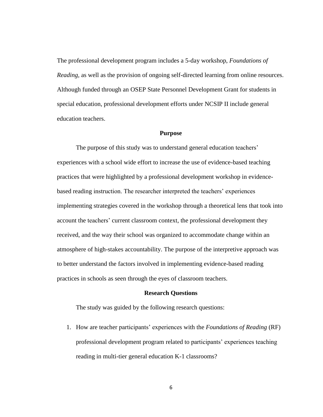The professional development program includes a 5-day workshop, *Foundations of Reading,* as well as the provision of ongoing self-directed learning from online resources. Although funded through an OSEP State Personnel Development Grant for students in special education, professional development efforts under NCSIP II include general education teachers.

#### **Purpose**

The purpose of this study was to understand general education teachers' experiences with a school wide effort to increase the use of evidence-based teaching practices that were highlighted by a professional development workshop in evidencebased reading instruction. The researcher interpreted the teachers' experiences implementing strategies covered in the workshop through a theoretical lens that took into account the teachers' current classroom context, the professional development they received, and the way their school was organized to accommodate change within an atmosphere of high-stakes accountability. The purpose of the interpretive approach was to better understand the factors involved in implementing evidence-based reading practices in schools as seen through the eyes of classroom teachers.

#### **Research Questions**

The study was guided by the following research questions:

1. How are teacher participants' experiences with the *Foundations of Reading* (RF) professional development program related to participants' experiences teaching reading in multi-tier general education K-1 classrooms?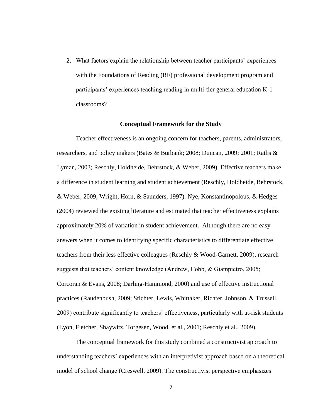2. What factors explain the relationship between teacher participants' experiences with the Foundations of Reading (RF) professional development program and participants' experiences teaching reading in multi-tier general education K-1 classrooms?

#### **Conceptual Framework for the Study**

Teacher effectiveness is an ongoing concern for teachers, parents, administrators, researchers, and policy makers (Bates & Burbank; 2008; Duncan, 2009; 2001; Raths & Lyman, 2003; Reschly, Holdheide, Behrstock, & Weber, 2009). Effective teachers make a difference in student learning and student achievement (Reschly, Holdheide, Behrstock, & Weber, 2009; Wright, Horn, & Saunders, 1997). Nye, Konstantinopolous, & Hedges (2004) reviewed the existing literature and estimated that teacher effectiveness explains approximately 20% of variation in student achievement. Although there are no easy answers when it comes to identifying specific characteristics to differentiate effective teachers from their less effective colleagues (Reschly & Wood-Garnett, 2009), research suggests that teachers' content knowledge (Andrew, Cobb, & Giampietro, 2005; Corcoran & Evans, 2008; Darling-Hammond, 2000) and use of effective instructional practices (Raudenbush, 2009; Stichter, Lewis, Whittaker, Richter, Johnson, & Trussell, 2009) contribute significantly to teachers' effectiveness, particularly with at-risk students (Lyon, Fletcher, Shaywitz, Torgesen, Wood, et al., 2001; Reschly et al., 2009).

The conceptual framework for this study combined a constructivist approach to understanding teachers' experiences with an interpretivist approach based on a theoretical model of school change (Creswell, 2009). The constructivist perspective emphasizes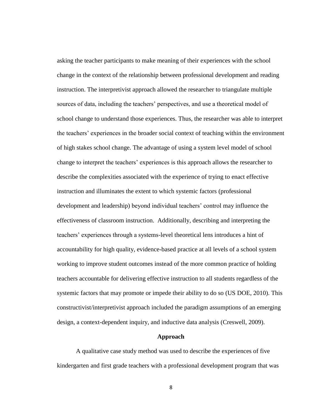asking the teacher participants to make meaning of their experiences with the school change in the context of the relationship between professional development and reading instruction. The interpretivist approach allowed the researcher to triangulate multiple sources of data, including the teachers' perspectives, and use a theoretical model of school change to understand those experiences. Thus, the researcher was able to interpret the teachers' experiences in the broader social context of teaching within the environment of high stakes school change. The advantage of using a system level model of school change to interpret the teachers' experiences is this approach allows the researcher to describe the complexities associated with the experience of trying to enact effective instruction and illuminates the extent to which systemic factors (professional development and leadership) beyond individual teachers' control may influence the effectiveness of classroom instruction. Additionally, describing and interpreting the teachers' experiences through a systems-level theoretical lens introduces a hint of accountability for high quality, evidence-based practice at all levels of a school system working to improve student outcomes instead of the more common practice of holding teachers accountable for delivering effective instruction to all students regardless of the systemic factors that may promote or impede their ability to do so (US DOE, 2010). This constructivist/interpretivist approach included the paradigm assumptions of an emerging design, a context-dependent inquiry, and inductive data analysis (Creswell, 2009).

#### **Approach**

A qualitative case study method was used to describe the experiences of five kindergarten and first grade teachers with a professional development program that was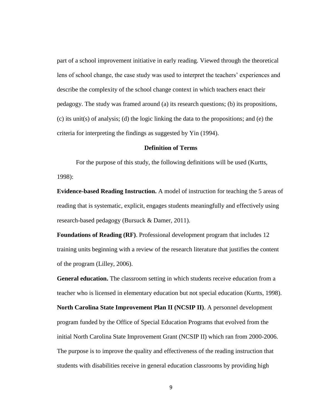part of a school improvement initiative in early reading. Viewed through the theoretical lens of school change, the case study was used to interpret the teachers' experiences and describe the complexity of the school change context in which teachers enact their pedagogy. The study was framed around (a) its research questions; (b) its propositions, (c) its unit(s) of analysis; (d) the logic linking the data to the propositions; and (e) the criteria for interpreting the findings as suggested by Yin (1994).

## **Definition of Terms**

For the purpose of this study, the following definitions will be used (Kurtts, 1998):

**Evidence-based Reading Instruction.** A model of instruction for teaching the 5 areas of reading that is systematic, explicit, engages students meaningfully and effectively using research-based pedagogy (Bursuck & Damer, 2011).

**Foundations of Reading (RF)**. Professional development program that includes 12 training units beginning with a review of the research literature that justifies the content of the program (Lilley, 2006).

**General education.** The classroom setting in which students receive education from a teacher who is licensed in elementary education but not special education (Kurtts, 1998).

**North Carolina State Improvement Plan II (NCSIP II)**. A personnel development program funded by the Office of Special Education Programs that evolved from the initial North Carolina State Improvement Grant (NCSIP II) which ran from 2000-2006. The purpose is to improve the quality and effectiveness of the reading instruction that students with disabilities receive in general education classrooms by providing high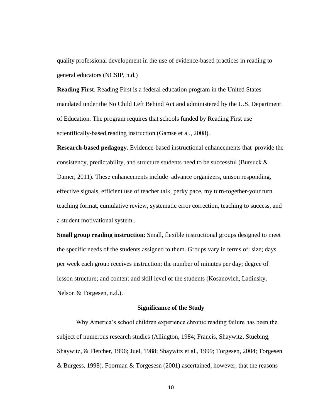quality professional development in the use of evidence-based practices in reading to general educators (NCSIP, n.d.)

**Reading First**. Reading First is a federal education program in the United States mandated under the No Child Left Behind Act and administered by the U.S. Department of Education. The program requires that schools funded by Reading First use scientifically-based reading instruction (Gamse et al., 2008).

**Research-based pedagogy**. Evidence-based instructional enhancements that provide the consistency, predictability, and structure students need to be successful (Bursuck  $\&$ Damer, 2011). These enhancements include advance organizers, unison responding, effective signals, efficient use of teacher talk, perky pace, my turn-together-your turn teaching format, cumulative review, systematic error correction, teaching to success, and a student motivational system..

**Small group reading instruction**: Small, flexible instructional groups designed to meet the specific needs of the students assigned to them. Groups vary in terms of: size; days per week each group receives instruction; the number of minutes per day; degree of lesson structure; and content and skill level of the students (Kosanovich, Ladinsky, Nelson & Torgesen, n.d.).

#### **Significance of the Study**

Why America's school children experience chronic reading failure has been the subject of numerous research studies (Allington, 1984; Francis, Shaywitz, Stuebing, Shaywitz, & Fletcher, 1996; Juel, 1988; Shaywitz et al., 1999; Torgesen, 2004; Torgesen & Burgess, 1998). Foorman & Torgesesn (2001) ascertained, however, that the reasons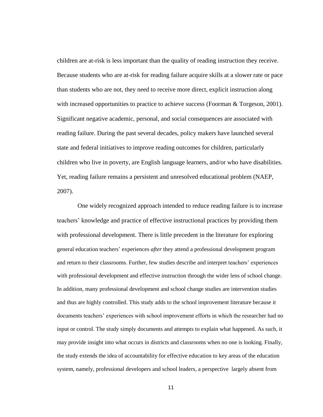children are at-risk is less important than the quality of reading instruction they receive. Because students who are at-risk for reading failure acquire skills at a slower rate or pace than students who are not, they need to receive more direct, explicit instruction along with increased opportunities to practice to achieve success (Foorman & Torgeson, 2001). Significant negative academic, personal, and social consequences are associated with reading failure. During the past several decades, policy makers have launched several state and federal initiatives to improve reading outcomes for children, particularly children who live in poverty, are English language learners, and/or who have disabilities. Yet, reading failure remains a persistent and unresolved educational problem (NAEP, 2007).

One widely recognized approach intended to reduce reading failure is to increase teachers' knowledge and practice of effective instructional practices by providing them with professional development. There is little precedent in the literature for exploring general education teachers' experiences *after* they attend a professional development program and return to their classrooms. Further, few studies describe and interpret teachers' experiences with professional development and effective instruction through the wider lens of school change. In addition, many professional development and school change studies are intervention studies and thus are highly controlled. This study adds to the school improvement literature because it documents teachers' experiences with school improvement efforts in which the researcher had no input or control. The study simply documents and attempts to explain what happened. As such, it may provide insight into what occurs in districts and classrooms when no one is looking. Finally, the study extends the idea of accountability for effective education to key areas of the education system, namely, professional developers and school leaders, a perspective largely absent from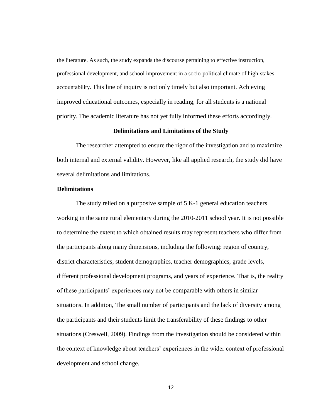the literature. As such, the study expands the discourse pertaining to effective instruction, professional development, and school improvement in a socio-political climate of high-stakes accountability. This line of inquiry is not only timely but also important. Achieving improved educational outcomes, especially in reading, for all students is a national priority. The academic literature has not yet fully informed these efforts accordingly.

#### **Delimitations and Limitations of the Study**

The researcher attempted to ensure the rigor of the investigation and to maximize both internal and external validity. However, like all applied research, the study did have several delimitations and limitations.

## **Delimitations**

The study relied on a purposive sample of 5 K-1 general education teachers working in the same rural elementary during the 2010-2011 school year. It is not possible to determine the extent to which obtained results may represent teachers who differ from the participants along many dimensions, including the following: region of country, district characteristics, student demographics, teacher demographics, grade levels, different professional development programs, and years of experience. That is, the reality of these participants' experiences may not be comparable with others in similar situations. In addition, The small number of participants and the lack of diversity among the participants and their students limit the transferability of these findings to other situations (Creswell, 2009). Findings from the investigation should be considered within the context of knowledge about teachers' experiences in the wider context of professional development and school change.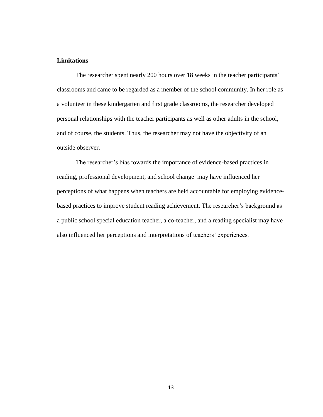## **Limitations**

The researcher spent nearly 200 hours over 18 weeks in the teacher participants' classrooms and came to be regarded as a member of the school community. In her role as a volunteer in these kindergarten and first grade classrooms, the researcher developed personal relationships with the teacher participants as well as other adults in the school, and of course, the students. Thus, the researcher may not have the objectivity of an outside observer.

The researcher's bias towards the importance of evidence-based practices in reading, professional development, and school change may have influenced her perceptions of what happens when teachers are held accountable for employing evidencebased practices to improve student reading achievement. The researcher's background as a public school special education teacher, a co-teacher, and a reading specialist may have also influenced her perceptions and interpretations of teachers' experiences.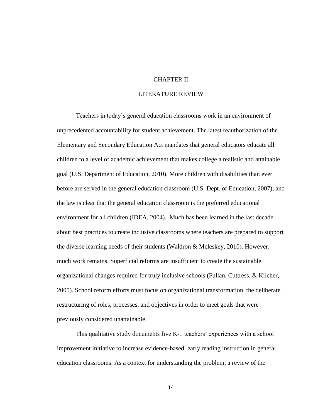# CHAPTER II

# LITERATURE REVIEW

Teachers in today's general education classrooms work in an environment of unprecedented accountability for student achievement. The latest reauthorization of the Elementary and Secondary Education Act mandates that general educators educate all children to a level of academic achievement that makes college a realistic and attainable goal (U.S. Department of Education, 2010). More children with disabilities than ever before are served in the general education classroom (U.S. Dept. of Education, 2007), and the law is clear that the general education classroom is the preferred educational environment for all children (IDEA, 2004). Much has been learned in the last decade about best practices to create inclusive classrooms where teachers are prepared to support the diverse learning needs of their students (Waldron & Mcleskey, 2010). However, much work remains. Superficial reforms are insufficient to create the sustainable organizational changes required for truly inclusive schools (Fullan, Cuttress, & Kilcher, 2005). School reform efforts must focus on organizational transformation, the deliberate restructuring of roles, processes, and objectives in order to meet goals that were previously considered unattainable.

This qualitative study documents five K-1 teachers' experiences with a school improvement initiative to increase evidence-based early reading instruction in general education classrooms. As a context for understanding the problem, a review of the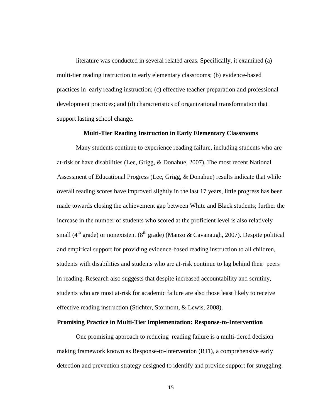literature was conducted in several related areas. Specifically, it examined (a) multi-tier reading instruction in early elementary classrooms; (b) evidence-based practices in early reading instruction; (c) effective teacher preparation and professional development practices; and (d) characteristics of organizational transformation that support lasting school change.

#### **Multi-Tier Reading Instruction in Early Elementary Classrooms**

Many students continue to experience reading failure, including students who are at-risk or have disabilities (Lee, Grigg, & Donahue, 2007). The most recent National Assessment of Educational Progress (Lee, Grigg, & Donahue) results indicate that while overall reading scores have improved slightly in the last 17 years, little progress has been made towards closing the achievement gap between White and Black students; further the increase in the number of students who scored at the proficient level is also relatively small (4<sup>th</sup> grade) or nonexistent (8<sup>th</sup> grade) (Manzo & Cavanaugh, 2007). Despite political and empirical support for providing evidence-based reading instruction to all children, students with disabilities and students who are at-risk continue to lag behind their peers in reading. Research also suggests that despite increased accountability and scrutiny, students who are most at-risk for academic failure are also those least likely to receive effective reading instruction (Stichter, Stormont, & Lewis, 2008).

#### **Promising Practice in Multi-Tier Implementation: Response-to-Intervention**

One promising approach to reducing reading failure is a multi-tiered decision making framework known as Response-to-Intervention (RTI), a comprehensive early detection and prevention strategy designed to identify and provide support for struggling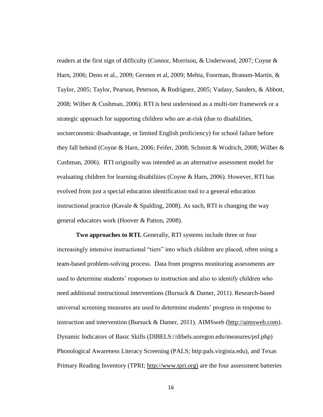readers at the first sign of difficulty (Connor, Morrison, & Underwood, 2007; Coyne & Harn, 2006; Deno et al., 2009; Gersten et al, 2009; Mehta, Foorman, Branum-Martin, & Taylor, 2005; Taylor, Pearson, Peterson, & Rodriguez, 2005; Vadasy, Sanders, & Abbott, 2008; Wilber & Cushman, 2006). RTI is best understood as a multi-tier framework or a strategic approach for supporting children who are at-risk (due to disabilities, socioeconomic disadvantage, or limited English proficiency) for school failure before they fall behind (Coyne & Harn, 2006; Feifer, 2008; Schmitt & Wodrich, 2008; Wilber & Cushman, 2006). RTI originally was intended as an alternative assessment model for evaluating children for learning disabilities (Coyne & Harn, 2006). However, RTI has evolved from just a special education identification tool to a general education instructional practice (Kavale & Spalding, 2008). As such, RTI is changing the way general educators work (Hoover & Patton, 2008).

**Two approaches to RTI.** Generally, RTI systems include three or four increasingly intensive instructional "tiers" into which children are placed, often using a team-based problem-solving process. Data from progress monitoring assessments are used to determine students' responses to instruction and also to identify children who need additional instructional interventions (Bursuck & Damer, 2011). Research-based universal screening measures are used to determine students' progress in response to instruction and intervention (Bursuck & Damer, 2011). AIMSweb [\(http://aimsweb.com\)](http://aimsweb.com/). Dynamic Indicators of Basic Skills (DIBELS://dibels.uoregon.edu/measures/psf.php) Phonological Awareness Literacy Screening (PALS; http:pals.virginia.edu), and Texas Primary Reading Inventory (TPRI; http://www.tpri.org) are the four assessment batteries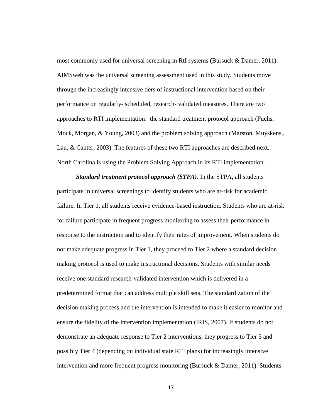most commonly used for universal screening in RtI systems (Bursuck & Damer, 2011). AIMSweb was the universal screening assessment used in this study. Students move through the increasingly intensive tiers of instructional intervention based on their performance on regularly- scheduled, research- validated measures. There are two approaches to RTI implementation: the standard treatment protocol approach (Fuchs, Mock, Morgan, & Young, 2003) and the problem solving approach (Marston, Muyskens,, Lau, & Canter, 2003). The features of these two RTI approaches are described next. North Carolina is using the Problem Solving Approach in its RTI implementation.

*Standard treatment protocol approach (STPA).* In the STPA, all students participate in universal screenings to identify students who are at-risk for academic failure. In Tier 1, all students receive evidence-based instruction. Students who are at-risk for failure participate in frequent progress monitoring to assess their performance in response to the instruction and to identify their rates of improvement. When students do not make adequate progress in Tier 1, they proceed to Tier 2 where a standard decision making protocol is used to make instructional decisions. Students with similar needs receive one standard research-validated intervention which is delivered in a predetermined format that can address multiple skill sets. The standardization of the decision making process and the intervention is intended to make it easier to monitor and ensure the fidelity of the intervention implementation (IRIS, 2007). If students do not demonstrate an adequate response to Tier 2 interventions, they progress to Tier 3 and possibly Tier 4 (depending on individual state RTI plans) for increasingly intensive intervention and more frequent progress monitoring (Bursuck & Damer, 2011). Students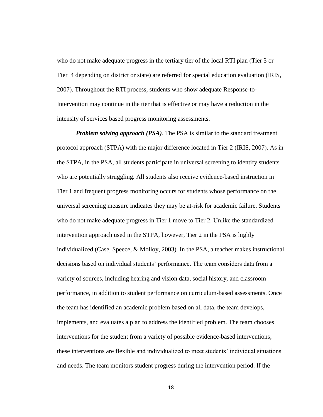who do not make adequate progress in the tertiary tier of the local RTI plan (Tier 3 or Tier 4 depending on district or state) are referred for special education evaluation (IRIS, 2007). Throughout the RTI process, students who show adequate Response-to-Intervention may continue in the tier that is effective or may have a reduction in the intensity of services based progress monitoring assessments.

*Problem solving approach (PSA)*. The PSA is similar to the standard treatment protocol approach (STPA) with the major difference located in Tier 2 (IRIS, 2007). As in the STPA, in the PSA, all students participate in universal screening to identify students who are potentially struggling. All students also receive evidence-based instruction in Tier 1 and frequent progress monitoring occurs for students whose performance on the universal screening measure indicates they may be at-risk for academic failure. Students who do not make adequate progress in Tier 1 move to Tier 2. Unlike the standardized intervention approach used in the STPA, however, Tier 2 in the PSA is highly individualized (Case, Speece, & Molloy, 2003). In the PSA, a teacher makes instructional decisions based on individual students' performance. The team considers data from a variety of sources, including hearing and vision data, social history, and classroom performance, in addition to student performance on curriculum-based assessments. Once the team has identified an academic problem based on all data, the team develops, implements, and evaluates a plan to address the identified problem. The team chooses interventions for the student from a variety of possible evidence-based interventions; these interventions are flexible and individualized to meet students' individual situations and needs. The team monitors student progress during the intervention period. If the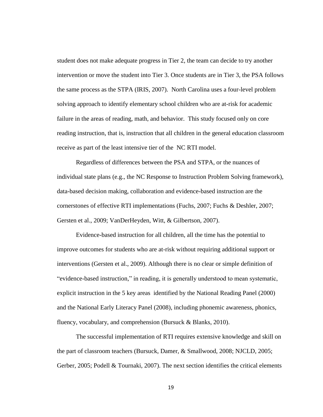student does not make adequate progress in Tier 2, the team can decide to try another intervention or move the student into Tier 3. Once students are in Tier 3, the PSA follows the same process as the STPA (IRIS, 2007). North Carolina uses a four-level problem solving approach to identify elementary school children who are at-risk for academic failure in the areas of reading, math, and behavior. This study focused only on core reading instruction, that is, instruction that all children in the general education classroom receive as part of the least intensive tier of the NC RTI model.

Regardless of differences between the PSA and STPA, or the nuances of individual state plans (e.g., the NC Response to Instruction Problem Solving framework), data-based decision making, collaboration and evidence-based instruction are the cornerstones of effective RTI implementations (Fuchs, 2007; Fuchs & Deshler, 2007; Gersten et al., 2009; VanDerHeyden, Witt, & Gilbertson, 2007).

Evidence-based instruction for all children, all the time has the potential to improve outcomes for students who are at-risk without requiring additional support or interventions (Gersten et al., 2009). Although there is no clear or simple definition of "evidence-based instruction," in reading, it is generally understood to mean systematic, explicit instruction in the 5 key areas identified by the National Reading Panel (2000) and the National Early Literacy Panel (2008), including phonemic awareness, phonics, fluency, vocabulary, and comprehension (Bursuck & Blanks, 2010).

The successful implementation of RTI requires extensive knowledge and skill on the part of classroom teachers (Bursuck, Damer, & Smallwood, 2008; NJCLD, 2005; Gerber, 2005; Podell & Tournaki, 2007). The next section identifies the critical elements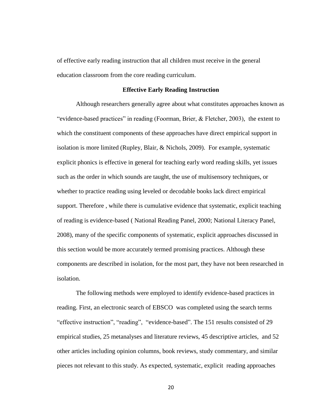of effective early reading instruction that all children must receive in the general education classroom from the core reading curriculum.

#### **Effective Early Reading Instruction**

Although researchers generally agree about what constitutes approaches known as "evidence-based practices" in reading (Foorman, Brier, & Fletcher, 2003), the extent to which the constituent components of these approaches have direct empirical support in isolation is more limited (Rupley, Blair, & Nichols, 2009). For example, systematic explicit phonics is effective in general for teaching early word reading skills, yet issues such as the order in which sounds are taught, the use of multisensory techniques, or whether to practice reading using leveled or decodable books lack direct empirical support. Therefore , while there is cumulative evidence that systematic, explicit teaching of reading is evidence-based ( National Reading Panel, 2000; National Literacy Panel, 2008), many of the specific components of systematic, explicit approaches discussed in this section would be more accurately termed promising practices. Although these components are described in isolation, for the most part, they have not been researched in isolation.

The following methods were employed to identify evidence-based practices in reading. First, an electronic search of EBSCO was completed using the search terms "effective instruction", "reading", "evidence-based". The 151 results consisted of 29 empirical studies, 25 metanalyses and literature reviews, 45 descriptive articles, and 52 other articles including opinion columns, book reviews, study commentary, and similar pieces not relevant to this study. As expected, systematic, explicit reading approaches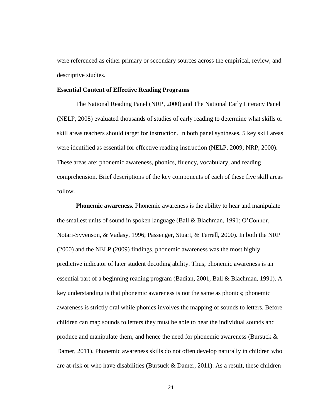were referenced as either primary or secondary sources across the empirical, review, and descriptive studies.

#### **Essential Content of Effective Reading Programs**

The National Reading Panel (NRP, 2000) and The National Early Literacy Panel (NELP, 2008) evaluated thousands of studies of early reading to determine what skills or skill areas teachers should target for instruction. In both panel syntheses, 5 key skill areas were identified as essential for effective reading instruction (NELP, 2009; NRP, 2000). These areas are: phonemic awareness, phonics, fluency, vocabulary, and reading comprehension. Brief descriptions of the key components of each of these five skill areas follow.

**Phonemic awareness.** Phonemic awareness is the ability to hear and manipulate the smallest units of sound in spoken language (Ball & Blachman, 1991; O'Connor, Notari-Syvenson, & Vadasy, 1996; Passenger, Stuart, & Terrell, 2000). In both the NRP (2000) and the NELP (2009) findings, phonemic awareness was the most highly predictive indicator of later student decoding ability. Thus, phonemic awareness is an essential part of a beginning reading program (Badian, 2001, Ball & Blachman, 1991). A key understanding is that phonemic awareness is not the same as phonics; phonemic awareness is strictly oral while phonics involves the mapping of sounds to letters. Before children can map sounds to letters they must be able to hear the individual sounds and produce and manipulate them, and hence the need for phonemic awareness (Bursuck  $\&$ Damer, 2011). Phonemic awareness skills do not often develop naturally in children who are at-risk or who have disabilities (Bursuck & Damer, 2011). As a result, these children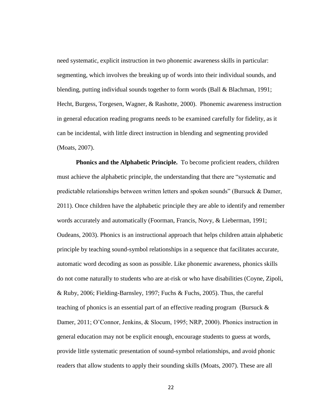need systematic, explicit instruction in two phonemic awareness skills in particular: segmenting, which involves the breaking up of words into their individual sounds, and blending, putting individual sounds together to form words (Ball & Blachman, 1991; Hecht, Burgess, Torgesen, Wagner, & Rashotte, 2000). Phonemic awareness instruction in general education reading programs needs to be examined carefully for fidelity, as it can be incidental, with little direct instruction in blending and segmenting provided (Moats, 2007).

**Phonics and the Alphabetic Principle.** To become proficient readers, children must achieve the alphabetic principle, the understanding that there are "systematic and predictable relationships between written letters and spoken sounds" (Bursuck  $&$  Damer, 2011). Once children have the alphabetic principle they are able to identify and remember words accurately and automatically (Foorman, Francis, Novy, & Lieberman, 1991; Oudeans, 2003). Phonics is an instructional approach that helps children attain alphabetic principle by teaching sound-symbol relationships in a sequence that facilitates accurate, automatic word decoding as soon as possible. Like phonemic awareness, phonics skills do not come naturally to students who are at-risk or who have disabilities (Coyne, Zipoli, & Ruby, 2006; Fielding-Barnsley, 1997; Fuchs & Fuchs, 2005). Thus, the careful teaching of phonics is an essential part of an effective reading program (Bursuck & Damer, 2011; O'Connor, Jenkins, & Slocum, 1995; NRP, 2000). Phonics instruction in general education may not be explicit enough, encourage students to guess at words, provide little systematic presentation of sound-symbol relationships, and avoid phonic readers that allow students to apply their sounding skills (Moats, 2007). These are all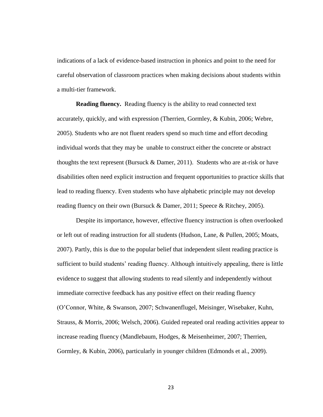indications of a lack of evidence-based instruction in phonics and point to the need for careful observation of classroom practices when making decisions about students within a multi-tier framework.

**Reading fluency.** Reading fluency is the ability to read connected text accurately, quickly, and with expression (Therrien, Gormley, & Kubin, 2006; Webre, 2005). Students who are not fluent readers spend so much time and effort decoding individual words that they may be unable to construct either the concrete or abstract thoughts the text represent (Bursuck & Damer, 2011). Students who are at-risk or have disabilities often need explicit instruction and frequent opportunities to practice skills that lead to reading fluency. Even students who have alphabetic principle may not develop reading fluency on their own (Bursuck & Damer, 2011; Speece & Ritchey, 2005).

Despite its importance, however, effective fluency instruction is often overlooked or left out of reading instruction for all students (Hudson, Lane, & Pullen, 2005; Moats, 2007). Partly, this is due to the popular belief that independent silent reading practice is sufficient to build students' reading fluency. Although intuitively appealing, there is little evidence to suggest that allowing students to read silently and independently without immediate corrective feedback has any positive effect on their reading fluency (O'Connor, White, & Swanson, 2007; Schwanenflugel, Meisinger, Wisebaker, Kuhn, Strauss, & Morris, 2006; Welsch, 2006). Guided repeated oral reading activities appear to increase reading fluency (Mandlebaum, Hodges, & Meisenheimer, 2007; Therrien, Gormley, & Kubin, 2006), particularly in younger children (Edmonds et al., 2009).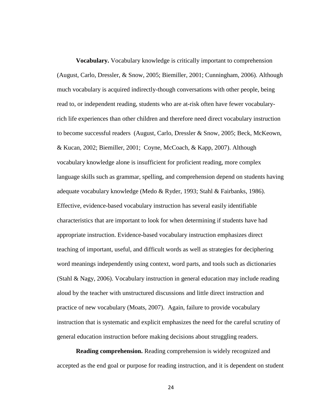**Vocabulary.** Vocabulary knowledge is critically important to comprehension (August, Carlo, Dressler, & Snow, 2005; Biemiller, 2001; Cunningham, 2006). Although much vocabulary is acquired indirectly-though conversations with other people, being read to, or independent reading, students who are at-risk often have fewer vocabularyrich life experiences than other children and therefore need direct vocabulary instruction to become successful readers (August, Carlo, Dressler & Snow, 2005; Beck, McKeown, & Kucan, 2002; Biemiller, 2001; Coyne, McCoach, & Kapp, 2007). Although vocabulary knowledge alone is insufficient for proficient reading, more complex language skills such as grammar, spelling, and comprehension depend on students having adequate vocabulary knowledge (Medo & Ryder, 1993; Stahl & Fairbanks, 1986). Effective, evidence-based vocabulary instruction has several easily identifiable characteristics that are important to look for when determining if students have had appropriate instruction. Evidence-based vocabulary instruction emphasizes direct teaching of important, useful, and difficult words as well as strategies for deciphering word meanings independently using context, word parts, and tools such as dictionaries (Stahl & Nagy, 2006). Vocabulary instruction in general education may include reading aloud by the teacher with unstructured discussions and little direct instruction and practice of new vocabulary (Moats, 2007). Again, failure to provide vocabulary instruction that is systematic and explicit emphasizes the need for the careful scrutiny of general education instruction before making decisions about struggling readers.

**Reading comprehension.** Reading comprehension is widely recognized and accepted as the end goal or purpose for reading instruction, and it is dependent on student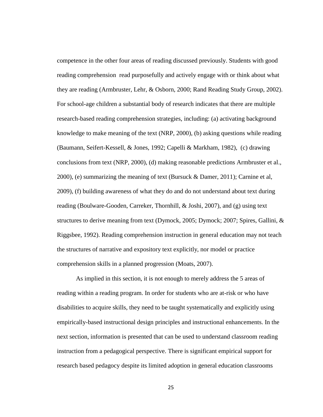competence in the other four areas of reading discussed previously. Students with good reading comprehension read purposefully and actively engage with or think about what they are reading (Armbruster, Lehr, & Osborn, 2000; Rand Reading Study Group, 2002). For school-age children a substantial body of research indicates that there are multiple research-based reading comprehension strategies, including: (a) activating background knowledge to make meaning of the text (NRP, 2000), (b) asking questions while reading (Baumann, Seifert-Kessell, & Jones, 1992; Capelli & Markham, 1982), (c) drawing conclusions from text (NRP, 2000), (d) making reasonable predictions Armbruster et al., 2000), (e) summarizing the meaning of text (Bursuck & Damer, 2011); Carnine et al, 2009), (f) building awareness of what they do and do not understand about text during reading (Boulware-Gooden, Carreker, Thornhill, & Joshi, 2007), and (g) using text structures to derive meaning from text (Dymock, 2005; Dymock; 2007; Spires, Gallini, & Riggsbee, 1992). Reading comprehension instruction in general education may not teach the structures of narrative and expository text explicitly, nor model or practice comprehension skills in a planned progression (Moats, 2007).

As implied in this section, it is not enough to merely address the 5 areas of reading within a reading program. In order for students who are at-risk or who have disabilities to acquire skills, they need to be taught systematically and explicitly using empirically-based instructional design principles and instructional enhancements. In the next section, information is presented that can be used to understand classroom reading instruction from a pedagogical perspective. There is significant empirical support for research based pedagocy despite its limited adoption in general education classrooms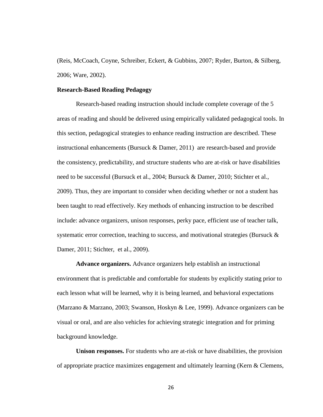(Reis, McCoach, Coyne, Schreiber, Eckert, & Gubbins, 2007; Ryder, Burton, & Silberg, 2006; Ware, 2002).

#### **Research-Based Reading Pedagogy**

Research-based reading instruction should include complete coverage of the 5 areas of reading and should be delivered using empirically validated pedagogical tools. In this section, pedagogical strategies to enhance reading instruction are described. These instructional enhancements (Bursuck & Damer, 2011) are research-based and provide the consistency, predictability, and structure students who are at-risk or have disabilities need to be successful (Bursuck et al., 2004; Bursuck & Damer, 2010; Stichter et al., 2009). Thus, they are important to consider when deciding whether or not a student has been taught to read effectively. Key methods of enhancing instruction to be described include: advance organizers, unison responses, perky pace, efficient use of teacher talk, systematic error correction, teaching to success, and motivational strategies (Bursuck  $\&$ Damer, 2011; Stichter, et al., 2009).

**Advance organizers.** Advance organizers help establish an instructional environment that is predictable and comfortable for students by explicitly stating prior to each lesson what will be learned, why it is being learned, and behavioral expectations (Marzano & Marzano, 2003; Swanson, Hoskyn & Lee, 1999). Advance organizers can be visual or oral, and are also vehicles for achieving strategic integration and for priming background knowledge.

**Unison responses.** For students who are at-risk or have disabilities, the provision of appropriate practice maximizes engagement and ultimately learning (Kern & Clemens,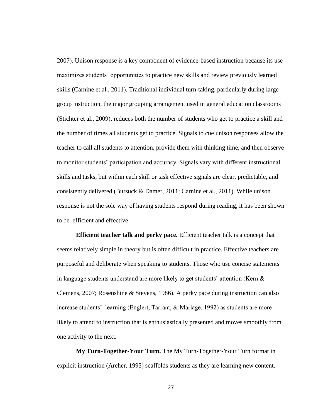2007). Unison response is a key component of evidence-based instruction because its use maximizes students' opportunities to practice new skills and review previously learned skills (Carnine et al., 2011). Traditional individual turn-taking, particularly during large group instruction, the major grouping arrangement used in general education classrooms (Stichter et al., 2009), reduces both the number of students who get to practice a skill and the number of times all students get to practice. Signals to cue unison responses allow the teacher to call all students to attention, provide them with thinking time, and then observe to monitor students' participation and accuracy. Signals vary with different instructional skills and tasks, but within each skill or task effective signals are clear, predictable, and consistently delivered (Bursuck & Damer, 2011; Carnine et al., 2011). While unison response is not the sole way of having students respond during reading, it has been shown to be efficient and effective.

**Efficient teacher talk and perky pace***.* Efficient teacher talk is a concept that seems relatively simple in theory but is often difficult in practice. Effective teachers are purposeful and deliberate when speaking to students. Those who use concise statements in language students understand are more likely to get students' attention (Kern & Clemens, 2007; Rosenshine & Stevens, 1986). A perky pace during instruction can also increase students' learning (Englert, Tarrant, & Mariage, 1992) as students are more likely to attend to instruction that is enthusiastically presented and moves smoothly from one activity to the next.

**My Turn-Together-Your Turn.** The My Turn-Together-Your Turn format in explicit instruction (Archer, 1995) scaffolds students as they are learning new content.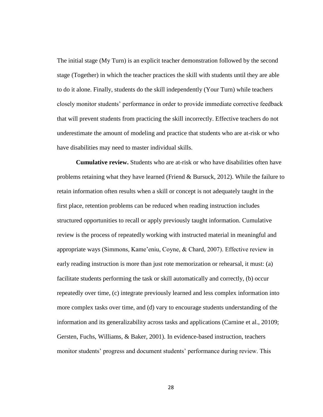The initial stage (My Turn) is an explicit teacher demonstration followed by the second stage (Together) in which the teacher practices the skill with students until they are able to do it alone. Finally, students do the skill independently (Your Turn) while teachers closely monitor students' performance in order to provide immediate corrective feedback that will prevent students from practicing the skill incorrectly. Effective teachers do not underestimate the amount of modeling and practice that students who are at-risk or who have disabilities may need to master individual skills.

**Cumulative review.** Students who are at-risk or who have disabilities often have problems retaining what they have learned (Friend  $& Bursuck, 2012$ ). While the failure to retain information often results when a skill or concept is not adequately taught in the first place, retention problems can be reduced when reading instruction includes structured opportunities to recall or apply previously taught information. Cumulative review is the process of repeatedly working with instructed material in meaningful and appropriate ways (Simmons, Kame'eniu, Coyne, & Chard, 2007). Effective review in early reading instruction is more than just rote memorization or rehearsal, it must: (a) facilitate students performing the task or skill automatically and correctly, (b) occur repeatedly over time, (c) integrate previously learned and less complex information into more complex tasks over time, and (d) vary to encourage students understanding of the information and its generalizability across tasks and applications (Carnine et al., 20109; Gersten, Fuchs, Williams, & Baker, 2001). In evidence-based instruction, teachers monitor students' progress and document students' performance during review. This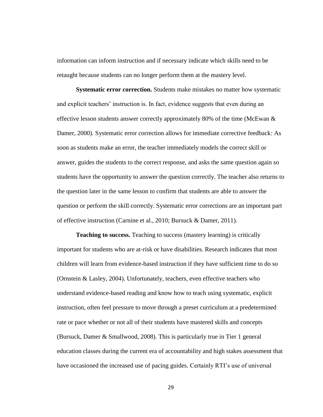information can inform instruction and if necessary indicate which skills need to be retaught because students can no longer perform them at the mastery level.

**Systematic error correction.** Students make mistakes no matter how systematic and explicit teachers' instruction is. In fact, evidence suggests that even during an effective lesson students answer correctly approximately 80% of the time (McEwan & Damer, 2000). Systematic error correction allows for immediate corrective feedback: As soon as students make an error, the teacher immediately models the correct skill or answer, guides the students to the correct response, and asks the same question again so students have the opportunity to answer the question correctly. The teacher also returns to the question later in the same lesson to confirm that students are able to answer the question or perform the skill correctly. Systematic error corrections are an important part of effective instruction (Carnine et al., 2010; Bursuck & Damer, 2011).

**Teaching to success.** Teaching to success (mastery learning) is critically important for students who are at-risk or have disabilities. Research indicates that most children will learn from evidence-based instruction if they have sufficient time to do so (Ornstein & Lasley, 2004). Unfortunately, teachers, even effective teachers who understand evidence-based reading and know how to teach using systematic, explicit instruction, often feel pressure to move through a preset curriculum at a predetermined rate or pace whether or not all of their students have mastered skills and concepts (Bursuck, Damer & Smallwood, 2008). This is particularly true in Tier 1 general education classes during the current era of accountability and high stakes assessment that have occasioned the increased use of pacing guides. Certainly RTI's use of universal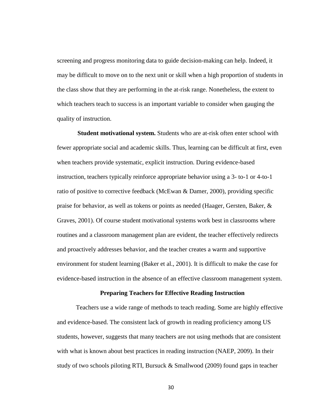screening and progress monitoring data to guide decision-making can help. Indeed, it may be difficult to move on to the next unit or skill when a high proportion of students in the class show that they are performing in the at-risk range. Nonetheless, the extent to which teachers teach to success is an important variable to consider when gauging the quality of instruction.

**Student motivational system.** Students who are at-risk often enter school with fewer appropriate social and academic skills. Thus, learning can be difficult at first, even when teachers provide systematic, explicit instruction. During evidence-based instruction, teachers typically reinforce appropriate behavior using a 3- to-1 or 4-to-1 ratio of positive to corrective feedback (McEwan & Damer, 2000), providing specific praise for behavior, as well as tokens or points as needed (Haager, Gersten, Baker, & Graves, 2001). Of course student motivational systems work best in classrooms where routines and a classroom management plan are evident, the teacher effectively redirects and proactively addresses behavior, and the teacher creates a warm and supportive environment for student learning (Baker et al., 2001). It is difficult to make the case for evidence-based instruction in the absence of an effective classroom management system.

#### **Preparing Teachers for Effective Reading Instruction**

Teachers use a wide range of methods to teach reading. Some are highly effective and evidence-based. The consistent lack of growth in reading proficiency among US students, however, suggests that many teachers are not using methods that are consistent with what is known about best practices in reading instruction (NAEP, 2009). In their study of two schools piloting RTI, Bursuck & Smallwood (2009) found gaps in teacher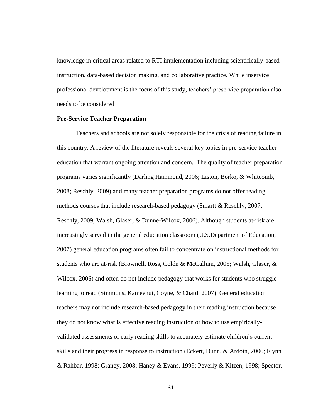knowledge in critical areas related to RTI implementation including scientifically-based instruction, data-based decision making, and collaborative practice. While inservice professional development is the focus of this study, teachers' preservice preparation also needs to be considered

#### **Pre-Service Teacher Preparation**

Teachers and schools are not solely responsible for the crisis of reading failure in this country. A review of the literature reveals several key topics in pre-service teacher education that warrant ongoing attention and concern. The quality of teacher preparation programs varies significantly (Darling Hammond, 2006; Liston, Borko, & Whitcomb, 2008; Reschly, 2009) and many teacher preparation programs do not offer reading methods courses that include research-based pedagogy (Smartt & Reschly, 2007; Reschly, 2009; Walsh, Glaser, & Dunne-Wilcox, 2006). Although students at-risk are increasingly served in the general education classroom (U.S.Department of Education, 2007) general education programs often fail to concentrate on instructional methods for students who are at-risk (Brownell, Ross, Colón & McCallum, 2005; Walsh, Glaser, & Wilcox, 2006) and often do not include pedagogy that works for students who struggle learning to read (Simmons, Kameenui, Coyne, & Chard, 2007). General education teachers may not include research-based pedagogy in their reading instruction because they do not know what is effective reading instruction or how to use empiricallyvalidated assessments of early reading skills to accurately estimate children's current skills and their progress in response to instruction (Eckert, Dunn, & Ardoin, 2006; Flynn & Rahbar, 1998; Graney, 2008; Haney & Evans, 1999; Peverly & Kitzen, 1998; Spector,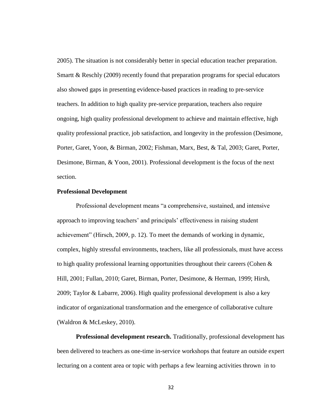2005). The situation is not considerably better in special education teacher preparation. Smartt & Reschly (2009) recently found that preparation programs for special educators also showed gaps in presenting evidence-based practices in reading to pre-service teachers. In addition to high quality pre-service preparation, teachers also require ongoing, high quality professional development to achieve and maintain effective, high quality professional practice, job satisfaction, and longevity in the profession (Desimone, Porter, Garet, Yoon, & Birman, 2002; Fishman, Marx, Best, & Tal, 2003; Garet, Porter, Desimone, Birman, & Yoon, 2001). Professional development is the focus of the next section.

## **Professional Development**

Professional development means "a comprehensive, sustained, and intensive approach to improving teachers' and principals' effectiveness in raising student achievement‖ (Hirsch, 2009, p. 12). To meet the demands of working in dynamic, complex, highly stressful environments, teachers, like all professionals, must have access to high quality professional learning opportunities throughout their careers (Cohen  $\&$ Hill, 2001; Fullan, 2010; Garet, Birman, Porter, Desimone, & Herman, 1999; Hirsh, 2009; Taylor & Labarre, 2006). High quality professional development is also a key indicator of organizational transformation and the emergence of collaborative culture (Waldron & McLeskey, 2010).

**Professional development research.** Traditionally, professional development has been delivered to teachers as one-time in-service workshops that feature an outside expert lecturing on a content area or topic with perhaps a few learning activities thrown in to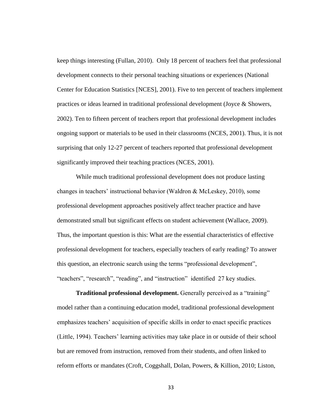keep things interesting (Fullan, 2010). Only 18 percent of teachers feel that professional development connects to their personal teaching situations or experiences (National Center for Education Statistics [NCES], 2001). Five to ten percent of teachers implement practices or ideas learned in traditional professional development (Joyce & Showers, 2002). Ten to fifteen percent of teachers report that professional development includes ongoing support or materials to be used in their classrooms (NCES, 2001). Thus, it is not surprising that only 12-27 percent of teachers reported that professional development significantly improved their teaching practices (NCES, 2001).

While much traditional professional development does not produce lasting changes in teachers' instructional behavior (Waldron & McLeskey, 2010), some professional development approaches positively affect teacher practice and have demonstrated small but significant effects on student achievement (Wallace, 2009). Thus, the important question is this: What are the essential characteristics of effective professional development for teachers, especially teachers of early reading? To answer this question, an electronic search using the terms "professional development", "teachers", "research", "reading", and "instruction" identified 27 key studies.

**Traditional professional development.** Generally perceived as a "training" model rather than a continuing education model, traditional professional development emphasizes teachers' acquisition of specific skills in order to enact specific practices (Little, 1994). Teachers' learning activities may take place in or outside of their school but are removed from instruction, removed from their students, and often linked to reform efforts or mandates (Croft, Coggshall, Dolan, Powers, & Killion, 2010; Liston,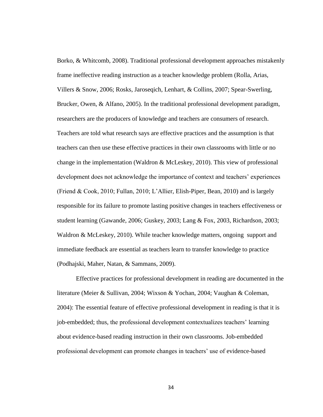Borko, & Whitcomb, 2008). Traditional professional development approaches mistakenly frame ineffective reading instruction as a teacher knowledge problem (Rolla, Arias, Villers & Snow, 2006; Rosks, Jaroseqich, Lenhart, & Collins, 2007; Spear-Swerling, Brucker, Owen, & Alfano, 2005). In the traditional professional development paradigm, researchers are the producers of knowledge and teachers are consumers of research. Teachers are told what research says are effective practices and the assumption is that teachers can then use these effective practices in their own classrooms with little or no change in the implementation (Waldron & McLeskey, 2010). This view of professional development does not acknowledge the importance of context and teachers' experiences (Friend & Cook, 2010; Fullan, 2010; L'Allier, Elish-Piper, Bean, 2010) and is largely responsible for its failure to promote lasting positive changes in teachers effectiveness or student learning (Gawande, 2006; Guskey, 2003; Lang & Fox, 2003, Richardson, 2003; Waldron & McLeskey, 2010). While teacher knowledge matters, ongoing support and immediate feedback are essential as teachers learn to transfer knowledge to practice (Podhajski, Maher, Natan, & Sammans, 2009).

Effective practices for professional development in reading are documented in the literature (Meier & Sullivan, 2004; Wixson & Yochan, 2004; Vaughan & Coleman, 2004): The essential feature of effective professional development in reading is that it is job-embedded; thus, the professional development contextualizes teachers' learning about evidence-based reading instruction in their own classrooms. Job-embedded professional development can promote changes in teachers' use of evidence-based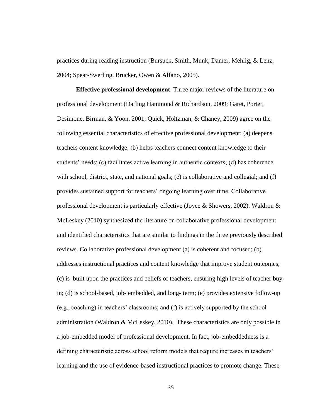practices during reading instruction (Bursuck, Smith, Munk, Damer, Mehlig, & Lenz, 2004; Spear-Swerling, Brucker, Owen & Alfano, 2005).

**Effective professional development**. Three major reviews of the literature on professional development (Darling Hammond & Richardson, 2009; Garet, Porter, Desimone, Birman, & Yoon, 2001; Quick, Holtzman, & Chaney, 2009) agree on the following essential characteristics of effective professional development: (a) deepens teachers content knowledge; (b) helps teachers connect content knowledge to their students' needs; (c) facilitates active learning in authentic contexts; (d) has coherence with school, district, state, and national goals; (e) is collaborative and collegial; and (f) provides sustained support for teachers' ongoing learning over time. Collaborative professional development is particularly effective (Joyce & Showers, 2002). Waldron & McLeskey (2010) synthesized the literature on collaborative professional development and identified characteristics that are similar to findings in the three previously described reviews. Collaborative professional development (a) is coherent and focused; (b) addresses instructional practices and content knowledge that improve student outcomes; (c) is built upon the practices and beliefs of teachers, ensuring high levels of teacher buyin; (d) is school-based, job- embedded, and long- term; (e) provides extensive follow-up (e.g., coaching) in teachers' classrooms; and (f) is actively supported by the school administration (Waldron & McLeskey, 2010). These characteristics are only possible in a job-embedded model of professional development. In fact, job-embeddedness is a defining characteristic across school reform models that require increases in teachers' learning and the use of evidence-based instructional practices to promote change. These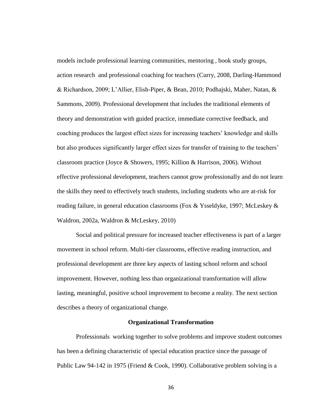models include professional learning communities, mentoring , book study groups, action research and professional coaching for teachers (Curry, 2008, Darling-Hammond & Richardson, 2009; L'Allier, Elish-Piper, & Bean, 2010; Podhajski, Maher, Natan, & Sammons, 2009). Professional development that includes the traditional elements of theory and demonstration with guided practice, immediate corrective feedback, and coaching produces the largest effect sizes for increasing teachers' knowledge and skills but also produces significantly larger effect sizes for transfer of training to the teachers' classroom practice (Joyce & Showers, 1995; Killion & Harrison, 2006). Without effective professional development, teachers cannot grow professionally and do not learn the skills they need to effectively teach students, including students who are at-risk for reading failure, in general education classrooms (Fox & Ysseldyke, 1997; McLeskey & Waldron, 2002a, Waldron & McLeskey, 2010)

Social and political pressure for increased teacher effectiveness is part of a larger movement in school reform. Multi-tier classrooms, effective reading instruction, and professional development are three key aspects of lasting school reform and school improvement. However, nothing less than organizational transformation will allow lasting, meaningful, positive school improvement to become a reality. The next section describes a theory of organizational change.

# **Organizational Transformation**

Professionals working together to solve problems and improve student outcomes has been a defining characteristic of special education practice since the passage of Public Law 94-142 in 1975 (Friend & Cook, 1990). Collaborative problem solving is a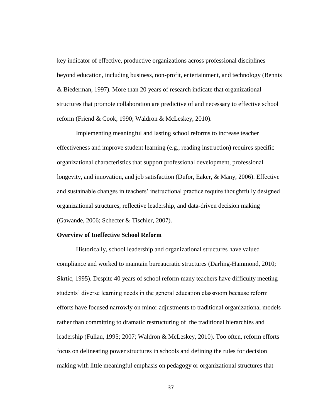key indicator of effective, productive organizations across professional disciplines beyond education, including business, non-profit, entertainment, and technology (Bennis & Biederman, 1997). More than 20 years of research indicate that organizational structures that promote collaboration are predictive of and necessary to effective school reform (Friend & Cook, 1990; Waldron & McLeskey, 2010).

Implementing meaningful and lasting school reforms to increase teacher effectiveness and improve student learning (e.g., reading instruction) requires specific organizational characteristics that support professional development, professional longevity, and innovation, and job satisfaction (Dufor, Eaker, & Many, 2006). Effective and sustainable changes in teachers' instructional practice require thoughtfully designed organizational structures, reflective leadership, and data-driven decision making (Gawande, 2006; Schecter & Tischler, 2007).

#### **Overview of Ineffective School Reform**

Historically, school leadership and organizational structures have valued compliance and worked to maintain bureaucratic structures (Darling-Hammond, 2010; Skrtic, 1995). Despite 40 years of school reform many teachers have difficulty meeting students' diverse learning needs in the general education classroom because reform efforts have focused narrowly on minor adjustments to traditional organizational models rather than committing to dramatic restructuring of the traditional hierarchies and leadership (Fullan, 1995; 2007; Waldron & McLeskey, 2010). Too often, reform efforts focus on delineating power structures in schools and defining the rules for decision making with little meaningful emphasis on pedagogy or organizational structures that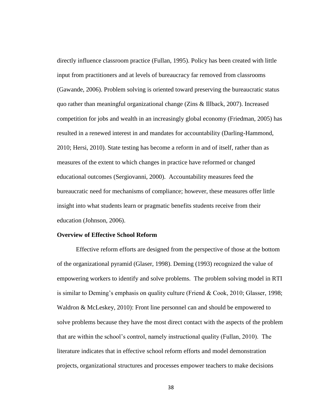directly influence classroom practice (Fullan, 1995). Policy has been created with little input from practitioners and at levels of bureaucracy far removed from classrooms (Gawande, 2006). Problem solving is oriented toward preserving the bureaucratic status quo rather than meaningful organizational change (Zins & Illback, 2007). Increased competition for jobs and wealth in an increasingly global economy (Friedman, 2005) has resulted in a renewed interest in and mandates for accountability (Darling-Hammond, 2010; Hersi, 2010). State testing has become a reform in and of itself, rather than as measures of the extent to which changes in practice have reformed or changed educational outcomes (Sergiovanni, 2000). Accountability measures feed the bureaucratic need for mechanisms of compliance; however, these measures offer little insight into what students learn or pragmatic benefits students receive from their education (Johnson, 2006).

#### **Overview of Effective School Reform**

Effective reform efforts are designed from the perspective of those at the bottom of the organizational pyramid (Glaser, 1998). Deming (1993) recognized the value of empowering workers to identify and solve problems. The problem solving model in RTI is similar to Deming's emphasis on quality culture (Friend & Cook, 2010; Glasser, 1998; Waldron & McLeskey, 2010): Front line personnel can and should be empowered to solve problems because they have the most direct contact with the aspects of the problem that are within the school's control, namely instructional quality (Fullan, 2010). The literature indicates that in effective school reform efforts and model demonstration projects, organizational structures and processes empower teachers to make decisions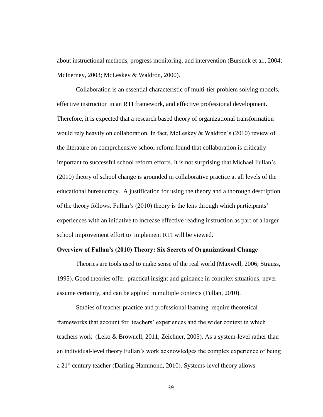about instructional methods, progress monitoring, and intervention (Bursuck et al., 2004; McInerney, 2003; McLeskey & Waldron, 2000).

Collaboration is an essential characteristic of multi-tier problem solving models, effective instruction in an RTI framework, and effective professional development. Therefore, it is expected that a research based theory of organizational transformation would rely heavily on collaboration. In fact, McLeskey & Waldron's (2010) review of the literature on comprehensive school reform found that collaboration is critically important to successful school reform efforts. It is not surprising that Michael Fullan's (2010) theory of school change is grounded in collaborative practice at all levels of the educational bureaucracy. A justification for using the theory and a thorough description of the theory follows. Fullan's (2010) theory is the lens through which participants' experiences with an initiative to increase effective reading instruction as part of a larger school improvement effort to implement RTI will be viewed.

# **Overview of Fullan's (2010) Theory: Six Secrets of Organizational Change**

Theories are tools used to make sense of the real world (Maxwell, 2006; Strauss, 1995). Good theories offer practical insight and guidance in complex situations, never assume certainty, and can be applied in multiple contexts (Fullan, 2010).

Studies of teacher practice and professional learning require theoretical frameworks that account for teachers' experiences and the wider context in which teachers work (Leko & Brownell, 2011; Zeichner, 2005). As a system-level rather than an individual-level theory Fullan's work acknowledges the complex experience of being a 21<sup>st</sup> century teacher (Darling-Hammond, 2010). Systems-level theory allows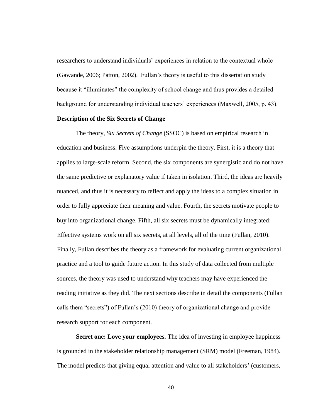researchers to understand individuals' experiences in relation to the contextual whole (Gawande, 2006; Patton, 2002). Fullan's theory is useful to this dissertation study because it "illuminates" the complexity of school change and thus provides a detailed background for understanding individual teachers' experiences (Maxwell, 2005, p. 43).

# **Description of the Six Secrets of Change**

The theory, *Six Secrets of Change* (SSOC) is based on empirical research in education and business. Five assumptions underpin the theory. First, it is a theory that applies to large-scale reform. Second, the six components are synergistic and do not have the same predictive or explanatory value if taken in isolation. Third, the ideas are heavily nuanced, and thus it is necessary to reflect and apply the ideas to a complex situation in order to fully appreciate their meaning and value. Fourth, the secrets motivate people to buy into organizational change. Fifth, all six secrets must be dynamically integrated: Effective systems work on all six secrets, at all levels, all of the time (Fullan, 2010). Finally, Fullan describes the theory as a framework for evaluating current organizational practice and a tool to guide future action. In this study of data collected from multiple sources, the theory was used to understand why teachers may have experienced the reading initiative as they did. The next sections describe in detail the components (Fullan calls them "secrets") of Fullan's (2010) theory of organizational change and provide research support for each component.

**Secret one: Love your employees.** The idea of investing in employee happiness is grounded in the stakeholder relationship management (SRM) model (Freeman, 1984). The model predicts that giving equal attention and value to all stakeholders' (customers,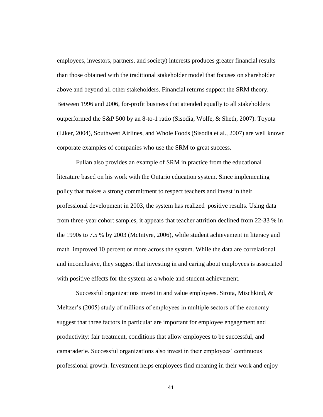employees, investors, partners, and society) interests produces greater financial results than those obtained with the traditional stakeholder model that focuses on shareholder above and beyond all other stakeholders. Financial returns support the SRM theory. Between 1996 and 2006, for-profit business that attended equally to all stakeholders outperformed the S&P 500 by an 8-to-1 ratio (Sisodia, Wolfe, & Sheth, 2007). Toyota (Liker, 2004), Southwest Airlines, and Whole Foods (Sisodia et al., 2007) are well known corporate examples of companies who use the SRM to great success.

Fullan also provides an example of SRM in practice from the educational literature based on his work with the Ontario education system. Since implementing policy that makes a strong commitment to respect teachers and invest in their professional development in 2003, the system has realized positive results. Using data from three-year cohort samples, it appears that teacher attrition declined from 22-33 % in the 1990s to 7.5 % by 2003 (McIntyre, 2006), while student achievement in literacy and math improved 10 percent or more across the system. While the data are correlational and inconclusive, they suggest that investing in and caring about employees is associated with positive effects for the system as a whole and student achievement.

Successful organizations invest in and value employees. Sirota, Mischkind, & Meltzer's (2005) study of millions of employees in multiple sectors of the economy suggest that three factors in particular are important for employee engagement and productivity: fair treatment, conditions that allow employees to be successful, and camaraderie. Successful organizations also invest in their employees' continuous professional growth. Investment helps employees find meaning in their work and enjoy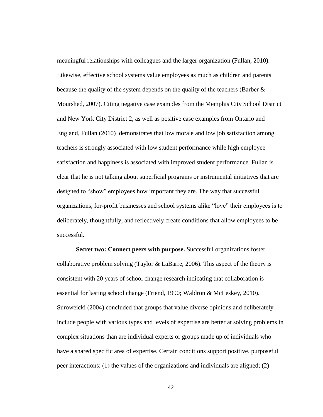meaningful relationships with colleagues and the larger organization (Fullan, 2010). Likewise, effective school systems value employees as much as children and parents because the quality of the system depends on the quality of the teachers (Barber & Mourshed, 2007). Citing negative case examples from the Memphis City School District and New York City District 2, as well as positive case examples from Ontario and England, Fullan (2010) demonstrates that low morale and low job satisfaction among teachers is strongly associated with low student performance while high employee satisfaction and happiness is associated with improved student performance. Fullan is clear that he is not talking about superficial programs or instrumental initiatives that are designed to "show" employees how important they are. The way that successful organizations, for-profit businesses and school systems alike "love" their employees is to deliberately, thoughtfully, and reflectively create conditions that allow employees to be successful.

**Secret two: Connect peers with purpose.** Successful organizations foster collaborative problem solving (Taylor & LaBarre, 2006). This aspect of the theory is consistent with 20 years of school change research indicating that collaboration is essential for lasting school change (Friend, 1990; Waldron & McLeskey, 2010). Suroweicki (2004) concluded that groups that value diverse opinions and deliberately include people with various types and levels of expertise are better at solving problems in complex situations than are individual experts or groups made up of individuals who have a shared specific area of expertise. Certain conditions support positive, purposeful peer interactions: (1) the values of the organizations and individuals are aligned; (2)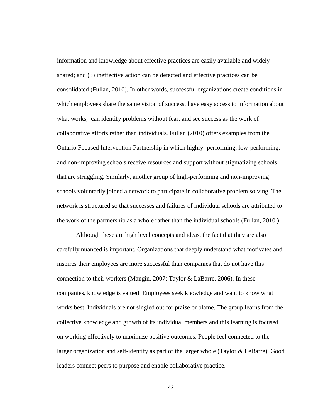information and knowledge about effective practices are easily available and widely shared; and (3) ineffective action can be detected and effective practices can be consolidated (Fullan, 2010). In other words, successful organizations create conditions in which employees share the same vision of success, have easy access to information about what works, can identify problems without fear, and see success as the work of collaborative efforts rather than individuals. Fullan (2010) offers examples from the Ontario Focused Intervention Partnership in which highly- performing, low-performing, and non-improving schools receive resources and support without stigmatizing schools that are struggling. Similarly, another group of high-performing and non-improving schools voluntarily joined a network to participate in collaborative problem solving. The network is structured so that successes and failures of individual schools are attributed to the work of the partnership as a whole rather than the individual schools (Fullan, 2010 ).

Although these are high level concepts and ideas, the fact that they are also carefully nuanced is important. Organizations that deeply understand what motivates and inspires their employees are more successful than companies that do not have this connection to their workers (Mangin, 2007; Taylor & LaBarre, 2006). In these companies, knowledge is valued. Employees seek knowledge and want to know what works best. Individuals are not singled out for praise or blame. The group learns from the collective knowledge and growth of its individual members and this learning is focused on working effectively to maximize positive outcomes. People feel connected to the larger organization and self-identify as part of the larger whole (Taylor & LeBarre). Good leaders connect peers to purpose and enable collaborative practice.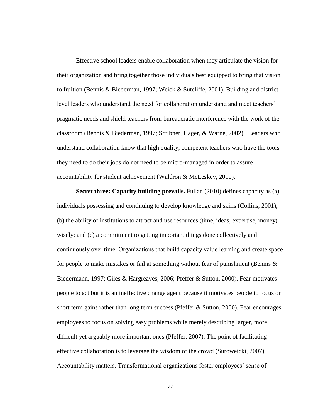Effective school leaders enable collaboration when they articulate the vision for their organization and bring together those individuals best equipped to bring that vision to fruition (Bennis & Biederman, 1997; Weick & Sutcliffe, 2001). Building and districtlevel leaders who understand the need for collaboration understand and meet teachers' pragmatic needs and shield teachers from bureaucratic interference with the work of the classroom (Bennis & Biederman, 1997; Scribner, Hager, & Warne, 2002). Leaders who understand collaboration know that high quality, competent teachers who have the tools they need to do their jobs do not need to be micro-managed in order to assure accountability for student achievement (Waldron & McLeskey, 2010).

**Secret three: Capacity building prevails.** Fullan (2010) defines capacity as (a) individuals possessing and continuing to develop knowledge and skills (Collins, 2001); (b) the ability of institutions to attract and use resources (time, ideas, expertise, money) wisely; and (c) a commitment to getting important things done collectively and continuously over time. Organizations that build capacity value learning and create space for people to make mistakes or fail at something without fear of punishment (Bennis  $\&$ Biedermann, 1997; Giles & Hargreaves, 2006; Pfeffer & Sutton, 2000). Fear motivates people to act but it is an ineffective change agent because it motivates people to focus on short term gains rather than long term success (Pfeffer & Sutton, 2000). Fear encourages employees to focus on solving easy problems while merely describing larger, more difficult yet arguably more important ones (Pfeffer, 2007). The point of facilitating effective collaboration is to leverage the wisdom of the crowd (Suroweicki, 2007). Accountability matters. Transformational organizations foster employees' sense of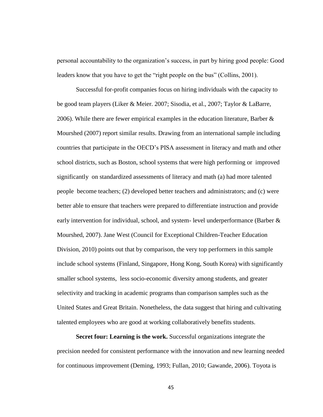personal accountability to the organization's success, in part by hiring good people: Good leaders know that you have to get the "right people on the bus" (Collins, 2001).

Successful for-profit companies focus on hiring individuals with the capacity to be good team players (Liker & Meier. 2007; Sisodia, et al., 2007; Taylor & LaBarre, 2006). While there are fewer empirical examples in the education literature, Barber & Mourshed (2007) report similar results. Drawing from an international sample including countries that participate in the OECD's PISA assessment in literacy and math and other school districts, such as Boston, school systems that were high performing or improved significantly on standardized assessments of literacy and math (a) had more talented people become teachers; (2) developed better teachers and administrators; and (c) were better able to ensure that teachers were prepared to differentiate instruction and provide early intervention for individual, school, and system- level underperformance (Barber & Mourshed, 2007). Jane West (Council for Exceptional Children-Teacher Education Division, 2010) points out that by comparison, the very top performers in this sample include school systems (Finland, Singapore, Hong Kong, South Korea) with significantly smaller school systems, less socio-economic diversity among students, and greater selectivity and tracking in academic programs than comparison samples such as the United States and Great Britain. Nonetheless, the data suggest that hiring and cultivating talented employees who are good at working collaboratively benefits students.

**Secret four: Learning is the work.** Successful organizations integrate the precision needed for consistent performance with the innovation and new learning needed for continuous improvement (Deming, 1993; Fullan, 2010; Gawande, 2006). Toyota is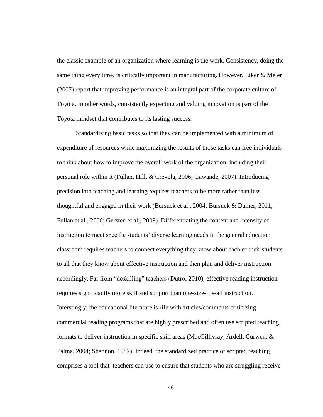the classic example of an organization where learning is the work. Consistency, doing the same thing every time, is critically important in manufacturing. However, Liker & Meier (2007) report that improving performance is an integral part of the corporate culture of Toyota. In other words, consistently expecting and valuing innovation is part of the Toyota mindset that contributes to its lasting success.

Standardizing basic tasks so that they can be implemented with a minimum of expenditure of resources while maximizing the results of those tasks can free individuals to think about how to improve the overall work of the organization, including their personal role within it (Fullan, Hill, & Crevola, 2006; Gawande, 2007). Introducing precision into teaching and learning requires teachers to be more rather than less thoughtful and engaged in their work (Bursuck et al., 2004; Bursuck & Damer, 2011; Fullan et al., 2006; Gersten et al;, 2009). Differentiating the content and intensity of instruction to meet specific students' diverse learning needs in the general education classroom requires teachers to connect everything they know about each of their students to all that they know about effective instruction and then plan and deliver instruction accordingly. Far from "deskilling" teachers (Dutro, 2010), effective reading instruction requires significantly more skill and support than one-size-fits-all instruction. Interstingly, the educational literature is rife with articles/comments criticizing commercial reading programs that are highly prescribed and often use scripted teaching formats to deliver instruction in specific skill areas (MacGillivray, Ardell, Curwen, & Palma, 2004; Shannon, 1987). Indeed, the standardized practice of scripted teaching comprises a tool that teachers can use to ensure that students who are struggling receive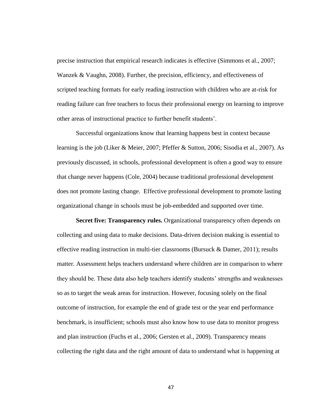precise instruction that empirical research indicates is effective (Simmons et al., 2007; Wanzek & Vaughn, 2008). Further, the precision, efficiency, and effectiveness of scripted teaching formats for early reading instruction with children who are at-risk for reading failure can free teachers to focus their professional energy on learning to improve other areas of instructional practice to further benefit students'.

Successful organizations know that learning happens best in context because learning is the job (Liker & Meier, 2007; Pfeffer & Sutton, 2006; Sisodia et al., 2007). As previously discussed, in schools, professional development is often a good way to ensure that change never happens (Cole, 2004) because traditional professional development does not promote lasting change. Effective professional development to promote lasting organizational change in schools must be job-embedded and supported over time.

**Secret five: Transparency rules.** Organizational transparency often depends on collecting and using data to make decisions. Data-driven decision making is essential to effective reading instruction in multi-tier classrooms (Bursuck  $\&$  Damer, 2011); results matter. Assessment helps teachers understand where children are in comparison to where they should be. These data also help teachers identify students' strengths and weaknesses so as to target the weak areas for instruction. However, focusing solely on the final outcome of instruction, for example the end of grade test or the year end performance benchmark, is insufficient; schools must also know how to use data to monitor progress and plan instruction (Fuchs et al., 2006; Gersten et al., 2009). Transparency means collecting the right data and the right amount of data to understand what is happening at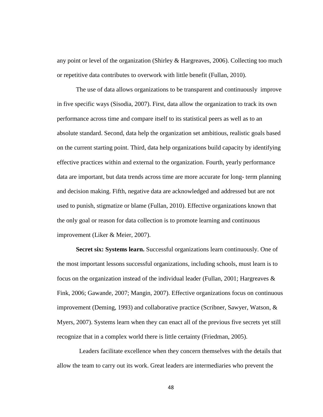any point or level of the organization (Shirley & Hargreaves, 2006). Collecting too much or repetitive data contributes to overwork with little benefit (Fullan, 2010).

The use of data allows organizations to be transparent and continuously improve in five specific ways (Sisodia, 2007). First, data allow the organization to track its own performance across time and compare itself to its statistical peers as well as to an absolute standard. Second, data help the organization set ambitious, realistic goals based on the current starting point. Third, data help organizations build capacity by identifying effective practices within and external to the organization. Fourth, yearly performance data are important, but data trends across time are more accurate for long- term planning and decision making. Fifth, negative data are acknowledged and addressed but are not used to punish, stigmatize or blame (Fullan, 2010). Effective organizations known that the only goal or reason for data collection is to promote learning and continuous improvement (Liker & Meier, 2007).

**Secret six: Systems learn.** Successful organizations learn continuously. One of the most important lessons successful organizations, including schools, must learn is to focus on the organization instead of the individual leader (Fullan, 2001; Hargreaves & Fink, 2006; Gawande, 2007; Mangin, 2007). Effective organizations focus on continuous improvement (Deming, 1993) and collaborative practice (Scribner, Sawyer, Watson, & Myers, 2007). Systems learn when they can enact all of the previous five secrets yet still recognize that in a complex world there is little certainty (Friedman, 2005).

 Leaders facilitate excellence when they concern themselves with the details that allow the team to carry out its work. Great leaders are intermediaries who prevent the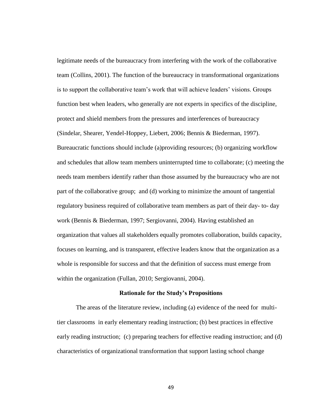legitimate needs of the bureaucracy from interfering with the work of the collaborative team (Collins, 2001). The function of the bureaucracy in transformational organizations is to support the collaborative team's work that will achieve leaders' visions. Groups function best when leaders, who generally are not experts in specifics of the discipline, protect and shield members from the pressures and interferences of bureaucracy (Sindelar, Shearer, Yendel-Hoppey, Liebert, 2006; Bennis & Biederman, 1997). Bureaucratic functions should include (a)providing resources; (b) organizing workflow and schedules that allow team members uninterrupted time to collaborate; (c) meeting the needs team members identify rather than those assumed by the bureaucracy who are not part of the collaborative group; and (d) working to minimize the amount of tangential regulatory business required of collaborative team members as part of their day- to- day work (Bennis & Biederman, 1997; Sergiovanni, 2004). Having established an organization that values all stakeholders equally promotes collaboration, builds capacity, focuses on learning, and is transparent, effective leaders know that the organization as a whole is responsible for success and that the definition of success must emerge from within the organization (Fullan, 2010; Sergiovanni, 2004).

#### **Rationale for the Study's Propositions**

The areas of the literature review, including (a) evidence of the need for multitier classrooms in early elementary reading instruction; (b) best practices in effective early reading instruction; (c) preparing teachers for effective reading instruction; and (d) characteristics of organizational transformation that support lasting school change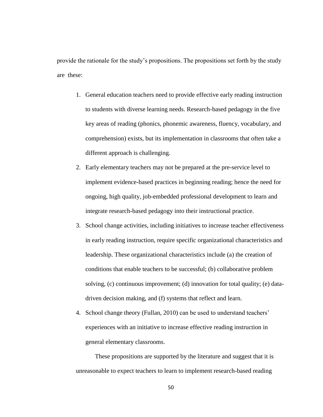provide the rationale for the study's propositions. The propositions set forth by the study are these:

- 1. General education teachers need to provide effective early reading instruction to students with diverse learning needs. Research-based pedagogy in the five key areas of reading (phonics, phonemic awareness, fluency, vocabulary, and comprehension) exists, but its implementation in classrooms that often take a different approach is challenging.
- 2. Early elementary teachers may not be prepared at the pre-service level to implement evidence-based practices in beginning reading; hence the need for ongoing, high quality, job-embedded professional development to learn and integrate research-based pedagogy into their instructional practice.
- 3. School change activities, including initiatives to increase teacher effectiveness in early reading instruction, require specific organizational characteristics and leadership. These organizational characteristics include (a) the creation of conditions that enable teachers to be successful; (b) collaborative problem solving, (c) continuous improvement; (d) innovation for total quality; (e) datadriven decision making, and (f) systems that reflect and learn.
- 4. School change theory (Fullan, 2010) can be used to understand teachers' experiences with an initiative to increase effective reading instruction in general elementary classrooms.

These propositions are supported by the literature and suggest that it is unreasonable to expect teachers to learn to implement research-based reading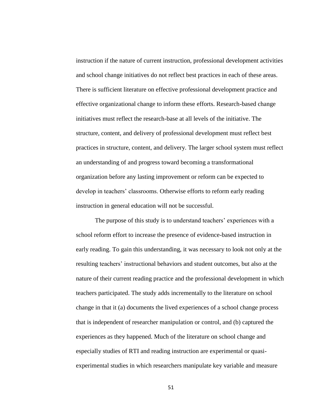instruction if the nature of current instruction, professional development activities and school change initiatives do not reflect best practices in each of these areas. There is sufficient literature on effective professional development practice and effective organizational change to inform these efforts. Research-based change initiatives must reflect the research-base at all levels of the initiative. The structure, content, and delivery of professional development must reflect best practices in structure, content, and delivery. The larger school system must reflect an understanding of and progress toward becoming a transformational organization before any lasting improvement or reform can be expected to develop in teachers' classrooms. Otherwise efforts to reform early reading instruction in general education will not be successful.

The purpose of this study is to understand teachers' experiences with a school reform effort to increase the presence of evidence-based instruction in early reading. To gain this understanding, it was necessary to look not only at the resulting teachers' instructional behaviors and student outcomes, but also at the nature of their current reading practice and the professional development in which teachers participated. The study adds incrementally to the literature on school change in that it (a) documents the lived experiences of a school change process that is independent of researcher manipulation or control, and (b) captured the experiences as they happened. Much of the literature on school change and especially studies of RTI and reading instruction are experimental or quasiexperimental studies in which researchers manipulate key variable and measure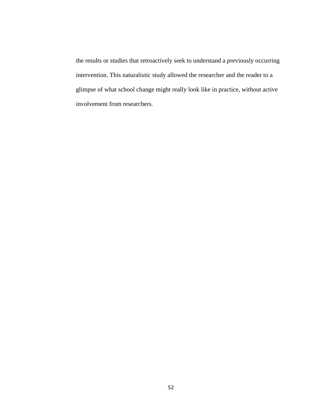the results or studies that retroactively seek to understand a previously occurring intervention. This naturalistic study allowed the researcher and the reader to a glimpse of what school change might really look like in practice, without active involvement from researchers.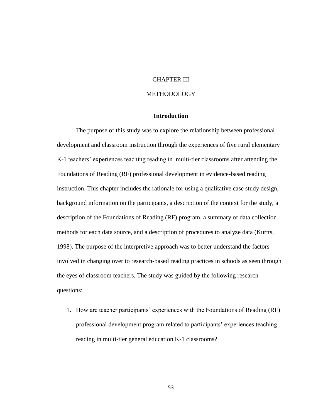# CHAPTER III

# METHODOLOGY

# **Introduction**

The purpose of this study was to explore the relationship between professional development and classroom instruction through the experiences of five rural elementary K-1 teachers' experiences teaching reading in multi-tier classrooms after attending the Foundations of Reading (RF) professional development in evidence-based reading instruction. This chapter includes the rationale for using a qualitative case study design, background information on the participants, a description of the context for the study, a description of the Foundations of Reading (RF) program, a summary of data collection methods for each data source, and a description of procedures to analyze data (Kurtts, 1998). The purpose of the interpretive approach was to better understand the factors involved in changing over to research-based reading practices in schools as seen through the eyes of classroom teachers. The study was guided by the following research questions:

1. How are teacher participants' experiences with the Foundations of Reading (RF) professional development program related to participants' experiences teaching reading in multi-tier general education K-1 classrooms?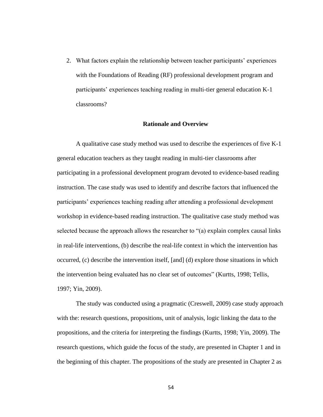2. What factors explain the relationship between teacher participants' experiences with the Foundations of Reading (RF) professional development program and participants' experiences teaching reading in multi-tier general education K-1 classrooms?

#### **Rationale and Overview**

A qualitative case study method was used to describe the experiences of five K-1 general education teachers as they taught reading in multi-tier classrooms after participating in a professional development program devoted to evidence-based reading instruction. The case study was used to identify and describe factors that influenced the participants' experiences teaching reading after attending a professional development workshop in evidence-based reading instruction. The qualitative case study method was selected because the approach allows the researcher to "(a) explain complex causal links in real-life interventions, (b) describe the real-life context in which the intervention has occurred, (c) describe the intervention itself, [and] (d) explore those situations in which the intervention being evaluated has no clear set of outcomes" (Kurtts, 1998; Tellis, 1997; Yin, 2009).

The study was conducted using a pragmatic (Creswell, 2009) case study approach with the: research questions, propositions, unit of analysis, logic linking the data to the propositions, and the criteria for interpreting the findings (Kurtts, 1998; Yin, 2009). The research questions, which guide the focus of the study, are presented in Chapter 1 and in the beginning of this chapter. The propositions of the study are presented in Chapter 2 as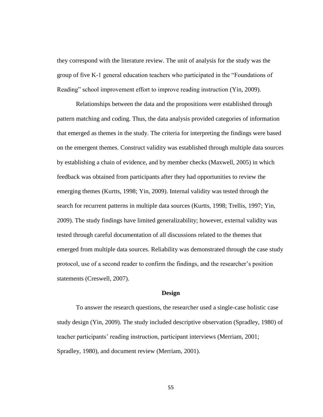they correspond with the literature review. The unit of analysis for the study was the group of five K-1 general education teachers who participated in the "Foundations of Reading" school improvement effort to improve reading instruction (Yin, 2009).

Relationships between the data and the propositions were established through pattern matching and coding. Thus, the data analysis provided categories of information that emerged as themes in the study. The criteria for interpreting the findings were based on the emergent themes. Construct validity was established through multiple data sources by establishing a chain of evidence, and by member checks (Maxwell, 2005) in which feedback was obtained from participants after they had opportunities to review the emerging themes (Kurtts, 1998; Yin, 2009). Internal validity was tested through the search for recurrent patterns in multiple data sources (Kurtts, 1998; Trellis, 1997; Yin, 2009). The study findings have limited generalizability; however, external validity was tested through careful documentation of all discussions related to the themes that emerged from multiple data sources. Reliability was demonstrated through the case study protocol, use of a second reader to confirm the findings, and the researcher's position statements (Creswell, 2007).

#### **Design**

To answer the research questions, the researcher used a single-case holistic case study design (Yin, 2009). The study included descriptive observation (Spradley, 1980) of teacher participants' reading instruction, participant interviews (Merriam, 2001; Spradley, 1980), and document review (Merriam, 2001).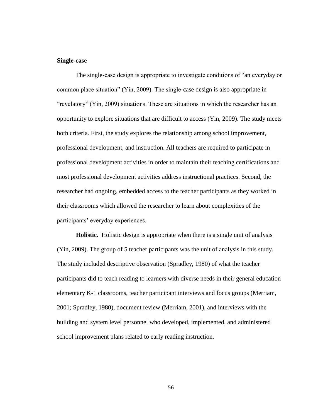## **Single-case**

The single-case design is appropriate to investigate conditions of "an everyday or common place situation" (Yin, 2009). The single-case design is also appropriate in "revelatory" (Yin, 2009) situations. These are situations in which the researcher has an opportunity to explore situations that are difficult to access (Yin, 2009). The study meets both criteria. First, the study explores the relationship among school improvement, professional development, and instruction. All teachers are required to participate in professional development activities in order to maintain their teaching certifications and most professional development activities address instructional practices. Second, the researcher had ongoing, embedded access to the teacher participants as they worked in their classrooms which allowed the researcher to learn about complexities of the participants' everyday experiences.

**Holistic.** Holistic design is appropriate when there is a single unit of analysis (Yin, 2009). The group of 5 teacher participants was the unit of analysis in this study. The study included descriptive observation (Spradley, 1980) of what the teacher participants did to teach reading to learners with diverse needs in their general education elementary K-1 classrooms, teacher participant interviews and focus groups (Merriam, 2001; Spradley, 1980), document review (Merriam, 2001), and interviews with the building and system level personnel who developed, implemented, and administered school improvement plans related to early reading instruction.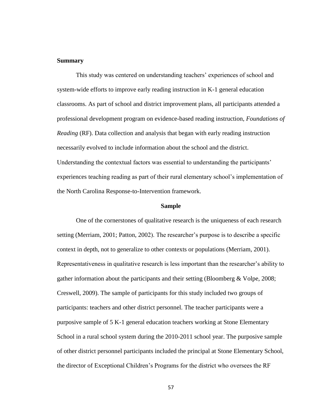## **Summary**

This study was centered on understanding teachers' experiences of school and system-wide efforts to improve early reading instruction in K-1 general education classrooms. As part of school and district improvement plans, all participants attended a professional development program on evidence-based reading instruction, *Foundations of Reading* (RF). Data collection and analysis that began with early reading instruction necessarily evolved to include information about the school and the district. Understanding the contextual factors was essential to understanding the participants' experiences teaching reading as part of their rural elementary school's implementation of the North Carolina Response-to-Intervention framework.

#### **Sample**

One of the cornerstones of qualitative research is the uniqueness of each research setting (Merriam, 2001; Patton, 2002). The researcher's purpose is to describe a specific context in depth, not to generalize to other contexts or populations (Merriam, 2001). Representativeness in qualitative research is less important than the researcher's ability to gather information about the participants and their setting (Bloomberg & Volpe, 2008; Creswell, 2009). The sample of participants for this study included two groups of participants: teachers and other district personnel. The teacher participants were a purposive sample of 5 K-1 general education teachers working at Stone Elementary School in a rural school system during the 2010-2011 school year. The purposive sample of other district personnel participants included the principal at Stone Elementary School, the director of Exceptional Children's Programs for the district who oversees the RF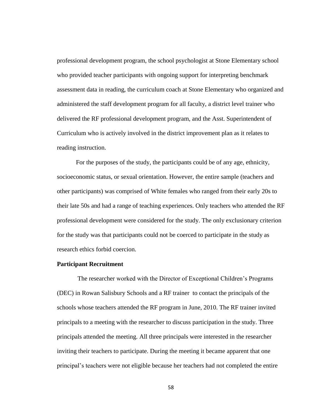professional development program, the school psychologist at Stone Elementary school who provided teacher participants with ongoing support for interpreting benchmark assessment data in reading, the curriculum coach at Stone Elementary who organized and administered the staff development program for all faculty, a district level trainer who delivered the RF professional development program, and the Asst. Superintendent of Curriculum who is actively involved in the district improvement plan as it relates to reading instruction.

For the purposes of the study, the participants could be of any age, ethnicity, socioeconomic status, or sexual orientation. However, the entire sample (teachers and other participants) was comprised of White females who ranged from their early 20s to their late 50s and had a range of teaching experiences. Only teachers who attended the RF professional development were considered for the study. The only exclusionary criterion for the study was that participants could not be coerced to participate in the study as research ethics forbid coercion.

#### **Participant Recruitment**

The researcher worked with the Director of Exceptional Children's Programs (DEC) in Rowan Salisbury Schools and a RF trainer to contact the principals of the schools whose teachers attended the RF program in June, 2010. The RF trainer invited principals to a meeting with the researcher to discuss participation in the study. Three principals attended the meeting. All three principals were interested in the researcher inviting their teachers to participate. During the meeting it became apparent that one principal's teachers were not eligible because her teachers had not completed the entire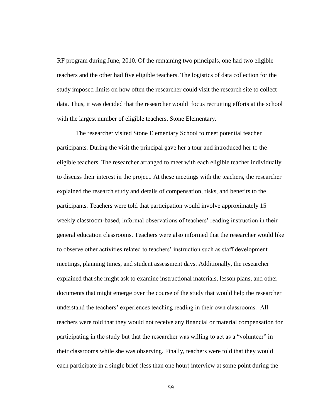RF program during June, 2010. Of the remaining two principals, one had two eligible teachers and the other had five eligible teachers. The logistics of data collection for the study imposed limits on how often the researcher could visit the research site to collect data. Thus, it was decided that the researcher would focus recruiting efforts at the school with the largest number of eligible teachers, Stone Elementary.

The researcher visited Stone Elementary School to meet potential teacher participants. During the visit the principal gave her a tour and introduced her to the eligible teachers. The researcher arranged to meet with each eligible teacher individually to discuss their interest in the project. At these meetings with the teachers, the researcher explained the research study and details of compensation, risks, and benefits to the participants. Teachers were told that participation would involve approximately 15 weekly classroom-based, informal observations of teachers' reading instruction in their general education classrooms. Teachers were also informed that the researcher would like to observe other activities related to teachers' instruction such as staff development meetings, planning times, and student assessment days. Additionally, the researcher explained that she might ask to examine instructional materials, lesson plans, and other documents that might emerge over the course of the study that would help the researcher understand the teachers' experiences teaching reading in their own classrooms. All teachers were told that they would not receive any financial or material compensation for participating in the study but that the researcher was willing to act as a "volunteer" in their classrooms while she was observing. Finally, teachers were told that they would each participate in a single brief (less than one hour) interview at some point during the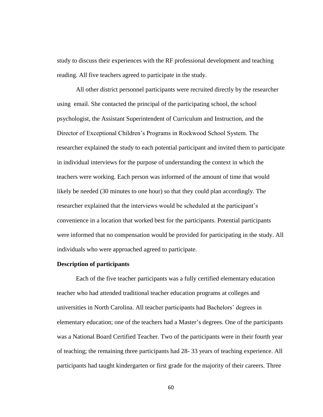study to discuss their experiences with the RF professional development and teaching reading. All five teachers agreed to participate in the study.

All other district personnel participants were recruited directly by the researcher using email. She contacted the principal of the participating school, the school psychologist, the Assistant Superintendent of Curriculum and Instruction, and the Director of Exceptional Children's Programs in Rockwood School System. The researcher explained the study to each potential participant and invited them to participate in individual interviews for the purpose of understanding the context in which the teachers were working. Each person was informed of the amount of time that would likely be needed (30 minutes to one hour) so that they could plan accordingly. The researcher explained that the interviews would be scheduled at the participant's convenience in a location that worked best for the participants. Potential participants were informed that no compensation would be provided for participating in the study. All individuals who were approached agreed to participate.

# **Description of participants**

Each of the five teacher participants was a fully certified elementary education teacher who had attended traditional teacher education programs at colleges and universities in North Carolina. All teacher participants had Bachelors' degrees in elementary education; one of the teachers had a Master's degrees. One of the participants was a National Board Certified Teacher. Two of the participants were in their fourth year of teaching; the remaining three participants had 28- 33 years of teaching experience. All participants had taught kindergarten or first grade for the majority of their careers. Three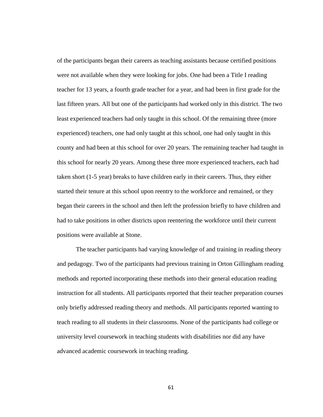of the participants began their careers as teaching assistants because certified positions were not available when they were looking for jobs. One had been a Title I reading teacher for 13 years, a fourth grade teacher for a year, and had been in first grade for the last fifteen years. All but one of the participants had worked only in this district. The two least experienced teachers had only taught in this school. Of the remaining three (more experienced) teachers, one had only taught at this school, one had only taught in this county and had been at this school for over 20 years. The remaining teacher had taught in this school for nearly 20 years. Among these three more experienced teachers, each had taken short (1-5 year) breaks to have children early in their careers. Thus, they either started their tenure at this school upon reentry to the workforce and remained, or they began their careers in the school and then left the profession briefly to have children and had to take positions in other districts upon reentering the workforce until their current positions were available at Stone.

The teacher participants had varying knowledge of and training in reading theory and pedagogy. Two of the participants had previous training in Orton Gillingham reading methods and reported incorporating these methods into their general education reading instruction for all students. All participants reported that their teacher preparation courses only briefly addressed reading theory and methods. All participants reported wanting to teach reading to all students in their classrooms. None of the participants had college or university level coursework in teaching students with disabilities nor did any have advanced academic coursework in teaching reading.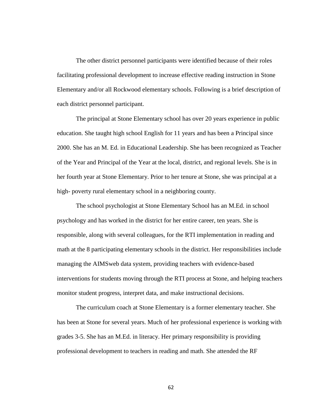The other district personnel participants were identified because of their roles facilitating professional development to increase effective reading instruction in Stone Elementary and/or all Rockwood elementary schools. Following is a brief description of each district personnel participant.

The principal at Stone Elementary school has over 20 years experience in public education. She taught high school English for 11 years and has been a Principal since 2000. She has an M. Ed. in Educational Leadership. She has been recognized as Teacher of the Year and Principal of the Year at the local, district, and regional levels. She is in her fourth year at Stone Elementary. Prior to her tenure at Stone, she was principal at a high- poverty rural elementary school in a neighboring county.

The school psychologist at Stone Elementary School has an M.Ed. in school psychology and has worked in the district for her entire career, ten years. She is responsible, along with several colleagues, for the RTI implementation in reading and math at the 8 participating elementary schools in the district. Her responsibilities include managing the AIMSweb data system, providing teachers with evidence-based interventions for students moving through the RTI process at Stone, and helping teachers monitor student progress, interpret data, and make instructional decisions.

The curriculum coach at Stone Elementary is a former elementary teacher. She has been at Stone for several years. Much of her professional experience is working with grades 3-5. She has an M.Ed. in literacy. Her primary responsibility is providing professional development to teachers in reading and math. She attended the RF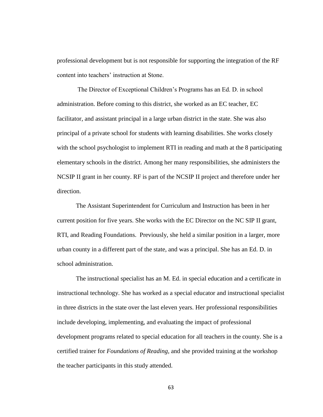professional development but is not responsible for supporting the integration of the RF content into teachers' instruction at Stone.

The Director of Exceptional Children's Programs has an Ed. D. in school administration. Before coming to this district, she worked as an EC teacher, EC facilitator, and assistant principal in a large urban district in the state. She was also principal of a private school for students with learning disabilities. She works closely with the school psychologist to implement RTI in reading and math at the 8 participating elementary schools in the district. Among her many responsibilities, she administers the NCSIP II grant in her county. RF is part of the NCSIP II project and therefore under her direction.

The Assistant Superintendent for Curriculum and Instruction has been in her current position for five years. She works with the EC Director on the NC SIP II grant, RTI, and Reading Foundations. Previously, she held a similar position in a larger, more urban county in a different part of the state, and was a principal. She has an Ed. D. in school administration.

The instructional specialist has an M. Ed. in special education and a certificate in instructional technology. She has worked as a special educator and instructional specialist in three districts in the state over the last eleven years. Her professional responsibilities include developing, implementing, and evaluating the impact of professional development programs related to special education for all teachers in the county. She is a certified trainer for *Foundations of Reading*, and she provided training at the workshop the teacher participants in this study attended.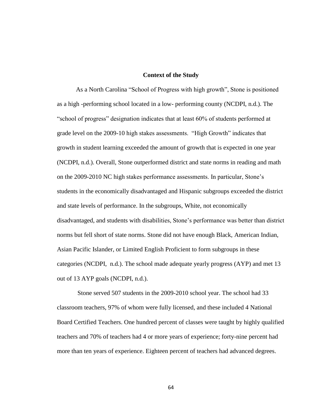#### **Context of the Study**

As a North Carolina "School of Progress with high growth", Stone is positioned as a high -performing school located in a low- performing county (NCDPI, n.d.). The "school of progress" designation indicates that at least 60% of students performed at grade level on the 2009-10 high stakes assessments. "High Growth" indicates that growth in student learning exceeded the amount of growth that is expected in one year (NCDPI, n.d.). Overall, Stone outperformed district and state norms in reading and math on the 2009-2010 NC high stakes performance assessments. In particular, Stone's students in the economically disadvantaged and Hispanic subgroups exceeded the district and state levels of performance. In the subgroups, White, not economically disadvantaged, and students with disabilities, Stone's performance was better than district norms but fell short of state norms. Stone did not have enough Black, American Indian, Asian Pacific Islander, or Limited English Proficient to form subgroups in these categories (NCDPI, n.d.). The school made adequate yearly progress (AYP) and met 13 out of 13 AYP goals (NCDPI, n.d.).

Stone served 507 students in the 2009-2010 school year. The school had 33 classroom teachers, 97% of whom were fully licensed, and these included 4 National Board Certified Teachers. One hundred percent of classes were taught by highly qualified teachers and 70% of teachers had 4 or more years of experience; forty-nine percent had more than ten years of experience. Eighteen percent of teachers had advanced degrees.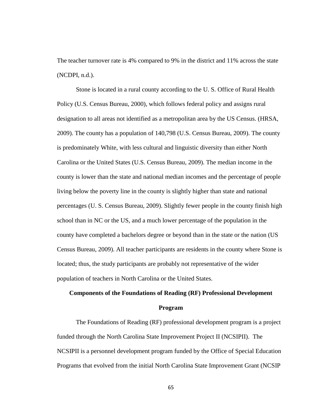The teacher turnover rate is 4% compared to 9% in the district and 11% across the state (NCDPI, n.d.).

Stone is located in a rural county according to the U. S. Office of Rural Health Policy (U.S. Census Bureau, 2000), which follows federal policy and assigns rural designation to all areas not identified as a metropolitan area by the US Census. (HRSA, 2009). The county has a population of 140,798 (U.S. Census Bureau, 2009). The county is predominately White, with less cultural and linguistic diversity than either North Carolina or the United States (U.S. Census Bureau, 2009). The median income in the county is lower than the state and national median incomes and the percentage of people living below the poverty line in the county is slightly higher than state and national percentages (U. S. Census Bureau, 2009). Slightly fewer people in the county finish high school than in NC or the US, and a much lower percentage of the population in the county have completed a bachelors degree or beyond than in the state or the nation (US Census Bureau, 2009). All teacher participants are residents in the county where Stone is located; thus, the study participants are probably not representative of the wider population of teachers in North Carolina or the United States.

# **Components of the Foundations of Reading (RF) Professional Development Program**

The Foundations of Reading (RF) professional development program is a project funded through the North Carolina State Improvement Project II (NCSIPII). The NCSIPII is a personnel development program funded by the Office of Special Education Programs that evolved from the initial North Carolina State Improvement Grant (NCSIP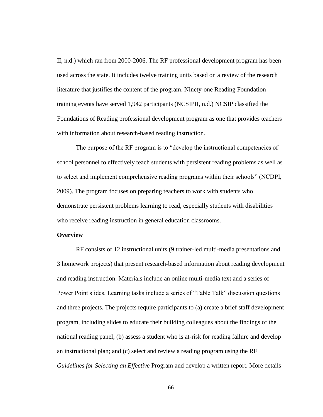II, n.d.) which ran from 2000-2006. The RF professional development program has been used across the state. It includes twelve training units based on a review of the research literature that justifies the content of the program. Ninety-one Reading Foundation training events have served 1,942 participants (NCSIPII, n.d.) NCSIP classified the Foundations of Reading professional development program as one that provides teachers with information about research-based reading instruction.

The purpose of the RF program is to "develop the instructional competencies of school personnel to effectively teach students with persistent reading problems as well as to select and implement comprehensive reading programs within their schools" (NCDPI, 2009). The program focuses on preparing teachers to work with students who demonstrate persistent problems learning to read, especially students with disabilities who receive reading instruction in general education classrooms.

#### **Overview**

RF consists of 12 instructional units (9 trainer-led multi-media presentations and 3 homework projects) that present research-based information about reading development and reading instruction. Materials include an online multi-media text and a series of Power Point slides. Learning tasks include a series of "Table Talk" discussion questions and three projects. The projects require participants to (a) create a brief staff development program, including slides to educate their building colleagues about the findings of the national reading panel, (b) assess a student who is at-risk for reading failure and develop an instructional plan; and (c) select and review a reading program using the RF *Guidelines for Selecting an Effective* Program and develop a written report. More details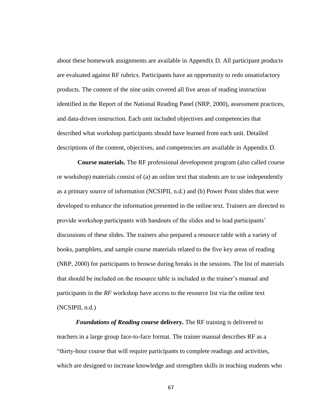about these homework assignments are available in Appendix D. All participant products are evaluated against RF rubrics. Participants have an opportunity to redo unsatisfactory products. The content of the nine units covered all five areas of reading instruction identified in the Report of the National Reading Panel (NRP, 2000), assessment practices, and data-driven instruction. Each unit included objectives and competencies that described what workshop participants should have learned from each unit. Detailed descriptions of the content, objectives, and competencies are available in Appendix D.

**Course materials.** The RF professional development program (also called course or workshop) materials consist of (a) an online text that students are to use independently as a primary source of information (NCSIPII, n.d.) and (b) Power Point slides that were developed to enhance the information presented in the online text. Trainers are directed to provide workshop participants with handouts of the slides and to lead participants' discussions of these slides. The trainers also prepared a resource table with a variety of books, pamphlets, and sample course materials related to the five key areas of reading (NRP, 2000) for participants to browse during breaks in the sessions. The list of materials that should be included on the resource table is included in the trainer's manual and participants in the *RF* workshop have access to the resource list via the online text (NCSIPII, n.d.)

*Foundations of Reading* **course delivery.** The RF training is delivered to teachers in a large group face-to-face format. The trainer manual describes RF as a ―thirty-hour course that will require participants to complete readings and activities, which are designed to increase knowledge and strengthen skills in teaching students who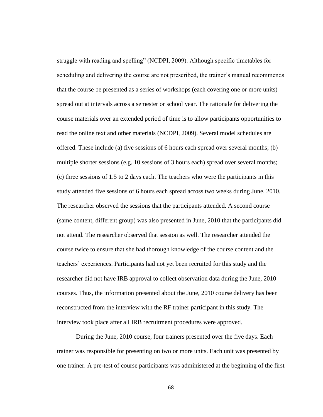struggle with reading and spelling" (NCDPI, 2009). Although specific timetables for scheduling and delivering the course are not prescribed, the trainer's manual recommends that the course be presented as a series of workshops (each covering one or more units) spread out at intervals across a semester or school year. The rationale for delivering the course materials over an extended period of time is to allow participants opportunities to read the online text and other materials (NCDPI, 2009). Several model schedules are offered. These include (a) five sessions of 6 hours each spread over several months; (b) multiple shorter sessions (e.g. 10 sessions of 3 hours each) spread over several months; (c) three sessions of 1.5 to 2 days each. The teachers who were the participants in this study attended five sessions of 6 hours each spread across two weeks during June, 2010. The researcher observed the sessions that the participants attended. A second course (same content, different group) was also presented in June, 2010 that the participants did not attend. The researcher observed that session as well. The researcher attended the course twice to ensure that she had thorough knowledge of the course content and the teachers' experiences. Participants had not yet been recruited for this study and the researcher did not have IRB approval to collect observation data during the June, 2010 courses. Thus, the information presented about the June, 2010 course delivery has been reconstructed from the interview with the RF trainer participant in this study. The interview took place after all IRB recruitment procedures were approved.

During the June, 2010 course, four trainers presented over the five days. Each trainer was responsible for presenting on two or more units. Each unit was presented by one trainer. A pre-test of course participants was administered at the beginning of the first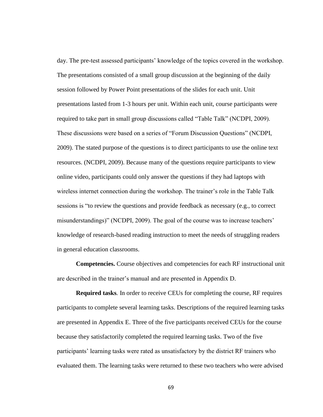day. The pre-test assessed participants' knowledge of the topics covered in the workshop. The presentations consisted of a small group discussion at the beginning of the daily session followed by Power Point presentations of the slides for each unit. Unit presentations lasted from 1-3 hours per unit. Within each unit, course participants were required to take part in small group discussions called "Table Talk" (NCDPI, 2009). These discussions were based on a series of "Forum Discussion Questions" (NCDPI, 2009). The stated purpose of the questions is to direct participants to use the online text resources. (NCDPI, 2009). Because many of the questions require participants to view online video, participants could only answer the questions if they had laptops with wireless internet connection during the workshop. The trainer's role in the Table Talk sessions is "to review the questions and provide feedback as necessary (e.g., to correct misunderstandings)" (NCDPI, 2009). The goal of the course was to increase teachers' knowledge of research-based reading instruction to meet the needs of struggling readers in general education classrooms.

**Competencies.** Course objectives and competencies for each RF instructional unit are described in the trainer's manual and are presented in Appendix D.

**Required tasks***.* In order to receive CEUs for completing the course, RF requires participants to complete several learning tasks. Descriptions of the required learning tasks are presented in Appendix E. Three of the five participants received CEUs for the course because they satisfactorily completed the required learning tasks. Two of the five participants' learning tasks were rated as unsatisfactory by the district RF trainers who evaluated them. The learning tasks were returned to these two teachers who were advised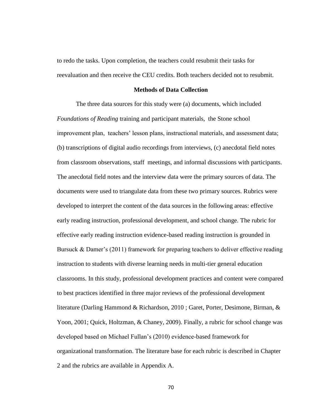to redo the tasks. Upon completion, the teachers could resubmit their tasks for reevaluation and then receive the CEU credits. Both teachers decided not to resubmit.

#### **Methods of Data Collection**

The three data sources for this study were (a) documents, which included *Foundations of Reading* training and participant materials, the Stone school improvement plan, teachers' lesson plans, instructional materials, and assessment data; (b) transcriptions of digital audio recordings from interviews, (c) anecdotal field notes from classroom observations, staff meetings, and informal discussions with participants. The anecdotal field notes and the interview data were the primary sources of data. The documents were used to triangulate data from these two primary sources. Rubrics were developed to interpret the content of the data sources in the following areas: effective early reading instruction, professional development, and school change. The rubric for effective early reading instruction evidence-based reading instruction is grounded in Bursuck & Damer's (2011) framework for preparing teachers to deliver effective reading instruction to students with diverse learning needs in multi-tier general education classrooms. In this study, professional development practices and content were compared to best practices identified in three major reviews of the professional development literature (Darling Hammond & Richardson, 2010 ; Garet, Porter, Desimone, Birman, & Yoon, 2001; Quick, Holtzman, & Chaney, 2009). Finally, a rubric for school change was developed based on Michael Fullan's (2010) evidence-based framework for organizational transformation. The literature base for each rubric is described in Chapter 2 and the rubrics are available in Appendix A.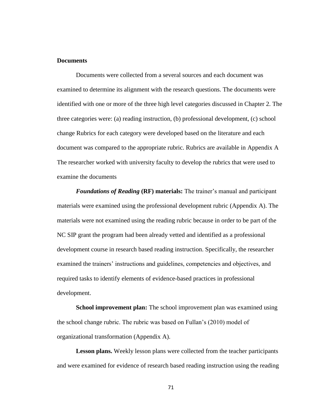# **Documents**

Documents were collected from a several sources and each document was examined to determine its alignment with the research questions. The documents were identified with one or more of the three high level categories discussed in Chapter 2. The three categories were: (a) reading instruction, (b) professional development, (c) school change Rubrics for each category were developed based on the literature and each document was compared to the appropriate rubric. Rubrics are available in Appendix A The researcher worked with university faculty to develop the rubrics that were used to examine the documents

*Foundations of Reading* **(RF) materials:** The trainer's manual and participant materials were examined using the professional development rubric (Appendix A). The materials were not examined using the reading rubric because in order to be part of the NC SIP grant the program had been already vetted and identified as a professional development course in research based reading instruction. Specifically, the researcher examined the trainers' instructions and guidelines, competencies and objectives, and required tasks to identify elements of evidence-based practices in professional development.

**School improvement plan:** The school improvement plan was examined using the school change rubric. The rubric was based on Fullan's (2010) model of organizational transformation (Appendix A).

**Lesson plans.** Weekly lesson plans were collected from the teacher participants and were examined for evidence of research based reading instruction using the reading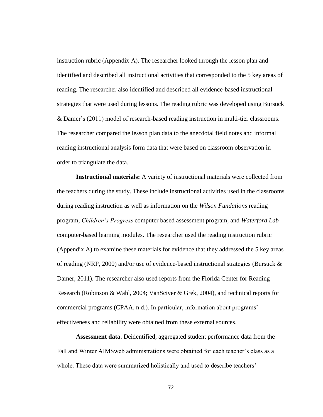instruction rubric (Appendix A). The researcher looked through the lesson plan and identified and described all instructional activities that corresponded to the 5 key areas of reading. The researcher also identified and described all evidence-based instructional strategies that were used during lessons. The reading rubric was developed using Bursuck & Damer's (2011) model of research-based reading instruction in multi-tier classrooms. The researcher compared the lesson plan data to the anecdotal field notes and informal reading instructional analysis form data that were based on classroom observation in order to triangulate the data.

**Instructional materials:** A variety of instructional materials were collected from the teachers during the study. These include instructional activities used in the classrooms during reading instruction as well as information on the *Wilson Fundations* reading program, *Children's Progress* computer based assessment program, and *Waterford Lab* computer-based learning modules. The researcher used the reading instruction rubric (Appendix A) to examine these materials for evidence that they addressed the 5 key areas of reading (NRP, 2000) and/or use of evidence-based instructional strategies (Bursuck  $\&$ Damer, 2011). The researcher also used reports from the Florida Center for Reading Research (Robinson & Wahl, 2004; VanSciver & Grek, 2004), and technical reports for commercial programs (CPAA, n.d.). In particular, information about programs' effectiveness and reliability were obtained from these external sources.

**Assessment data.** Deidentified, aggregated student performance data from the Fall and Winter AIMSweb administrations were obtained for each teacher's class as a whole. These data were summarized holistically and used to describe teachers'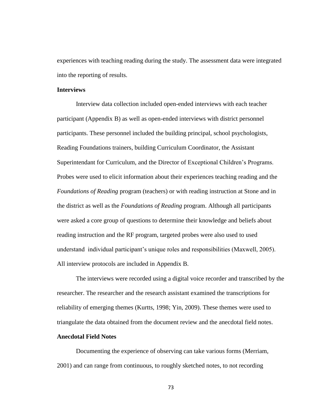experiences with teaching reading during the study. The assessment data were integrated into the reporting of results.

## **Interviews**

Interview data collection included open-ended interviews with each teacher participant (Appendix B) as well as open-ended interviews with district personnel participants. These personnel included the building principal, school psychologists, Reading Foundations trainers, building Curriculum Coordinator, the Assistant Superintendant for Curriculum, and the Director of Exceptional Children's Programs. Probes were used to elicit information about their experiences teaching reading and the *Foundations of Reading* program (teachers) or with reading instruction at Stone and in the district as well as the *Foundations of Reading* program. Although all participants were asked a core group of questions to determine their knowledge and beliefs about reading instruction and the RF program, targeted probes were also used to used understand individual participant's unique roles and responsibilities (Maxwell, 2005). All interview protocols are included in Appendix B.

The interviews were recorded using a digital voice recorder and transcribed by the researcher. The researcher and the research assistant examined the transcriptions for reliability of emerging themes (Kurtts, 1998; Yin, 2009). These themes were used to triangulate the data obtained from the document review and the anecdotal field notes.

# **Anecdotal Field Notes**

Documenting the experience of observing can take various forms (Merriam, 2001) and can range from continuous, to roughly sketched notes, to not recording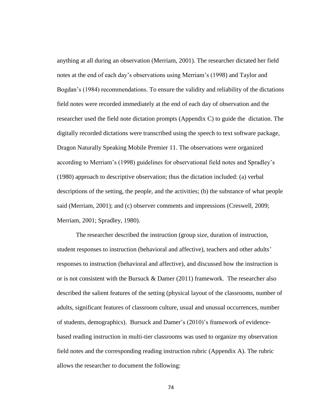anything at all during an observation (Merriam, 2001). The researcher dictated her field notes at the end of each day's observations using Merriam's (1998) and Taylor and Bogdan's (1984) recommendations. To ensure the validity and reliability of the dictations field notes were recorded immediately at the end of each day of observation and the researcher used the field note dictation prompts (Appendix C) to guide the dictation. The digitally recorded dictations were transcribed using the speech to text software package, Dragon Naturally Speaking Mobile Premier 11. The observations were organized according to Merriam's (1998) guidelines for observational field notes and Spradley's (1980) approach to descriptive observation; thus the dictation included: (a) verbal descriptions of the setting, the people, and the activities; (b) the substance of what people said (Merriam, 2001); and (c) observer comments and impressions (Creswell, 2009; Merriam, 2001; Spradley, 1980).

The researcher described the instruction (group size, duration of instruction, student responses to instruction (behavioral and affective), teachers and other adults' responses to instruction (behavioral and affective), and discussed how the instruction is or is not consistent with the Bursuck  $&$  Damer (2011) framework. The researcher also described the salient features of the setting (physical layout of the classrooms, number of adults, significant features of classroom culture, usual and unusual occurrences, number of students, demographics). Bursuck and Damer's (2010)'s framework of evidencebased reading instruction in multi-tier classrooms was used to organize my observation field notes and the corresponding reading instruction rubric (Appendix A). The rubric allows the researcher to document the following: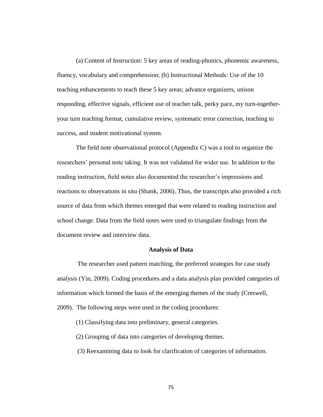(a) Content of Instruction: 5 key areas of reading-phonics, phonemic awareness, fluency, vocabulary and comprehension; (b) Instructional Methods: Use of the 10 teaching enhancements to teach these 5 key areas; advance organizers, unison responding, effective signals, efficient use of teacher talk, perky pace, my turn-togetheryour turn teaching format, cumulative review, systematic error correction, teaching to success, and student motivational system.

The field note observational protocol (Appendix C) was a tool to organize the researchers' personal note taking. It was not validated for wider use. In addition to the reading instruction, field notes also documented the researcher's impressions and reactions to observations in situ (Shank, 2006). Thus, the transcripts also provided a rich source of data from which themes emerged that were related to reading instruction and school change. Data from the field notes were used to triangulate findings from the document review and interview data.

### **Analysis of Data**

The researcher used pattern matching, the preferred strategies for case study analysis (Yin, 2009). Coding procedures and a data analysis plan provided categories of information which formed the basis of the emerging themes of the study (Creswell, 2009). The following steps were used in the coding procedures:

- (1) Classifying data into preliminary, general categories.
- (2) Grouping of data into categories of developing themes.
- (3) Reexamining data to look for clarification of categories of information.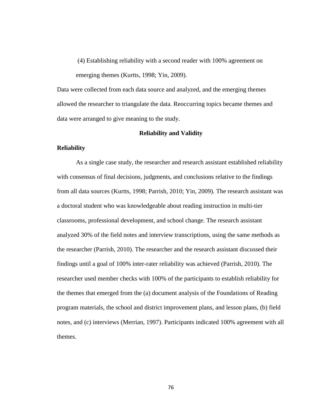(4) Establishing reliability with a second reader with 100% agreement on emerging themes (Kurtts, 1998; Yin, 2009).

Data were collected from each data source and analyzed, and the emerging themes allowed the researcher to triangulate the data. Reoccurring topics became themes and data were arranged to give meaning to the study.

## **Reliability and Validity**

# **Reliability**

As a single case study, the researcher and research assistant established reliability with consensus of final decisions, judgments, and conclusions relative to the findings from all data sources (Kurtts, 1998; Parrish, 2010; Yin, 2009). The research assistant was a doctoral student who was knowledgeable about reading instruction in multi-tier classrooms, professional development, and school change. The research assistant analyzed 30% of the field notes and interview transcriptions, using the same methods as the researcher (Parrish, 2010). The researcher and the research assistant discussed their findings until a goal of 100% inter-rater reliability was achieved (Parrish, 2010). The researcher used member checks with 100% of the participants to establish reliability for the themes that emerged from the (a) document analysis of the Foundations of Reading program materials, the school and district improvement plans, and lesson plans, (b) field notes, and (c) interviews (Merrian, 1997). Participants indicated 100% agreement with all themes.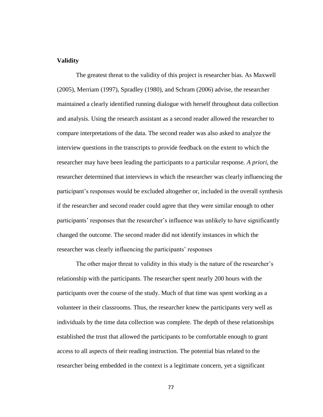## **Validity**

The greatest threat to the validity of this project is researcher bias. As Maxwell (2005), Merriam (1997), Spradley (1980), and Schram (2006) advise, the researcher maintained a clearly identified running dialogue with herself throughout data collection and analysis. Using the research assistant as a second reader allowed the researcher to compare interpretations of the data. The second reader was also asked to analyze the interview questions in the transcripts to provide feedback on the extent to which the researcher may have been leading the participants to a particular response. *A priori*, the researcher determined that interviews in which the researcher was clearly influencing the participant's responses would be excluded altogether or, included in the overall synthesis if the researcher and second reader could agree that they were similar enough to other participants' responses that the researcher's influence was unlikely to have significantly changed the outcome. The second reader did not identify instances in which the researcher was clearly influencing the participants' responses

The other major threat to validity in this study is the nature of the researcher's relationship with the participants. The researcher spent nearly 200 hours with the participants over the course of the study. Much of that time was spent working as a volunteer in their classrooms. Thus, the researcher knew the participants very well as individuals by the time data collection was complete. The depth of these relationships established the trust that allowed the participants to be comfortable enough to grant access to all aspects of their reading instruction. The potential bias related to the researcher being embedded in the context is a legitimate concern, yet a significant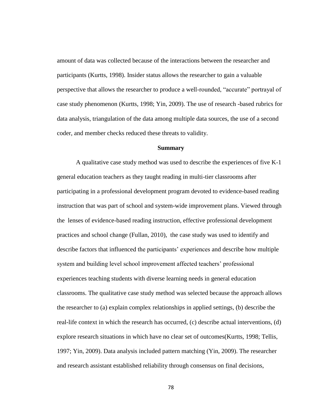amount of data was collected because of the interactions between the researcher and participants (Kurtts, 1998). Insider status allows the researcher to gain a valuable perspective that allows the researcher to produce a well-rounded, "accurate" portrayal of case study phenomenon (Kurtts, 1998; Yin, 2009). The use of research -based rubrics for data analysis, triangulation of the data among multiple data sources, the use of a second coder, and member checks reduced these threats to validity.

# **Summary**

A qualitative case study method was used to describe the experiences of five K-1 general education teachers as they taught reading in multi-tier classrooms after participating in a professional development program devoted to evidence-based reading instruction that was part of school and system-wide improvement plans. Viewed through the lenses of evidence-based reading instruction, effective professional development practices and school change (Fullan, 2010), the case study was used to identify and describe factors that influenced the participants' experiences and describe how multiple system and building level school improvement affected teachers' professional experiences teaching students with diverse learning needs in general education classrooms. The qualitative case study method was selected because the approach allows the researcher to (a) explain complex relationships in applied settings, (b) describe the real-life context in which the research has occurred, (c) describe actual interventions, (d) explore research situations in which have no clear set of outcomes(Kurtts, 1998; Tellis, 1997; Yin, 2009). Data analysis included pattern matching (Yin, 2009). The researcher and research assistant established reliability through consensus on final decisions,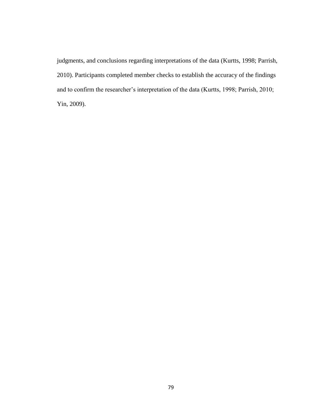judgments, and conclusions regarding interpretations of the data (Kurtts, 1998; Parrish, 2010). Participants completed member checks to establish the accuracy of the findings and to confirm the researcher's interpretation of the data (Kurtts, 1998; Parrish, 2010; Yin, 2009).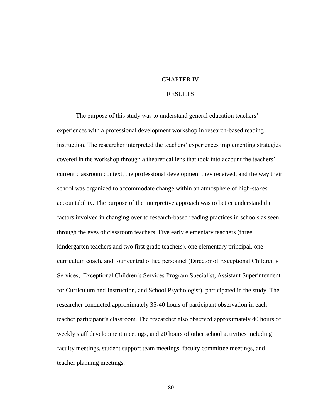# CHAPTER IV

# RESULTS

The purpose of this study was to understand general education teachers' experiences with a professional development workshop in research-based reading instruction. The researcher interpreted the teachers' experiences implementing strategies covered in the workshop through a theoretical lens that took into account the teachers' current classroom context, the professional development they received, and the way their school was organized to accommodate change within an atmosphere of high-stakes accountability. The purpose of the interpretive approach was to better understand the factors involved in changing over to research-based reading practices in schools as seen through the eyes of classroom teachers. Five early elementary teachers (three kindergarten teachers and two first grade teachers), one elementary principal, one curriculum coach, and four central office personnel (Director of Exceptional Children's Services, Exceptional Children's Services Program Specialist, Assistant Superintendent for Curriculum and Instruction, and School Psychologist), participated in the study. The researcher conducted approximately 35-40 hours of participant observation in each teacher participant's classroom. The researcher also observed approximately 40 hours of weekly staff development meetings, and 20 hours of other school activities including faculty meetings, student support team meetings, faculty committee meetings, and teacher planning meetings.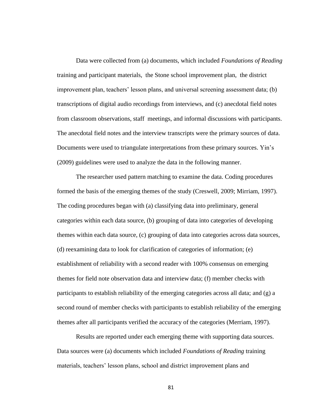Data were collected from (a) documents, which included *Foundations of Reading*  training and participant materials, the Stone school improvement plan, the district improvement plan, teachers' lesson plans, and universal screening assessment data; (b) transcriptions of digital audio recordings from interviews, and (c) anecdotal field notes from classroom observations, staff meetings, and informal discussions with participants. The anecdotal field notes and the interview transcripts were the primary sources of data. Documents were used to triangulate interpretations from these primary sources. Yin's (2009) guidelines were used to analyze the data in the following manner.

The researcher used pattern matching to examine the data. Coding procedures formed the basis of the emerging themes of the study (Creswell, 2009; Mirriam, 1997). The coding procedures began with (a) classifying data into preliminary, general categories within each data source, (b) grouping of data into categories of developing themes within each data source, (c) grouping of data into categories across data sources, (d) reexamining data to look for clarification of categories of information; (e) establishment of reliability with a second reader with 100% consensus on emerging themes for field note observation data and interview data; (f) member checks with participants to establish reliability of the emerging categories across all data; and (g) a second round of member checks with participants to establish reliability of the emerging themes after all participants verified the accuracy of the categories (Merriam, 1997).

Results are reported under each emerging theme with supporting data sources. Data sources were (a) documents which included *Foundations of Reading* training materials, teachers' lesson plans, school and district improvement plans and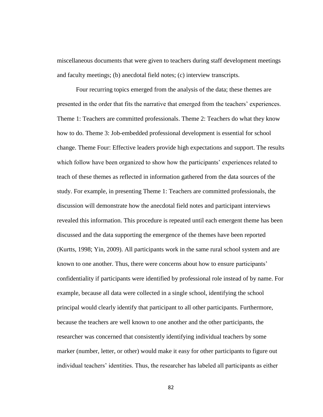miscellaneous documents that were given to teachers during staff development meetings and faculty meetings; (b) anecdotal field notes; (c) interview transcripts.

Four recurring topics emerged from the analysis of the data; these themes are presented in the order that fits the narrative that emerged from the teachers' experiences. Theme 1: Teachers are committed professionals. Theme 2: Teachers do what they know how to do. Theme 3: Job-embedded professional development is essential for school change. Theme Four: Effective leaders provide high expectations and support. The results which follow have been organized to show how the participants' experiences related to teach of these themes as reflected in information gathered from the data sources of the study. For example, in presenting Theme 1: Teachers are committed professionals, the discussion will demonstrate how the anecdotal field notes and participant interviews revealed this information. This procedure is repeated until each emergent theme has been discussed and the data supporting the emergence of the themes have been reported (Kurtts, 1998; Yin, 2009). All participants work in the same rural school system and are known to one another. Thus, there were concerns about how to ensure participants' confidentiality if participants were identified by professional role instead of by name. For example, because all data were collected in a single school, identifying the school principal would clearly identify that participant to all other participants. Furthermore, because the teachers are well known to one another and the other participants, the researcher was concerned that consistently identifying individual teachers by some marker (number, letter, or other) would make it easy for other participants to figure out individual teachers' identities. Thus, the researcher has labeled all participants as either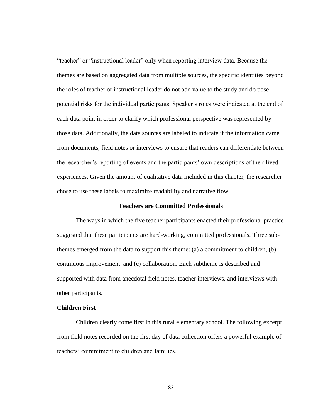"teacher" or "instructional leader" only when reporting interview data. Because the themes are based on aggregated data from multiple sources, the specific identities beyond the roles of teacher or instructional leader do not add value to the study and do pose potential risks for the individual participants. Speaker's roles were indicated at the end of each data point in order to clarify which professional perspective was represented by those data. Additionally, the data sources are labeled to indicate if the information came from documents, field notes or interviews to ensure that readers can differentiate between the researcher's reporting of events and the participants' own descriptions of their lived experiences. Given the amount of qualitative data included in this chapter, the researcher chose to use these labels to maximize readability and narrative flow.

# **Teachers are Committed Professionals**

The ways in which the five teacher participants enacted their professional practice suggested that these participants are hard-working, committed professionals. Three subthemes emerged from the data to support this theme: (a) a commitment to children, (b) continuous improvement and (c) collaboration. Each subtheme is described and supported with data from anecdotal field notes, teacher interviews, and interviews with other participants.

#### **Children First**

Children clearly come first in this rural elementary school. The following excerpt from field notes recorded on the first day of data collection offers a powerful example of teachers' commitment to children and families.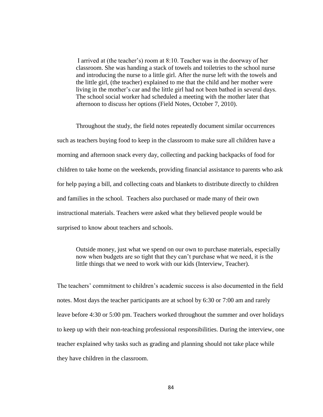I arrived at (the teacher's) room at 8:10. Teacher was in the doorway of her classroom. She was handing a stack of towels and toiletries to the school nurse and introducing the nurse to a little girl. After the nurse left with the towels and the little girl, (the teacher) explained to me that the child and her mother were living in the mother's car and the little girl had not been bathed in several days. The school social worker had scheduled a meeting with the mother later that afternoon to discuss her options (Field Notes, October 7, 2010).

Throughout the study, the field notes repeatedly document similar occurrences such as teachers buying food to keep in the classroom to make sure all children have a morning and afternoon snack every day, collecting and packing backpacks of food for children to take home on the weekends, providing financial assistance to parents who ask for help paying a bill, and collecting coats and blankets to distribute directly to children and families in the school. Teachers also purchased or made many of their own instructional materials. Teachers were asked what they believed people would be surprised to know about teachers and schools.

Outside money, just what we spend on our own to purchase materials, especially now when budgets are so tight that they can't purchase what we need, it is the little things that we need to work with our kids (Interview, Teacher).

The teachers' commitment to children's academic success is also documented in the field notes. Most days the teacher participants are at school by 6:30 or 7:00 am and rarely leave before 4:30 or 5:00 pm. Teachers worked throughout the summer and over holidays to keep up with their non-teaching professional responsibilities. During the interview, one teacher explained why tasks such as grading and planning should not take place while they have children in the classroom.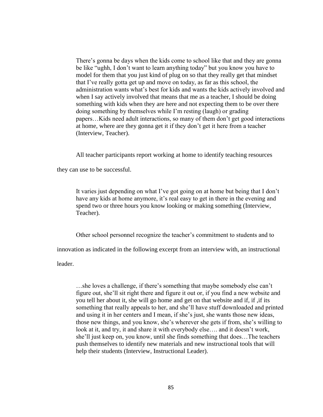There's gonna be days when the kids come to school like that and they are gonna be like "ughh, I don't want to learn anything today" but you know you have to model for them that you just kind of plug on so that they really get that mindset that I've really gotta get up and move on today, as far as this school, the administration wants what's best for kids and wants the kids actively involved and when I say actively involved that means that me as a teacher, I should be doing something with kids when they are here and not expecting them to be over there doing something by themselves while I'm resting (laugh) or grading papers…Kids need adult interactions, so many of them don't get good interactions at home, where are they gonna get it if they don't get it here from a teacher (Interview, Teacher).

All teacher participants report working at home to identify teaching resources

they can use to be successful.

It varies just depending on what I've got going on at home but being that I don't have any kids at home anymore, it's real easy to get in there in the evening and spend two or three hours you know looking or making something (Interview, Teacher).

Other school personnel recognize the teacher's commitment to students and to

innovation as indicated in the following excerpt from an interview with, an instructional

leader.

…she loves a challenge, if there's something that maybe somebody else can't figure out, she'll sit right there and figure it out or, if you find a new website and you tell her about it, she will go home and get on that website and if, if ,if its something that really appeals to her, and she'll have stuff downloaded and printed and using it in her centers and I mean, if she's just, she wants those new ideas, those new things, and you know, she's wherever she gets if from, she's willing to look at it, and try, it and share it with everybody else…. and it doesn't work, she'll just keep on, you know, until she finds something that does…The teachers push themselves to identify new materials and new instructional tools that will help their students (Interview, Instructional Leader).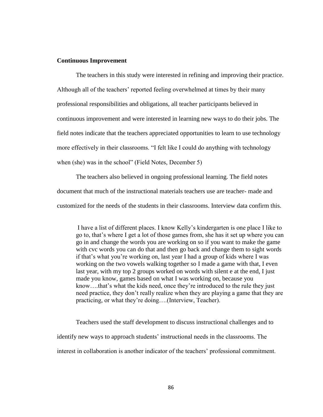## **Continuous Improvement**

The teachers in this study were interested in refining and improving their practice. Although all of the teachers' reported feeling overwhelmed at times by their many professional responsibilities and obligations, all teacher participants believed in continuous improvement and were interested in learning new ways to do their jobs. The field notes indicate that the teachers appreciated opportunities to learn to use technology more effectively in their classrooms. "I felt like I could do anything with technology when (she) was in the school" (Field Notes, December 5)

The teachers also believed in ongoing professional learning. The field notes document that much of the instructional materials teachers use are teacher- made and customized for the needs of the students in their classrooms. Interview data confirm this.

I have a list of different places. I know Kelly's kindergarten is one place I like to go to, that's where I get a lot of those games from, she has it set up where you can go in and change the words you are working on so if you want to make the game with cvc words you can do that and then go back and change them to sight words if that's what you're working on, last year I had a group of kids where I was working on the two vowels walking together so I made a game with that, I even last year, with my top 2 groups worked on words with silent e at the end, I just made you know, games based on what I was working on, because you know….that's what the kids need, once they're introduced to the rule they just need practice, they don't really realize when they are playing a game that they are practicing, or what they're doing….(Interview, Teacher).

Teachers used the staff development to discuss instructional challenges and to identify new ways to approach students' instructional needs in the classrooms. The interest in collaboration is another indicator of the teachers' professional commitment.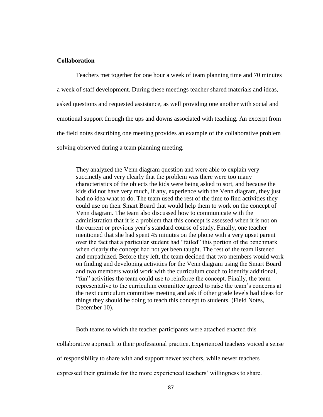# **Collaboration**

Teachers met together for one hour a week of team planning time and 70 minutes a week of staff development. During these meetings teacher shared materials and ideas, asked questions and requested assistance, as well providing one another with social and emotional support through the ups and downs associated with teaching. An excerpt from the field notes describing one meeting provides an example of the collaborative problem solving observed during a team planning meeting.

They analyzed the Venn diagram question and were able to explain very succinctly and very clearly that the problem was there were too many characteristics of the objects the kids were being asked to sort, and because the kids did not have very much, if any, experience with the Venn diagram, they just had no idea what to do. The team used the rest of the time to find activities they could use on their Smart Board that would help them to work on the concept of Venn diagram. The team also discussed how to communicate with the administration that it is a problem that this concept is assessed when it is not on the current or previous year's standard course of study. Finally, one teacher mentioned that she had spent 45 minutes on the phone with a very upset parent over the fact that a particular student had "failed" this portion of the benchmark when clearly the concept had not yet been taught. The rest of the team listened and empathized. Before they left, the team decided that two members would work on finding and developing activities for the Venn diagram using the Smart Board and two members would work with the curriculum coach to identify additional, ―fun‖ activities the team could use to reinforce the concept. Finally, the team representative to the curriculum committee agreed to raise the team's concerns at the next curriculum committee meeting and ask if other grade levels had ideas for things they should be doing to teach this concept to students. (Field Notes, December 10).

Both teams to which the teacher participants were attached enacted this collaborative approach to their professional practice. Experienced teachers voiced a sense of responsibility to share with and support newer teachers, while newer teachers expressed their gratitude for the more experienced teachers' willingness to share.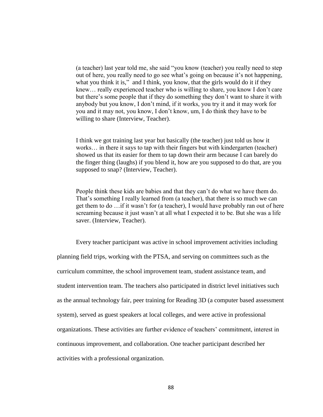(a teacher) last year told me, she said "you know (teacher) you really need to step out of here, you really need to go see what's going on because it's not happening, what you think it is," and I think, you know, that the girls would do it if they knew… really experienced teacher who is willing to share, you know I don't care but there's some people that if they do something they don't want to share it with anybody but you know, I don't mind, if it works, you try it and it may work for you and it may not, you know, I don't know, um, I do think they have to be willing to share (Interview, Teacher).

I think we got training last year but basically (the teacher) just told us how it works… in there it says to tap with their fingers but with kindergarten (teacher) showed us that its easier for them to tap down their arm because I can barely do the finger thing (laughs) if you blend it, how are you supposed to do that, are you supposed to snap? (Interview, Teacher).

People think these kids are babies and that they can't do what we have them do. That's something I really learned from (a teacher), that there is so much we can get them to do …if it wasn't for (a teacher), I would have probably ran out of here screaming because it just wasn't at all what I expected it to be. But she was a life saver. (Interview, Teacher).

Every teacher participant was active in school improvement activities including planning field trips, working with the PTSA, and serving on committees such as the curriculum committee, the school improvement team, student assistance team, and student intervention team. The teachers also participated in district level initiatives such as the annual technology fair, peer training for Reading 3D (a computer based assessment system), served as guest speakers at local colleges, and were active in professional organizations. These activities are further evidence of teachers' commitment, interest in continuous improvement, and collaboration. One teacher participant described her activities with a professional organization.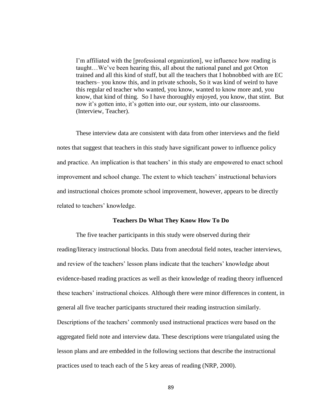I'm affiliated with the [professional organization], we influence how reading is taught…We've been hearing this, all about the national panel and got Orton trained and all this kind of stuff, but all the teachers that I hobnobbed with are EC teachers– you know this, and in private schools, So it was kind of weird to have this regular ed teacher who wanted, you know, wanted to know more and, you know, that kind of thing. So I have thoroughly enjoyed, you know, that stint. But now it's gotten into, it's gotten into our, our system, into our classrooms. (Interview, Teacher).

These interview data are consistent with data from other interviews and the field notes that suggest that teachers in this study have significant power to influence policy and practice. An implication is that teachers' in this study are empowered to enact school improvement and school change. The extent to which teachers' instructional behaviors and instructional choices promote school improvement, however, appears to be directly related to teachers' knowledge.

#### **Teachers Do What They Know How To Do**

The five teacher participants in this study were observed during their reading/literacy instructional blocks. Data from anecdotal field notes, teacher interviews, and review of the teachers' lesson plans indicate that the teachers' knowledge about evidence-based reading practices as well as their knowledge of reading theory influenced these teachers' instructional choices. Although there were minor differences in content, in general all five teacher participants structured their reading instruction similarly. Descriptions of the teachers' commonly used instructional practices were based on the aggregated field note and interview data. These descriptions were triangulated using the lesson plans and are embedded in the following sections that describe the instructional practices used to teach each of the 5 key areas of reading (NRP, 2000).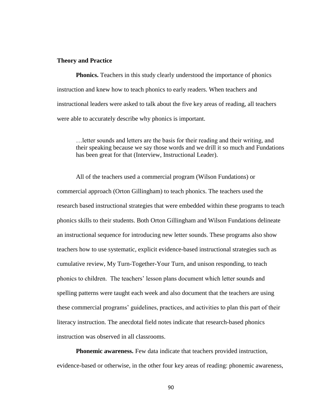### **Theory and Practice**

**Phonics.** Teachers in this study clearly understood the importance of phonics instruction and knew how to teach phonics to early readers. When teachers and instructional leaders were asked to talk about the five key areas of reading, all teachers were able to accurately describe why phonics is important.

…letter sounds and letters are the basis for their reading and their writing, and their speaking because we say those words and we drill it so much and Fundations has been great for that (Interview, Instructional Leader).

All of the teachers used a commercial program (Wilson Fundations) or commercial approach (Orton Gillingham) to teach phonics. The teachers used the research based instructional strategies that were embedded within these programs to teach phonics skills to their students. Both Orton Gillingham and Wilson Fundations delineate an instructional sequence for introducing new letter sounds. These programs also show teachers how to use systematic, explicit evidence-based instructional strategies such as cumulative review, My Turn-Together-Your Turn, and unison responding, to teach phonics to children. The teachers' lesson plans document which letter sounds and spelling patterns were taught each week and also document that the teachers are using these commercial programs' guidelines, practices, and activities to plan this part of their literacy instruction. The anecdotal field notes indicate that research-based phonics instruction was observed in all classrooms.

**Phonemic awareness.** Few data indicate that teachers provided instruction, evidence-based or otherwise, in the other four key areas of reading: phonemic awareness,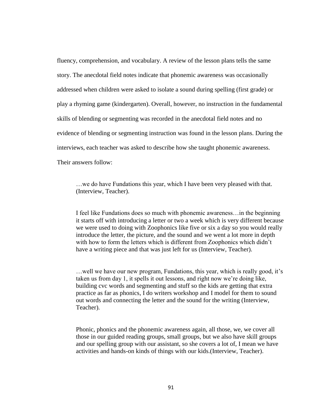fluency, comprehension, and vocabulary. A review of the lesson plans tells the same story. The anecdotal field notes indicate that phonemic awareness was occasionally addressed when children were asked to isolate a sound during spelling (first grade) or play a rhyming game (kindergarten). Overall, however, no instruction in the fundamental skills of blending or segmenting was recorded in the anecdotal field notes and no evidence of blending or segmenting instruction was found in the lesson plans. During the interviews, each teacher was asked to describe how she taught phonemic awareness. Their answers follow:

…we do have Fundations this year, which I have been very pleased with that. (Interview, Teacher).

I feel like Fundations does so much with phonemic awareness…in the beginning it starts off with introducing a letter or two a week which is very different because we were used to doing with Zoophonics like five or six a day so you would really introduce the letter, the picture, and the sound and we went a lot more in depth with how to form the letters which is different from Zoophonics which didn't have a writing piece and that was just left for us (Interview, Teacher).

…well we have our new program, Fundations, this year, which is really good, it's taken us from day 1, it spells it out lessons, and right now we're doing like, building cvc words and segmenting and stuff so the kids are getting that extra practice as far as phonics, I do writers workshop and I model for them to sound out words and connecting the letter and the sound for the writing (Interview, Teacher).

Phonic, phonics and the phonemic awareness again, all those, we, we cover all those in our guided reading groups, small groups, but we also have skill groups and our spelling group with our assistant, so she covers a lot of, I mean we have activities and hands-on kinds of things with our kids.(Interview, Teacher).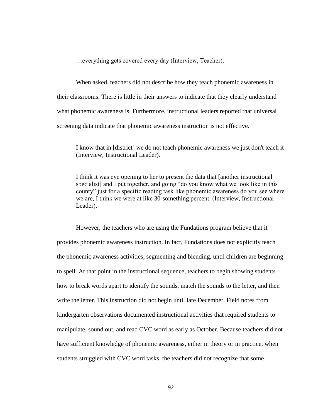…everything gets covered every day (Interview, Teacher).

When asked, teachers did not describe how they teach phonemic awareness in their classrooms. There is little in their answers to indicate that they clearly understand what phonemic awareness is. Furthermore, instructional leaders reported that universal screening data indicate that phonemic awareness instruction is not effective.

I know that in [district] we do not teach phonemic awareness we just don't teach it (Interview, Instructional Leader).

I think it was eye opening to her to present the data that [another instructional specialist] and I put together, and going "do you know what we look like in this county" just for a specific reading task like phonemic awareness do you see where we are, I think we were at like 30-something percent. (Interview, Instructional Leader).

However, the teachers who are using the Fundations program believe that it provides phonemic awareness instruction. In fact, Fundations does not explicitly teach the phonemic awareness activities, segmenting and blending, until children are beginning to spell. At that point in the instructional sequence, teachers to begin showing students how to break words apart to identify the sounds, match the sounds to the letter, and then write the letter. This instruction did not begin until late December. Field notes from kindergarten observations documented instructional activities that required students to manipulate, sound out, and read CVC word as early as October. Because teachers did not have sufficient knowledge of phonemic awareness, either in theory or in practice, when students struggled with CVC word tasks, the teachers did not recognize that some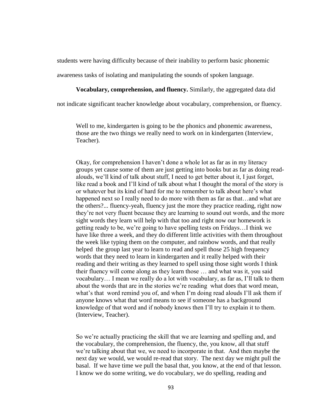students were having difficulty because of their inability to perform basic phonemic

awareness tasks of isolating and manipulating the sounds of spoken language.

# **Vocabulary, comprehension, and fluency.** Similarly, the aggregated data did

not indicate significant teacher knowledge about vocabulary, comprehension, or fluency.

Well to me, kindergarten is going to be the phonics and phonemic awareness, those are the two things we really need to work on in kindergarten (Interview, Teacher).

Okay, for comprehension I haven't done a whole lot as far as in my literacy groups yet cause some of them are just getting into books but as far as doing readalouds, we'll kind of talk about stuff, I need to get better about it, I just forget, like read a book and I'll kind of talk about what I thought the moral of the story is or whatever but its kind of hard for me to remember to talk about here's what happened next so I really need to do more with them as far as that…and what are the others?... fluency-yeah, fluency just the more they practice reading, right now they're not very fluent because they are learning to sound out words, and the more sight words they learn will help with that too and right now our homework is getting ready to be, we're going to have spelling tests on Fridays…I think we have like three a week, and they do different little activities with them throughout the week like typing them on the computer, and rainbow words, and that really helped the group last year to learn to read and spell those 25 high frequency words that they need to learn in kindergarten and it really helped with their reading and their writing as they learned to spell using those sight words I think their fluency will come along as they learn those … and what was it, you said vocabulary… I mean we really do a lot with vocabulary, as far as, I'll talk to them about the words that are in the stories we're reading what does that word mean, what's that word remind you of, and when I'm doing read alouds I'll ask them if anyone knows what that word means to see if someone has a background knowledge of that word and if nobody knows then I'll try to explain it to them. (Interview, Teacher).

So we're actually practicing the skill that we are learning and spelling and, and the vocabulary, the comprehension, the fluency, the, you know, all that stuff we're talking about that we, we need to incorporate in that. And then maybe the next day we would, we would re-read that story. The next day we might pull the basal. If we have time we pull the basal that, you know, at the end of that lesson. I know we do some writing, we do vocabulary, we do spelling, reading and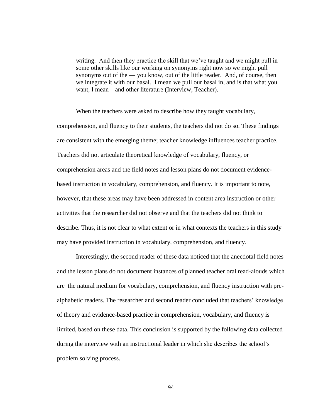writing. And then they practice the skill that we've taught and we might pull in some other skills like our working on synonyms right now so we might pull synonyms out of the — you know, out of the little reader. And, of course, then we integrate it with our basal. I mean we pull our basal in, and is that what you want, I mean – and other literature (Interview, Teacher).

When the teachers were asked to describe how they taught vocabulary, comprehension, and fluency to their students, the teachers did not do so. These findings are consistent with the emerging theme; teacher knowledge influences teacher practice. Teachers did not articulate theoretical knowledge of vocabulary, fluency, or comprehension areas and the field notes and lesson plans do not document evidencebased instruction in vocabulary, comprehension, and fluency. It is important to note, however, that these areas may have been addressed in content area instruction or other activities that the researcher did not observe and that the teachers did not think to describe. Thus, it is not clear to what extent or in what contexts the teachers in this study may have provided instruction in vocabulary, comprehension, and fluency.

Interestingly, the second reader of these data noticed that the anecdotal field notes and the lesson plans do not document instances of planned teacher oral read-alouds which are the natural medium for vocabulary, comprehension, and fluency instruction with prealphabetic readers. The researcher and second reader concluded that teachers' knowledge of theory and evidence-based practice in comprehension, vocabulary, and fluency is limited, based on these data. This conclusion is supported by the following data collected during the interview with an instructional leader in which she describes the school's problem solving process.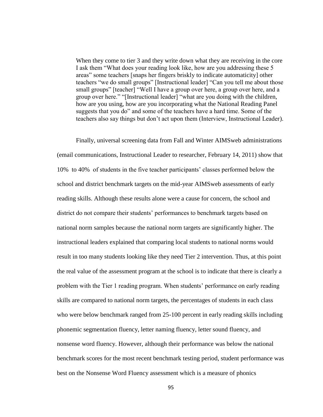When they come to tier 3 and they write down what they are receiving in the core I ask them "What does your reading look like, how are you addressing these 5 areas‖ some teachers [snaps her fingers briskly to indicate automaticity] other teachers "we do small groups" [Instructional leader] "Can you tell me about those small groups" [teacher] "Well I have a group over here, a group over here, and a group over here." "[Instructional leader] "what are you doing with the children, how are you using, how are you incorporating what the National Reading Panel suggests that you do" and some of the teachers have a hard time. Some of the teachers also say things but don't act upon them (Interview, Instructional Leader).

Finally, universal screening data from Fall and Winter AIMSweb administrations (email communications, Instructional Leader to researcher, February 14, 2011) show that 10% to 40% of students in the five teacher participants' classes performed below the school and district benchmark targets on the mid-year AIMSweb assessments of early reading skills. Although these results alone were a cause for concern, the school and district do not compare their students' performances to benchmark targets based on national norm samples because the national norm targets are significantly higher. The instructional leaders explained that comparing local students to national norms would result in too many students looking like they need Tier 2 intervention. Thus, at this point the real value of the assessment program at the school is to indicate that there is clearly a problem with the Tier 1 reading program. When students' performance on early reading skills are compared to national norm targets, the percentages of students in each class who were below benchmark ranged from 25-100 percent in early reading skills including phonemic segmentation fluency, letter naming fluency, letter sound fluency, and nonsense word fluency. However, although their performance was below the national benchmark scores for the most recent benchmark testing period, student performance was best on the Nonsense Word Fluency assessment which is a measure of phonics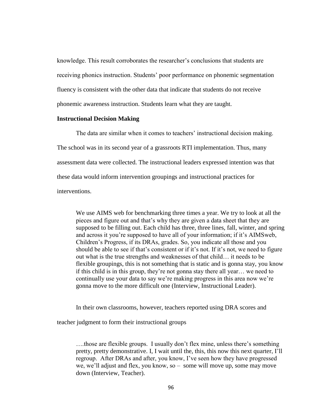knowledge. This result corroborates the researcher's conclusions that students are receiving phonics instruction. Students' poor performance on phonemic segmentation fluency is consistent with the other data that indicate that students do not receive phonemic awareness instruction. Students learn what they are taught.

# **Instructional Decision Making**

The data are similar when it comes to teachers' instructional decision making. The school was in its second year of a grassroots RTI implementation. Thus, many assessment data were collected. The instructional leaders expressed intention was that these data would inform intervention groupings and instructional practices for interventions.

We use AIMS web for benchmarking three times a year. We try to look at all the pieces and figure out and that's why they are given a data sheet that they are supposed to be filling out. Each child has three, three lines, fall, winter, and spring and across it you're supposed to have all of your information; if it's AIMSweb, Children's Progress, if its DRAs, grades. So, you indicate all those and you should be able to see if that's consistent or if it's not. If it's not, we need to figure out what is the true strengths and weaknesses of that child… it needs to be flexible groupings, this is not something that is static and is gonna stay, you know if this child is in this group, they're not gonna stay there all year… we need to continually use your data to say we're making progress in this area now we're gonna move to the more difficult one (Interview, Instructional Leader).

In their own classrooms, however, teachers reported using DRA scores and

teacher judgment to form their instructional groups

….those are flexible groups. I usually don't flex mine, unless there's something pretty, pretty demonstrative. I, I wait until the, this, this now this next quarter, I'll regroup. After DRAs and after, you know, I've seen how they have progressed we, we'll adjust and flex, you know, so – some will move up, some may move down (Interview, Teacher).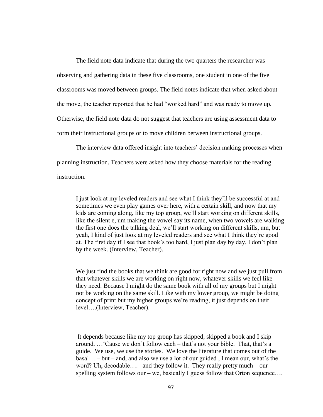The field note data indicate that during the two quarters the researcher was observing and gathering data in these five classrooms, one student in one of the five classrooms was moved between groups. The field notes indicate that when asked about the move, the teacher reported that he had "worked hard" and was ready to move up. Otherwise, the field note data do not suggest that teachers are using assessment data to form their instructional groups or to move children between instructional groups.

The interview data offered insight into teachers' decision making processes when planning instruction. Teachers were asked how they choose materials for the reading instruction.

I just look at my leveled readers and see what I think they'll be successful at and sometimes we even play games over here, with a certain skill, and now that my kids are coming along, like my top group, we'll start working on different skills, like the silent e, um making the vowel say its name, when two vowels are walking the first one does the talking deal, we'll start working on different skills, um, but yeah, I kind of just look at my leveled readers and see what I think they're good at. The first day if I see that book's too hard, I just plan day by day, I don't plan by the week. (Interview, Teacher).

We just find the books that we think are good for right now and we just pull from that whatever skills we are working on right now, whatever skills we feel like they need. Because I might do the same book with all of my groups but I might not be working on the same skill. Like with my lower group, we might be doing concept of print but my higher groups we're reading, it just depends on their level….(Interview, Teacher).

It depends because like my top group has skipped, skipped a book and I skip around. …‗Cause we don't follow each – that's not your bible. That, that's a guide. We use, we use the stories. We love the literature that comes out of the basal….– but – and, and also we use a lot of our guided , I mean our, what's the word? Uh, decodable....- and they follow it. They really pretty much – our spelling system follows our – we, basically I guess follow that Orton sequence....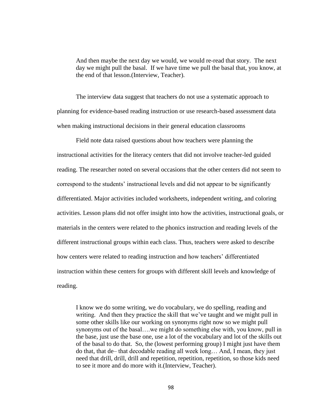And then maybe the next day we would, we would re-read that story. The next day we might pull the basal. If we have time we pull the basal that, you know, at the end of that lesson.(Interview, Teacher).

The interview data suggest that teachers do not use a systematic approach to planning for evidence-based reading instruction or use research-based assessment data when making instructional decisions in their general education classrooms

Field note data raised questions about how teachers were planning the instructional activities for the literacy centers that did not involve teacher-led guided reading. The researcher noted on several occasions that the other centers did not seem to correspond to the students' instructional levels and did not appear to be significantly differentiated. Major activities included worksheets, independent writing, and coloring activities. Lesson plans did not offer insight into how the activities, instructional goals, or materials in the centers were related to the phonics instruction and reading levels of the different instructional groups within each class. Thus, teachers were asked to describe how centers were related to reading instruction and how teachers' differentiated instruction within these centers for groups with different skill levels and knowledge of reading.

I know we do some writing, we do vocabulary, we do spelling, reading and writing. And then they practice the skill that we've taught and we might pull in some other skills like our working on synonyms right now so we might pull synonyms out of the basal….we might do something else with, you know, pull in the base, just use the base one, use a lot of the vocabulary and lot of the skills out of the basal to do that. So, the (lowest performing group) I might just have them do that, that de– that decodable reading all week long… And, I mean, they just need that drill, drill, drill and repetition, repetition, repetition, so those kids need to see it more and do more with it.(Interview, Teacher).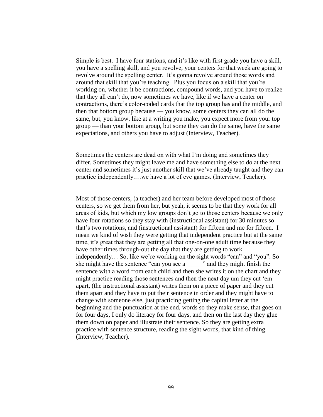Simple is best. I have four stations, and it's like with first grade you have a skill, you have a spelling skill, and you revolve, your centers for that week are going to revolve around the spelling center. It's gonna revolve around those words and around that skill that you're teaching. Plus you focus on a skill that you're working on, whether it be contractions, compound words, and you have to realize that they all can't do, now sometimes we have, like if we have a center on contractions, there's color-coded cards that the top group has and the middle, and then that bottom group because –– you know, some centers they can all do the same, but, you know, like at a writing you make, you expect more from your top group –– than your bottom group, but some they can do the same, have the same expectations, and others you have to adjust (Interview, Teacher).

Sometimes the centers are dead on with what I'm doing and sometimes they differ. Sometimes they might leave me and have something else to do at the next center and sometimes it's just another skill that we've already taught and they can practice independently.…we have a lot of cvc games. (Interview, Teacher).

Most of those centers, (a teacher) and her team before developed most of those centers, so we get them from her, but yeah, it seems to be that they work for all areas of kids, but which my low groups don't go to those centers because we only have four rotations so they stay with (instructional assistant) for 30 minutes so that's two rotations, and (instructional assistant) for fifteen and me for fifteen. I mean we kind of wish they were getting that independent practice but at the same time, it's great that they are getting all that one-on-one adult time because they have other times through-out the day that they are getting to work independently... So, like we're working on the sight words "can" and "you". So she might have the sentence "can you see a \_\_\_\_\_\_ " and they might finish the sentence with a word from each child and then she writes it on the chart and they might practice reading those sentences and then the next day um they cut 'emapart, (the instructional assistant) writes them on a piece of paper and they cut them apart and they have to put their sentence in order and they might have to change with someone else, just practicing getting the capital letter at the beginning and the punctuation at the end, words so they make sense, that goes on for four days, I only do literacy for four days, and then on the last day they glue them down on paper and illustrate their sentence. So they are getting extra practice with sentence structure, reading the sight words, that kind of thing. (Interview, Teacher).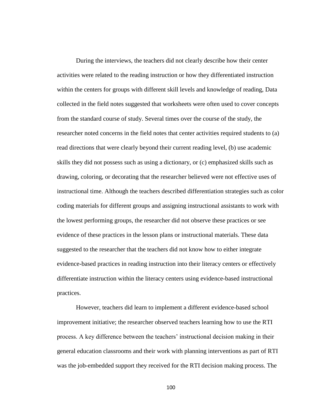During the interviews, the teachers did not clearly describe how their center activities were related to the reading instruction or how they differentiated instruction within the centers for groups with different skill levels and knowledge of reading, Data collected in the field notes suggested that worksheets were often used to cover concepts from the standard course of study. Several times over the course of the study, the researcher noted concerns in the field notes that center activities required students to (a) read directions that were clearly beyond their current reading level, (b) use academic skills they did not possess such as using a dictionary, or (c) emphasized skills such as drawing, coloring, or decorating that the researcher believed were not effective uses of instructional time. Although the teachers described differentiation strategies such as color coding materials for different groups and assigning instructional assistants to work with the lowest performing groups, the researcher did not observe these practices or see evidence of these practices in the lesson plans or instructional materials. These data suggested to the researcher that the teachers did not know how to either integrate evidence-based practices in reading instruction into their literacy centers or effectively differentiate instruction within the literacy centers using evidence-based instructional practices.

However, teachers did learn to implement a different evidence-based school improvement initiative; the researcher observed teachers learning how to use the RTI process. A key difference between the teachers' instructional decision making in their general education classrooms and their work with planning interventions as part of RTI was the job-embedded support they received for the RTI decision making process. The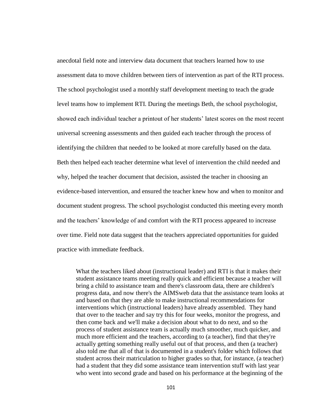anecdotal field note and interview data document that teachers learned how to use assessment data to move children between tiers of intervention as part of the RTI process. The school psychologist used a monthly staff development meeting to teach the grade level teams how to implement RTI. During the meetings Beth, the school psychologist, showed each individual teacher a printout of her students' latest scores on the most recent universal screening assessments and then guided each teacher through the process of identifying the children that needed to be looked at more carefully based on the data. Beth then helped each teacher determine what level of intervention the child needed and why, helped the teacher document that decision, assisted the teacher in choosing an evidence-based intervention, and ensured the teacher knew how and when to monitor and document student progress. The school psychologist conducted this meeting every month and the teachers' knowledge of and comfort with the RTI process appeared to increase over time. Field note data suggest that the teachers appreciated opportunities for guided practice with immediate feedback.

What the teachers liked about (instructional leader) and RTI is that it makes their student assistance teams meeting really quick and efficient because a teacher will bring a child to assistance team and there's classroom data, there are children's progress data, and now there's the AIMSweb data that the assistance team looks at and based on that they are able to make instructional recommendations for interventions which (instructional leaders) have already assembled. They hand that over to the teacher and say try this for four weeks, monitor the progress, and then come back and we'll make a decision about what to do next, and so the process of student assistance team is actually much smoother, much quicker, and much more efficient and the teachers, according to (a teacher), find that they're actually getting something really useful out of that process, and then (a teacher) also told me that all of that is documented in a student's folder which follows that student across their matriculation to higher grades so that, for instance, (a teacher) had a student that they did some assistance team intervention stuff with last year who went into second grade and based on his performance at the beginning of the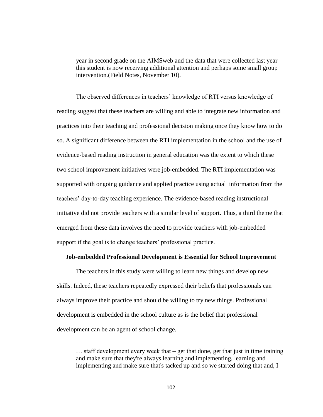year in second grade on the AIMSweb and the data that were collected last year this student is now receiving additional attention and perhaps some small group intervention.(Field Notes, November 10).

The observed differences in teachers' knowledge of RTI versus knowledge of reading suggest that these teachers are willing and able to integrate new information and practices into their teaching and professional decision making once they know how to do so. A significant difference between the RTI implementation in the school and the use of evidence-based reading instruction in general education was the extent to which these two school improvement initiatives were job-embedded. The RTI implementation was supported with ongoing guidance and applied practice using actual information from the teachers' day-to-day teaching experience. The evidence-based reading instructional initiative did not provide teachers with a similar level of support. Thus, a third theme that emerged from these data involves the need to provide teachers with job-embedded support if the goal is to change teachers' professional practice.

#### **Job-embedded Professional Development is Essential for School Improvement**

The teachers in this study were willing to learn new things and develop new skills. Indeed, these teachers repeatedly expressed their beliefs that professionals can always improve their practice and should be willing to try new things. Professional development is embedded in the school culture as is the belief that professional development can be an agent of school change.

 $\ldots$  staff development every week that – get that done, get that just in time training and make sure that they're always learning and implementing, learning and implementing and make sure that's tacked up and so we started doing that and, I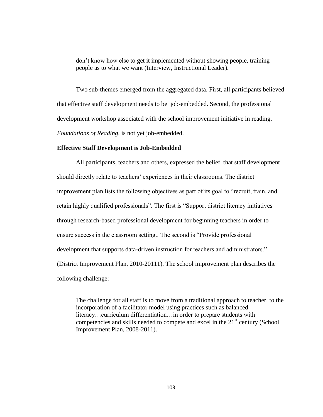don't know how else to get it implemented without showing people, training people as to what we want (Interview, Instructional Leader).

Two sub-themes emerged from the aggregated data. First, all participants believed that effective staff development needs to be job-embedded. Second, the professional development workshop associated with the school improvement initiative in reading, *Foundations of Reading*, is not yet job-embedded.

## **Effective Staff Development is Job-Embedded**

All participants, teachers and others, expressed the belief that staff development should directly relate to teachers' experiences in their classrooms. The district improvement plan lists the following objectives as part of its goal to "recruit, train, and retain highly qualified professionals". The first is "Support district literacy initiatives through research-based professional development for beginning teachers in order to ensure success in the classroom setting.. The second is "Provide professional development that supports data-driven instruction for teachers and administrators." (District Improvement Plan, 2010-20111). The school improvement plan describes the following challenge:

The challenge for all staff is to move from a traditional approach to teacher, to the incorporation of a facilitator model using practices such as balanced literacy…curriculum differentiation…in order to prepare students with competencies and skills needed to compete and excel in the  $21<sup>st</sup>$  century (School Improvement Plan, 2008-2011).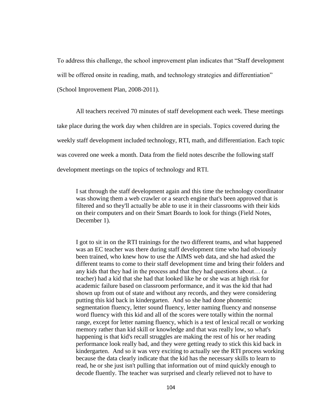To address this challenge, the school improvement plan indicates that "Staff development" will be offered onsite in reading, math, and technology strategies and differentiation" (School Improvement Plan, 2008-2011).

All teachers received 70 minutes of staff development each week. These meetings take place during the work day when children are in specials. Topics covered during the weekly staff development included technology, RTI, math, and differentiation. Each topic was covered one week a month. Data from the field notes describe the following staff development meetings on the topics of technology and RTI.

I sat through the staff development again and this time the technology coordinator was showing them a web crawler or a search engine that's been approved that is filtered and so they'll actually be able to use it in their classrooms with their kids on their computers and on their Smart Boards to look for things (Field Notes, December 1).

I got to sit in on the RTI trainings for the two different teams, and what happened was an EC teacher was there during staff development time who had obviously been trained, who knew how to use the AIMS web data, and she had asked the different teams to come to their staff development time and bring their folders and any kids that they had in the process and that they had questions about… (a teacher) had a kid that she had that looked like he or she was at high risk for academic failure based on classroom performance, and it was the kid that had shown up from out of state and without any records, and they were considering putting this kid back in kindergarten. And so she had done phonemic segmentation fluency, letter sound fluency, letter naming fluency and nonsense word fluency with this kid and all of the scores were totally within the normal range, except for letter naming fluency, which is a test of lexical recall or working memory rather than kid skill or knowledge and that was really low, so what's happening is that kid's recall struggles are making the rest of his or her reading performance look really bad, and they were getting ready to stick this kid back in kindergarten. And so it was very exciting to actually see the RTI process working because the data clearly indicate that the kid has the necessary skills to learn to read, he or she just isn't pulling that information out of mind quickly enough to decode fluently. The teacher was surprised and clearly relieved not to have to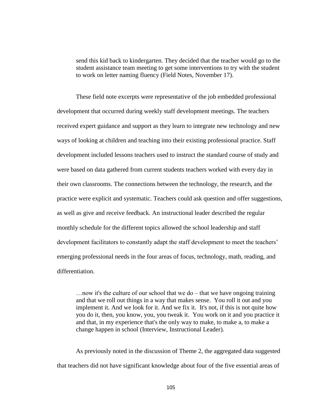send this kid back to kindergarten. They decided that the teacher would go to the student assistance team meeting to get some interventions to try with the student to work on letter naming fluency (Field Notes, November 17).

These field note excerpts were representative of the job embedded professional development that occurred during weekly staff development meetings. The teachers received expert guidance and support as they learn to integrate new technology and new ways of looking at children and teaching into their existing professional practice. Staff development included lessons teachers used to instruct the standard course of study and were based on data gathered from current students teachers worked with every day in their own classrooms. The connections between the technology, the research, and the practice were explicit and systematic. Teachers could ask question and offer suggestions, as well as give and receive feedback. An instructional leader described the regular monthly schedule for the different topics allowed the school leadership and staff development facilitators to constantly adapt the staff development to meet the teachers' emerging professional needs in the four areas of focus, technology, math, reading, and differentiation.

…now it's the culture of our school that we do – that we have ongoing training and that we roll out things in a way that makes sense. You roll it out and you implement it. And we look for it. And we fix it. It's not, if this is not quite how you do it, then, you know, you, you tweak it. You work on it and you practice it and that, in my experience that's the only way to make, to make a, to make a change happen in school (Interview, Instructional Leader).

As previously noted in the discussion of Theme 2, the aggregated data suggested that teachers did not have significant knowledge about four of the five essential areas of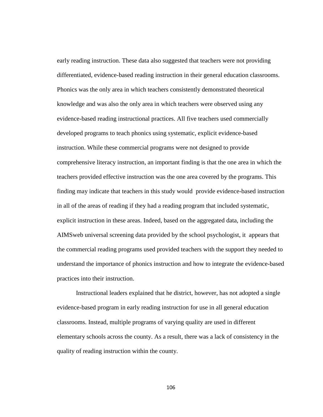early reading instruction. These data also suggested that teachers were not providing differentiated, evidence-based reading instruction in their general education classrooms. Phonics was the only area in which teachers consistently demonstrated theoretical knowledge and was also the only area in which teachers were observed using any evidence-based reading instructional practices. All five teachers used commercially developed programs to teach phonics using systematic, explicit evidence-based instruction. While these commercial programs were not designed to provide comprehensive literacy instruction, an important finding is that the one area in which the teachers provided effective instruction was the one area covered by the programs. This finding may indicate that teachers in this study would provide evidence-based instruction in all of the areas of reading if they had a reading program that included systematic, explicit instruction in these areas. Indeed, based on the aggregated data, including the AIMSweb universal screening data provided by the school psychologist, it appears that the commercial reading programs used provided teachers with the support they needed to understand the importance of phonics instruction and how to integrate the evidence-based practices into their instruction.

Instructional leaders explained that he district, however, has not adopted a single evidence-based program in early reading instruction for use in all general education classrooms. Instead, multiple programs of varying quality are used in different elementary schools across the county. As a result, there was a lack of consistency in the quality of reading instruction within the county.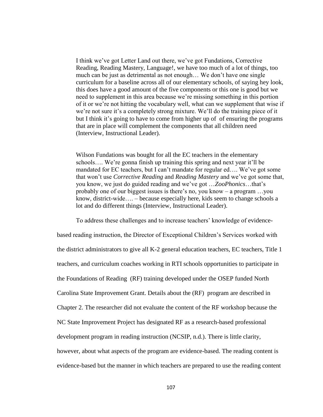I think we've got Letter Land out there, we've got Fundations, Corrective Reading, Reading Mastery, Language!, we have too much of a lot of things, too much can be just as detrimental as not enough… We don't have one single curriculum for a baseline across all of our elementary schools, of saying hey look, this does have a good amount of the five components or this one is good but we need to supplement in this area because we're missing something in this portion of it or we're not hitting the vocabulary well, what can we supplement that wise if we're not sure it's a completely strong mixture. We'll do the training piece of it but I think it's going to have to come from higher up of of ensuring the programs that are in place will complement the components that all children need (Interview, Instructional Leader).

Wilson Fundations was bought for all the EC teachers in the elementary schools…. We're gonna finish up training this spring and next year it'll be mandated for EC teachers, but I can't mandate for regular ed…. We've got some that won't use *Corrective Reading* and *Reading Mastery* and we've got some that, you know, we just do guided reading and we've got …*ZooPhonics*…that's probably one of our biggest issues is there's no, you know – a program …you know, district-wide…. – because especially here, kids seem to change schools a lot and do different things (Interview, Instructional Leader).

To address these challenges and to increase teachers' knowledge of evidence-

based reading instruction, the Director of Exceptional Children's Services worked with the district administrators to give all K-2 general education teachers, EC teachers, Title 1 teachers, and curriculum coaches working in RTI schools opportunities to participate in the Foundations of Reading (RF) training developed under the OSEP funded North Carolina State Improvement Grant. Details about the (RF) program are described in Chapter 2. The researcher did not evaluate the content of the RF workshop because the NC State Improvement Project has designated RF as a research-based professional development program in reading instruction (NCSIP, n.d.). There is little clarity, however, about what aspects of the program are evidence-based. The reading content is evidence-based but the manner in which teachers are prepared to use the reading content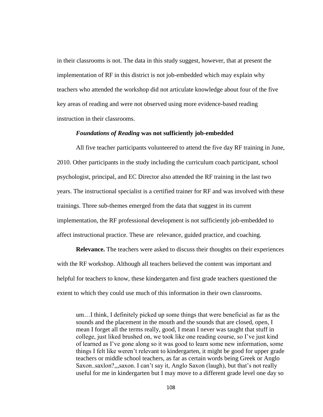in their classrooms is not. The data in this study suggest, however, that at present the implementation of RF in this district is not job-embedded which may explain why teachers who attended the workshop did not articulate knowledge about four of the five key areas of reading and were not observed using more evidence-based reading instruction in their classrooms.

# *Foundations of Reading* **was not sufficiently job-embedded**

All five teacher participants volunteered to attend the five day RF training in June, 2010. Other participants in the study including the curriculum coach participant, school psychologist, principal, and EC Director also attended the RF training in the last two years. The instructional specialist is a certified trainer for RF and was involved with these trainings. Three sub-themes emerged from the data that suggest in its current implementation, the RF professional development is not sufficiently job-embedded to affect instructional practice. These are relevance, guided practice, and coaching.

**Relevance.** The teachers were asked to discuss their thoughts on their experiences with the RF workshop. Although all teachers believed the content was important and helpful for teachers to know, these kindergarten and first grade teachers questioned the extent to which they could use much of this information in their own classrooms.

um…I think, I definitely picked up some things that were beneficial as far as the sounds and the placement in the mouth and the sounds that are closed, open, I mean I forget all the terms really, good, I mean I never was taught that stuff in college, just liked brushed on, we took like one reading course, so I've just kind of learned as I've gone along so it was good to learn some new information, some things I felt like weren't relevant to kindergarten, it might be good for upper grade teachers or middle school teachers, as far as certain words being Greek or Anglo Saxon..saxlon?,,,saxon. I can't say it, Anglo Saxon (laugh), but that's not really useful for me in kindergarten but I may move to a different grade level one day so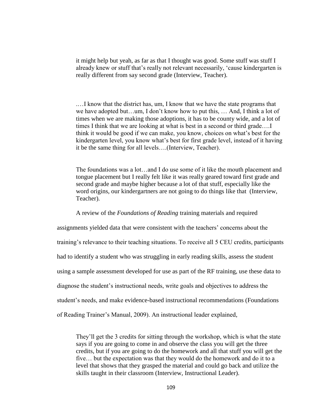it might help but yeah, as far as that I thought was good. Some stuff was stuff I already knew or stuff that's really not relevant necessarily, 'cause kindergarten is really different from say second grade (Interview, Teacher).

.…I know that the district has, um, I know that we have the state programs that we have adopted but…um, I don't know how to put this, … And, I think a lot of times when we are making those adoptions, it has to be county wide, and a lot of times I think that we are looking at what is best in a second or third grade….I think it would be good if we can make, you know, choices on what's best for the kindergarten level, you know what's best for first grade level, instead of it having it be the same thing for all levels….(Interview, Teacher).

The foundations was a lot…and I do use some of it like the mouth placement and tongue placement but I really felt like it was really geared toward first grade and second grade and maybe higher because a lot of that stuff, especially like the word origins, our kindergartners are not going to do things like that (Interview, Teacher).

## A review of the *Foundations of Reading* training materials and required

assignments yielded data that were consistent with the teachers' concerns about the training's relevance to their teaching situations. To receive all 5 CEU credits, participants had to identify a student who was struggling in early reading skills, assess the student using a sample assessment developed for use as part of the RF training, use these data to diagnose the student's instructional needs, write goals and objectives to address the student's needs, and make evidence-based instructional recommendations (Foundations of Reading Trainer's Manual, 2009). An instructional leader explained,

They'll get the 3 credits for sitting through the workshop, which is what the state says if you are going to come in and observe the class you will get the three credits, but if you are going to do the homework and all that stuff you will get the five… but the expectation was that they would do the homework and do it to a level that shows that they grasped the material and could go back and utilize the skills taught in their classroom (Interview, Instructional Leader).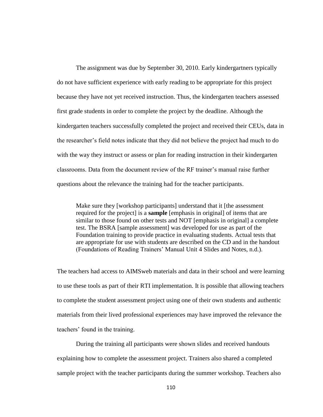The assignment was due by September 30, 2010. Early kindergartners typically do not have sufficient experience with early reading to be appropriate for this project because they have not yet received instruction. Thus, the kindergarten teachers assessed first grade students in order to complete the project by the deadline. Although the kindergarten teachers successfully completed the project and received their CEUs, data in the researcher's field notes indicate that they did not believe the project had much to do with the way they instruct or assess or plan for reading instruction in their kindergarten classrooms. Data from the document review of the RF trainer's manual raise further questions about the relevance the training had for the teacher participants.

Make sure they [workshop participants] understand that it [the assessment required for the project] is a **sample** [emphasis in original] of items that are similar to those found on other tests and NOT [emphasis in original] a complete test. The BSRA [sample assessment] was developed for use as part of the Foundation training to provide practice in evaluating students. Actual tests that are appropriate for use with students are described on the CD and in the handout (Foundations of Reading Trainers' Manual Unit 4 Slides and Notes, n.d.).

The teachers had access to AIMSweb materials and data in their school and were learning to use these tools as part of their RTI implementation. It is possible that allowing teachers to complete the student assessment project using one of their own students and authentic materials from their lived professional experiences may have improved the relevance the teachers' found in the training.

During the training all participants were shown slides and received handouts explaining how to complete the assessment project. Trainers also shared a completed sample project with the teacher participants during the summer workshop. Teachers also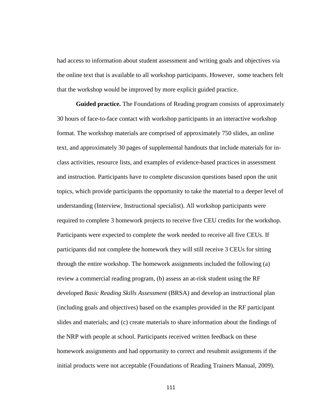had access to information about student assessment and writing goals and objectives via the online text that is available to all workshop participants. However, some teachers felt that the workshop would be improved by more explicit guided practice.

**Guided practice.** The Foundations of Reading program consists of approximately 30 hours of face-to-face contact with workshop participants in an interactive workshop format. The workshop materials are comprised of approximately 750 slides, an online text, and approximately 30 pages of supplemental handouts that include materials for inclass activities, resource lists, and examples of evidence-based practices in assessment and instruction. Participants have to complete discussion questions based upon the unit topics, which provide participants the opportunity to take the material to a deeper level of understanding (Interview, Instructional specialist). All workshop participants were required to complete 3 homework projects to receive five CEU credits for the workshop. Participants were expected to complete the work needed to receive all five CEUs. If participants did not complete the homework they will still receive 3 CEUs for sitting through the entire workshop. The homework assignments included the following (a) review a commercial reading program, (b) assess an at-risk student using the RF developed *Basic Reading Skills Assessment* (BRSA) and develop an instructional plan (including goals and objectives) based on the examples provided in the RF participant slides and materials; and (c) create materials to share information about the findings of the NRP with people at school. Participants received written feedback on these homework assignments and had opportunity to correct and resubmit assignments if the initial products were not acceptable (Foundations of Reading Trainers Manual, 2009).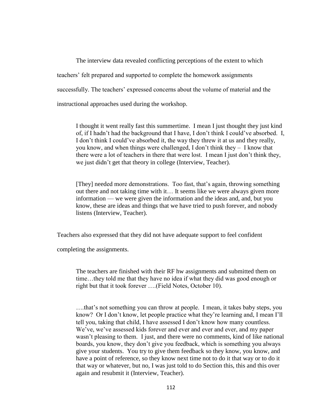The interview data revealed conflicting perceptions of the extent to which teachers' felt prepared and supported to complete the homework assignments successfully. The teachers' expressed concerns about the volume of material and the instructional approaches used during the workshop.

I thought it went really fast this summertime. I mean I just thought they just kind of, if I hadn't had the background that I have, I don't think I could've absorbed. I, I don't think I could've absorbed it, the way they threw it at us and they really, you know, and when things were challenged, I don't think they – I know that there were a lot of teachers in there that were lost. I mean I just don't think they, we just didn't get that theory in college (Interview, Teacher).

[They] needed more demonstrations. Too fast, that's again, throwing something out there and not taking time with it… It seems like we were always given more information –– we were given the information and the ideas and, and, but you know, these are ideas and things that we have tried to push forever, and nobody listens (Interview, Teacher).

Teachers also expressed that they did not have adequate support to feel confident

completing the assignments.

The teachers are finished with their RF hw assignments and submitted them on time…they told me that they have no idea if what they did was good enough or right but that it took forever ….(Field Notes, October 10).

….that's not something you can throw at people. I mean, it takes baby steps, you know? Or I don't know, let people practice what they're learning and, I mean I'll tell you, taking that child, I have assessed I don't know how many countless. We've, we've assessed kids forever and ever and ever and ever, and my paper wasn't pleasing to them. I just, and there were no comments, kind of like national boards, you know, they don't give you feedback, which is something you always give your students. You try to give them feedback so they know, you know, and have a point of reference, so they know next time not to do it that way or to do it that way or whatever, but no, I was just told to do Section this, this and this over again and resubmit it (Interview, Teacher).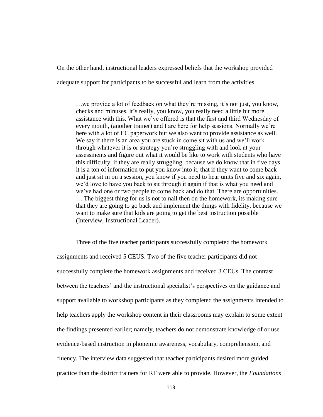On the other hand, instructional leaders expressed beliefs that the workshop provided adequate support for participants to be successful and learn from the activities.

…we provide a lot of feedback on what they're missing, it's not just, you know, checks and minuses, it's really, you know, you really need a little bit more assistance with this. What we've offered is that the first and third Wednesday of every month, (another trainer) and I are here for help sessions. Normally we're here with a lot of EC paperwork but we also want to provide assistance as well. We say if there is an area you are stuck in come sit with us and we'll work through whatever it is or strategy you're struggling with and look at your assessments and figure out what it would be like to work with students who have this difficulty, if they are really struggling, because we do know that in five days it is a ton of information to put you know into it, that if they want to come back and just sit in on a session, you know if you need to hear units five and six again, we'd love to have you back to sit through it again if that is what you need and we've had one or two people to come back and do that. There are opportunities. ….The biggest thing for us is not to nail then on the homework, its making sure that they are going to go back and implement the things with fidelity, because we want to make sure that kids are going to get the best instruction possible (Interview, Instructional Leader).

Three of the five teacher participants successfully completed the homework assignments and received 5 CEUS. Two of the five teacher participants did not successfully complete the homework assignments and received 3 CEUs. The contrast between the teachers' and the instructional specialist's perspectives on the guidance and support available to workshop participants as they completed the assignments intended to help teachers apply the workshop content in their classrooms may explain to some extent the findings presented earlier; namely, teachers do not demonstrate knowledge of or use evidence-based instruction in phonemic awareness, vocabulary, comprehension, and fluency. The interview data suggested that teacher participants desired more guided practice than the district trainers for RF were able to provide. However, the *Foundations*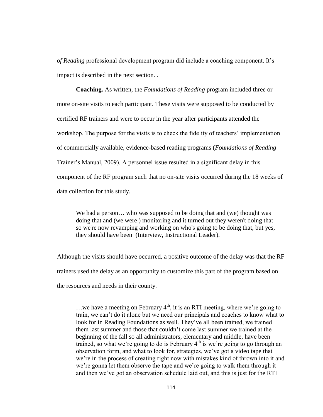*of Reading* professional development program did include a coaching component. It's impact is described in the next section. .

**Coaching.** As written, the *Foundations of Reading* program included three or more on-site visits to each participant. These visits were supposed to be conducted by certified RF trainers and were to occur in the year after participants attended the workshop. The purpose for the visits is to check the fidelity of teachers' implementation of commercially available, evidence-based reading programs (*Foundations of Reading* Trainer's Manual, 2009). A personnel issue resulted in a significant delay in this component of the RF program such that no on-site visits occurred during the 18 weeks of data collection for this study.

We had a person... who was supposed to be doing that and (we) thought was doing that and (we were ) monitoring and it turned out they weren't doing that – so we're now revamping and working on who's going to be doing that, but yes, they should have been (Interview, Instructional Leader).

Although the visits should have occurred, a positive outcome of the delay was that the RF trainers used the delay as an opportunity to customize this part of the program based on the resources and needs in their county.

... we have a meeting on February  $4<sup>th</sup>$ , it is an RTI meeting, where we're going to train, we can't do it alone but we need our principals and coaches to know what to look for in Reading Foundations as well. They've all been trained, we trained them last summer and those that couldn't come last summer we trained at the beginning of the fall so all administrators, elementary and middle, have been trained, so what we're going to do is February  $4<sup>th</sup>$  is we're going to go through an observation form, and what to look for, strategies, we've got a video tape that we're in the process of creating right now with mistakes kind of thrown into it and we're gonna let them observe the tape and we're going to walk them through it and then we've got an observation schedule laid out, and this is just for the RTI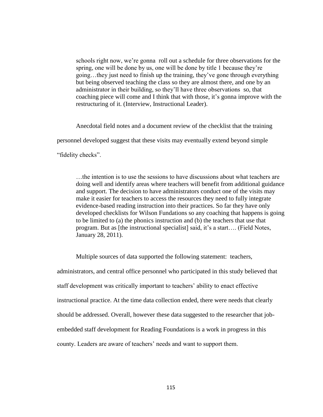schools right now, we're gonna roll out a schedule for three observations for the spring, one will be done by us, one will be done by title 1 because they're going…they just need to finish up the training, they've gone through everything but being observed teaching the class so they are almost there, and one by an administrator in their building, so they'll have three observations so, that coaching piece will come and I think that with those, it's gonna improve with the restructuring of it. (Interview, Instructional Leader).

Anecdotal field notes and a document review of the checklist that the training

personnel developed suggest that these visits may eventually extend beyond simple

"fidelity checks".

…the intention is to use the sessions to have discussions about what teachers are doing well and identify areas where teachers will benefit from additional guidance and support. The decision to have administrators conduct one of the visits may make it easier for teachers to access the resources they need to fully integrate evidence-based reading instruction into their practices. So far they have only developed checklists for Wilson Fundations so any coaching that happens is going to be limited to (a) the phonics instruction and (b) the teachers that use that program. But as [the instructional specialist] said, it's a start…. (Field Notes, January 28, 2011).

Multiple sources of data supported the following statement: teachers, administrators, and central office personnel who participated in this study believed that staff development was critically important to teachers' ability to enact effective instructional practice. At the time data collection ended, there were needs that clearly should be addressed. Overall, however these data suggested to the researcher that jobembedded staff development for Reading Foundations is a work in progress in this county. Leaders are aware of teachers' needs and want to support them.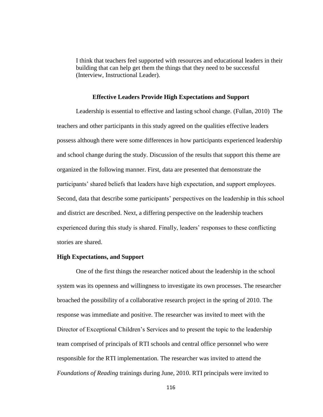I think that teachers feel supported with resources and educational leaders in their building that can help get them the things that they need to be successful (Interview, Instructional Leader).

# **Effective Leaders Provide High Expectations and Support**

Leadership is essential to effective and lasting school change. (Fullan, 2010) The teachers and other participants in this study agreed on the qualities effective leaders possess although there were some differences in how participants experienced leadership and school change during the study. Discussion of the results that support this theme are organized in the following manner. First, data are presented that demonstrate the participants' shared beliefs that leaders have high expectation, and support employees. Second, data that describe some participants' perspectives on the leadership in this school and district are described. Next, a differing perspective on the leadership teachers experienced during this study is shared. Finally, leaders' responses to these conflicting stories are shared.

#### **High Expectations, and Support**

One of the first things the researcher noticed about the leadership in the school system was its openness and willingness to investigate its own processes. The researcher broached the possibility of a collaborative research project in the spring of 2010. The response was immediate and positive. The researcher was invited to meet with the Director of Exceptional Children's Services and to present the topic to the leadership team comprised of principals of RTI schools and central office personnel who were responsible for the RTI implementation. The researcher was invited to attend the *Foundations of Reading* trainings during June, 2010. RTI principals were invited to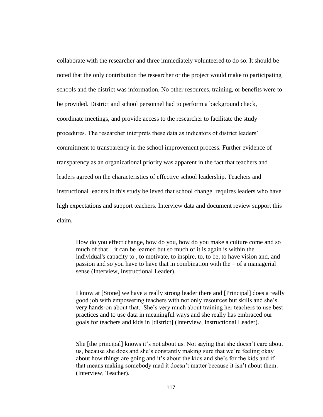collaborate with the researcher and three immediately volunteered to do so. It should be noted that the only contribution the researcher or the project would make to participating schools and the district was information. No other resources, training, or benefits were to be provided. District and school personnel had to perform a background check, coordinate meetings, and provide access to the researcher to facilitate the study procedures. The researcher interprets these data as indicators of district leaders' commitment to transparency in the school improvement process. Further evidence of transparency as an organizational priority was apparent in the fact that teachers and leaders agreed on the characteristics of effective school leadership. Teachers and instructional leaders in this study believed that school change requires leaders who have high expectations and support teachers. Interview data and document review support this claim.

How do you effect change, how do you, how do you make a culture come and so much of that – it can be learned but so much of it is again is within the individual's capacity to , to motivate, to inspire, to, to be, to have vision and, and passion and so you have to have that in combination with the  $-$  of a managerial sense (Interview, Instructional Leader).

I know at [Stone] we have a really strong leader there and [Principal] does a really good job with empowering teachers with not only resources but skills and she's very hands-on about that. She's very much about training her teachers to use best practices and to use data in meaningful ways and she really has embraced our goals for teachers and kids in [district] (Interview, Instructional Leader).

She [the principal] knows it's not about us. Not saying that she doesn't care about us, because she does and she's constantly making sure that we're feeling okay about how things are going and it's about the kids and she's for the kids and if that means making somebody mad it doesn't matter because it isn't about them. (Interview, Teacher).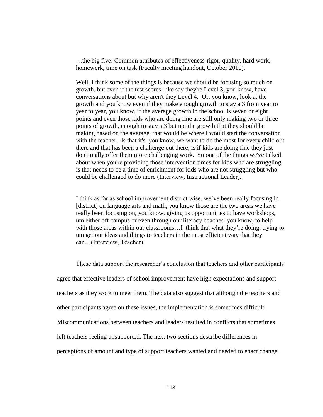…the big five: Common attributes of effectiveness-rigor, quality, hard work, homework, time on task (Faculty meeting handout, October 2010).

Well, I think some of the things is because we should be focusing so much on growth, but even if the test scores, like say they're Level 3, you know, have conversations about but why aren't they Level 4. Or, you know, look at the growth and you know even if they make enough growth to stay a 3 from year to year to year, you know, if the average growth in the school is seven or eight points and even those kids who are doing fine are still only making two or three points of growth, enough to stay a 3 but not the growth that they should be making based on the average, that would be where I would start the conversation with the teacher. Is that it's, you know, we want to do the most for every child out there and that has been a challenge out there, is if kids are doing fine they just don't really offer them more challenging work. So one of the things we've talked about when you're providing those intervention times for kids who are struggling is that needs to be a time of enrichment for kids who are not struggling but who could be challenged to do more (Interview, Instructional Leader).

I think as far as school improvement district wise, we've been really focusing in [district] on language arts and math, you know those are the two areas we have really been focusing on, you know, giving us opportunities to have workshops, um either off campus or even through our literacy coaches you know, to help with those areas within our classrooms...I think that what they're doing, trying to um get out ideas and things to teachers in the most efficient way that they can…(Interview, Teacher).

These data support the researcher's conclusion that teachers and other participants agree that effective leaders of school improvement have high expectations and support teachers as they work to meet them. The data also suggest that although the teachers and other participants agree on these issues, the implementation is sometimes difficult. Miscommunications between teachers and leaders resulted in conflicts that sometimes left teachers feeling unsupported. The next two sections describe differences in perceptions of amount and type of support teachers wanted and needed to enact change.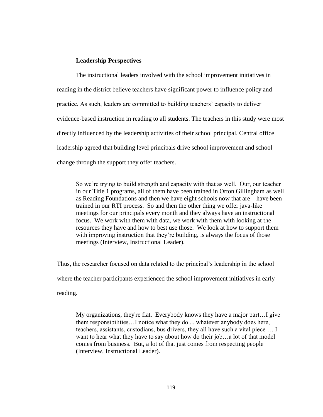# **Leadership Perspectives**

The instructional leaders involved with the school improvement initiatives in reading in the district believe teachers have significant power to influence policy and practice. As such, leaders are committed to building teachers' capacity to deliver evidence-based instruction in reading to all students. The teachers in this study were most directly influenced by the leadership activities of their school principal. Central office leadership agreed that building level principals drive school improvement and school change through the support they offer teachers.

So we're trying to build strength and capacity with that as well. Our, our teacher in our Title 1 programs, all of them have been trained in Orton Gillingham as well as Reading Foundations and then we have eight schools now that are – have been trained in our RTI process. So and then the other thing we offer java-like meetings for our principals every month and they always have an instructional focus. We work with them with data, we work with them with looking at the resources they have and how to best use those. We look at how to support them with improving instruction that they're building, is always the focus of those meetings (Interview, Instructional Leader).

Thus, the researcher focused on data related to the principal's leadership in the school where the teacher participants experienced the school improvement initiatives in early reading.

My organizations, they're flat. Everybody knows they have a major part…I give them responsibilities…I notice what they do ... whatever anybody does here, teachers, assistants, custodians, bus drivers, they all have such a vital piece … I want to hear what they have to say about how do their job…a lot of that model comes from business. But, a lot of that just comes from respecting people (Interview, Instructional Leader).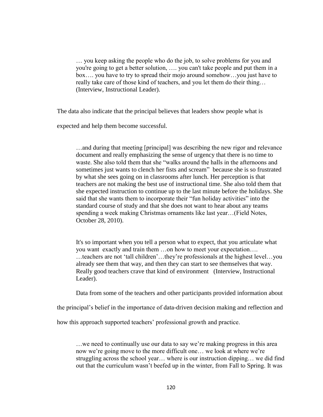… you keep asking the people who do the job, to solve problems for you and you're going to get a better solution, …. you can't take people and put them in a box…. you have to try to spread their mojo around somehow…you just have to really take care of those kind of teachers, and you let them do their thing… (Interview, Instructional Leader).

The data also indicate that the principal believes that leaders show people what is

expected and help them become successful.

…and during that meeting [principal] was describing the new rigor and relevance document and really emphasizing the sense of urgency that there is no time to waste. She also told them that she "walks around the halls in the afternoons and sometimes just wants to clench her fists and scream" because she is so frustrated by what she sees going on in classrooms after lunch. Her perception is that teachers are not making the best use of instructional time. She also told them that she expected instruction to continue up to the last minute before the holidays. She said that she wants them to incorporate their "fun holiday activities" into the standard course of study and that she does not want to hear about any teams spending a week making Christmas ornaments like last year…(Field Notes, October 28, 2010).

It's so important when you tell a person what to expect, that you articulate what you want exactly and train them …on how to meet your expectation…. ...teachers are not 'tall children'...they're professionals at the highest level...you already see them that way, and then they can start to see themselves that way. Really good teachers crave that kind of environment (Interview, Instructional Leader).

Data from some of the teachers and other participants provided information about

the principal's belief in the importance of data-driven decision making and reflection and

how this approach supported teachers' professional growth and practice.

…we need to continually use our data to say we're making progress in this area now we're going move to the more difficult one… we look at where we're struggling across the school year… where is our instruction dipping… we did find out that the curriculum wasn't beefed up in the winter, from Fall to Spring. It was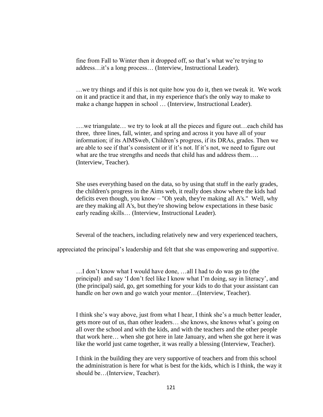fine from Fall to Winter then it dropped off, so that's what we're trying to address…it's a long process… (Interview, Instructional Leader).

…we try things and if this is not quite how you do it, then we tweak it. We work on it and practice it and that, in my experience that's the only way to make to make a change happen in school … (Interview, Instructional Leader).

….we triangulate… we try to look at all the pieces and figure out…each child has three, three lines, fall, winter, and spring and across it you have all of your information; if its AIMSweb, Children's progress, if its DRAs, grades. Then we are able to see if that's consistent or if it's not. If it's not, we need to figure out what are the true strengths and needs that child has and address them…. (Interview, Teacher).

She uses everything based on the data, so by using that stuff in the early grades, the children's progress in the Aims web, it really does show where the kids had deficits even though, you know – "Oh yeah, they're making all A's." Well, why are they making all A's, but they're showing below expectations in these basic early reading skills… (Interview, Instructional Leader).

Several of the teachers, including relatively new and very experienced teachers,

appreciated the principal's leadership and felt that she was empowering and supportive.

…I don't know what I would have done, …all I had to do was go to (the principal) and say ‗I don't feel like I know what I'm doing, say in literacy', and (the principal) said, go, get something for your kids to do that your assistant can handle on her own and go watch your mentor…(Interview, Teacher).

I think she's way above, just from what I hear, I think she's a much better leader, gets more out of us, than other leaders… she knows, she knows what's going on all over the school and with the kids, and with the teachers and the other people that work here… when she got here in late January, and when she got here it was like the world just came together, it was really a blessing (Interview, Teacher).

I think in the building they are very supportive of teachers and from this school the administration is here for what is best for the kids, which is I think, the way it should be…(Interview, Teacher).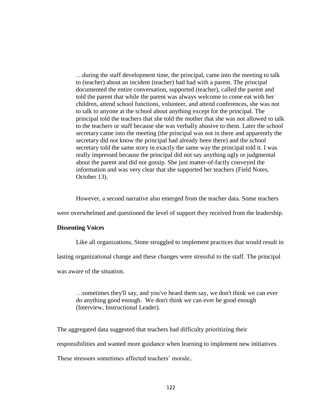…during the staff development time, the principal, came into the meeting to talk to (teacher) about an incident (teacher) had had with a parent. The principal documented the entire conversation, supported (teacher), called the parent and told the parent that while the parent was always welcome to come eat with her children, attend school functions, volunteer, and attend conferences, she was not to talk to anyone at the school about anything except for the principal. The principal told the teachers that she told the mother that she was not allowed to talk to the teachers or staff because she was verbally abusive to them. Later the school secretary came into the meeting (the principal was not in there and apparently the secretary did not know the principal had already been there) and the school secretary told the same story in exactly the same way the principal told it. I was really impressed because the principal did not say anything ugly or judgmental about the parent and did not gossip. She just matter-of-factly conveyed the information and was very clear that she supported her teachers (Field Notes, October 13).

However, a second narrative also emerged from the teacher data. Some teachers

were overwhelmed and questioned the level of support they received from the leadership.

# **Dissenting Voices**

Like all organizations, Stone struggled to implement practices that would result in

lasting organizational change and these changes were stressful to the staff. The principal

was aware of the situation.

…sometimes they'll say, and you've heard them say, we don't think we can ever do anything good enough. We don't think we can ever be good enough (Interview, Instructional Leader).

The aggregated data suggested that teachers had difficulty prioritizing their

responsibilities and wanted more guidance when learning to implement new initiatives.

These stressors sometimes affected teachers' morale..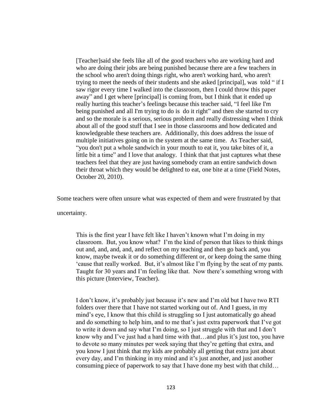[Teacher]said she feels like all of the good teachers who are working hard and who are doing their jobs are being punished because there are a few teachers in the school who aren't doing things right, who aren't working hard, who aren't trying to meet the needs of their students and she asked [principal], was told "if I saw rigor every time I walked into the classroom, then I could throw this paper away" and I get where [principal] is coming from, but I think that it ended up really hurting this teacher's feelings because this teacher said, "I feel like I'm being punished and all I'm trying to do is do it right" and then she started to cry and so the morale is a serious, serious problem and really distressing when I think about all of the good stuff that I see in those classrooms and how dedicated and knowledgeable these teachers are. Additionally, this does address the issue of multiple initiatives going on in the system at the same time. As Teacher said, "you don't put a whole sandwich in your mouth to eat it, you take bites of it, a little bit a time" and I love that analogy. I think that that just captures what these teachers feel that they are just having somebody cram an entire sandwich down their throat which they would be delighted to eat, one bite at a time (Field Notes, October 20, 2010).

Some teachers were often unsure what was expected of them and were frustrated by that

uncertainty.

This is the first year I have felt like I haven't known what I'm doing in my classroom. But, you know what? I'm the kind of person that likes to think things out and, and, and, and, and reflect on my teaching and then go back and, you know, maybe tweak it or do something different or, or keep doing the same thing ‗cause that really worked. But, it's almost like I'm flying by the seat of my pants. Taught for 30 years and I'm feeling like that. Now there's something wrong with this picture (Interview, Teacher).

I don't know, it's probably just because it's new and I'm old but I have two RTI folders over there that I have not started working out of. And I guess, in my mind's eye, I know that this child is struggling so I just automatically go ahead and do something to help him, and to me that's just extra paperwork that I've got to write it down and say what I'm doing, so I just struggle with that and I don't know why and I've just had a hard time with that…and plus it's just too, you have to devote so many minutes per week saying that they're getting that extra, and you know I just think that my kids are probably all getting that extra just about every day, and I'm thinking in my mind and it's just another, and just another consuming piece of paperwork to say that I have done my best with that child…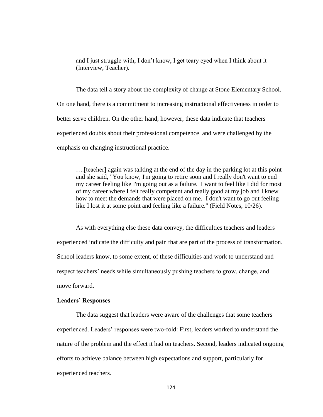and I just struggle with, I don't know, I get teary eyed when I think about it (Interview, Teacher).

The data tell a story about the complexity of change at Stone Elementary School. On one hand, there is a commitment to increasing instructional effectiveness in order to better serve children. On the other hand, however, these data indicate that teachers experienced doubts about their professional competence and were challenged by the emphasis on changing instructional practice.

….[teacher] again was talking at the end of the day in the parking lot at this point and she said, "You know, I'm going to retire soon and I really don't want to end my career feeling like I'm going out as a failure. I want to feel like I did for most of my career where I felt really competent and really good at my job and I knew how to meet the demands that were placed on me. I don't want to go out feeling like I lost it at some point and feeling like a failure." (Field Notes, 10/26).

As with everything else these data convey, the difficulties teachers and leaders experienced indicate the difficulty and pain that are part of the process of transformation. School leaders know, to some extent, of these difficulties and work to understand and respect teachers' needs while simultaneously pushing teachers to grow, change, and move forward.

#### **Leaders' Responses**

The data suggest that leaders were aware of the challenges that some teachers experienced. Leaders' responses were two-fold: First, leaders worked to understand the nature of the problem and the effect it had on teachers. Second, leaders indicated ongoing efforts to achieve balance between high expectations and support, particularly for experienced teachers.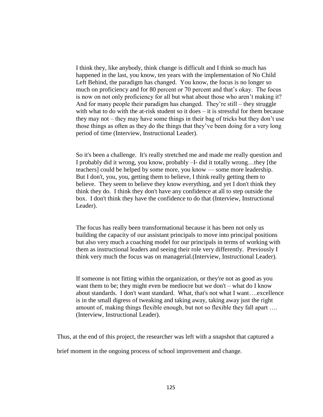I think they, like anybody, think change is difficult and I think so much has happened in the last, you know, ten years with the implementation of No Child Left Behind, the paradigm has changed. You know, the focus is no longer so much on proficiency and for 80 percent or 70 percent and that's okay. The focus is now on not only proficiency for all but what about those who aren't making it? And for many people their paradigm has changed. They're still – they struggle with what to do with the at-risk student so it does – it is stressful for them because they may not – they may have some things in their bag of tricks but they don't use those things as often as they do the things that they've been doing for a very long period of time (Interview, Instructional Leader).

So it's been a challenge. It's really stretched me and made me really question and I probably did it wrong, you know, probably –I- did it totally wrong…they [the teachers] could be helped by some more, you know –– some more leadership. But I don't, you, you, getting them to believe, I think really getting them to believe. They seem to believe they know everything, and yet I don't think they think they do. I think they don't have any confidence at all to step outside the box. I don't think they have the confidence to do that (Interview, Instructional Leader).

The focus has really been transformational because it has been not only us building the capacity of our assistant principals to move into principal positions but also very much a coaching model for our principals in terms of working with them as instructional leaders and seeing their role very differently. Previously I think very much the focus was on managerial.(Interview, Instructional Leader).

If someone is not fitting within the organization, or they're not as good as you want them to be; they might even be mediocre but we don't – what do I know about standards. I don't want standard. What, that's not what I want....excellence is in the small digress of tweaking and taking away, taking away just the right amount of, making things flexible enough, but not so flexible they fall apart …. (Interview, Instructional Leader).

Thus, at the end of this project, the researcher was left with a snapshot that captured a

brief moment in the ongoing process of school improvement and change.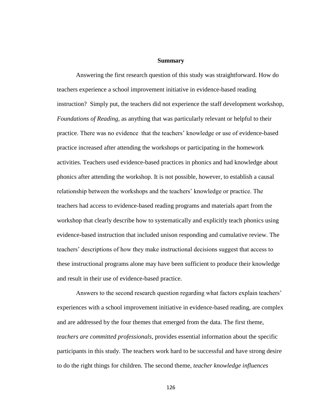#### **Summary**

Answering the first research question of this study was straightforward. How do teachers experience a school improvement initiative in evidence-based reading instruction? Simply put, the teachers did not experience the staff development workshop, *Foundations of Reading,* as anything that was particularly relevant or helpful to their practice. There was no evidence that the teachers' knowledge or use of evidence-based practice increased after attending the workshops or participating in the homework activities. Teachers used evidence-based practices in phonics and had knowledge about phonics after attending the workshop. It is not possible, however, to establish a causal relationship between the workshops and the teachers' knowledge or practice. The teachers had access to evidence-based reading programs and materials apart from the workshop that clearly describe how to systematically and explicitly teach phonics using evidence-based instruction that included unison responding and cumulative review. The teachers' descriptions of how they make instructional decisions suggest that access to these instructional programs alone may have been sufficient to produce their knowledge and result in their use of evidence-based practice.

Answers to the second research question regarding what factors explain teachers' experiences with a school improvement initiative in evidence-based reading, are complex and are addressed by the four themes that emerged from the data. The first theme, *teachers are committed professionals,* provides essential information about the specific participants in this study. The teachers work hard to be successful and have strong desire to do the right things for children. The second theme, *teacher knowledge influences*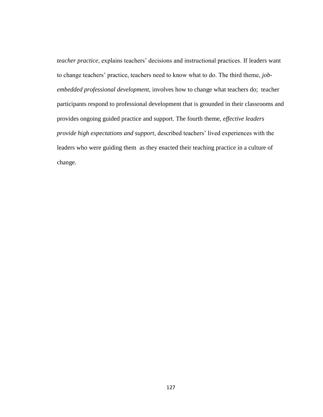*teacher practice*, explains teachers' decisions and instructional practices. If leaders want to change teachers' practice, teachers need to know what to do. The third theme, *jobembedded professional development*, involves how to change what teachers do; teacher participants respond to professional development that is grounded in their classrooms and provides ongoing guided practice and support. The fourth theme, *effective leaders provide high expectations and support,* described teachers' lived experiences with the leaders who were guiding them as they enacted their teaching practice in a culture of change.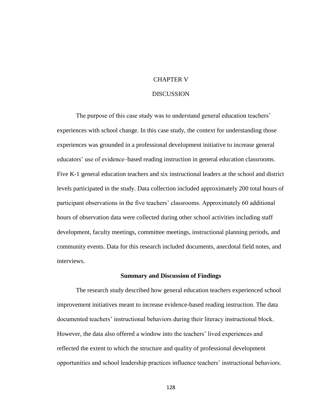# CHAPTER V

# **DISCUSSION**

The purpose of this case study was to understand general education teachers' experiences with school change. In this case study, the context for understanding those experiences was grounded in a professional development initiative to increase general educators' use of evidence–based reading instruction in general education classrooms. Five K-1 general education teachers and six instructional leaders at the school and district levels participated in the study. Data collection included approximately 200 total hours of participant observations in the five teachers' classrooms. Approximately 60 additional hours of observation data were collected during other school activities including staff development, faculty meetings, committee meetings, instructional planning periods, and community events. Data for this research included documents, anecdotal field notes, and interviews.

# **Summary and Discussion of Findings**

The research study described how general education teachers experienced school improvement initiatives meant to increase evidence-based reading instruction. The data documented teachers' instructional behaviors during their literacy instructional block. However, the data also offered a window into the teachers' lived experiences and reflected the extent to which the structure and quality of professional development opportunities and school leadership practices influence teachers' instructional behaviors.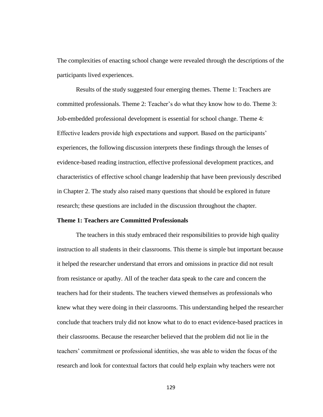The complexities of enacting school change were revealed through the descriptions of the participants lived experiences.

Results of the study suggested four emerging themes. Theme 1: Teachers are committed professionals. Theme 2: Teacher's do what they know how to do. Theme 3: Job-embedded professional development is essential for school change. Theme 4: Effective leaders provide high expectations and support. Based on the participants' experiences, the following discussion interprets these findings through the lenses of evidence-based reading instruction, effective professional development practices, and characteristics of effective school change leadership that have been previously described in Chapter 2. The study also raised many questions that should be explored in future research; these questions are included in the discussion throughout the chapter.

## **Theme 1: Teachers are Committed Professionals**

The teachers in this study embraced their responsibilities to provide high quality instruction to all students in their classrooms. This theme is simple but important because it helped the researcher understand that errors and omissions in practice did not result from resistance or apathy. All of the teacher data speak to the care and concern the teachers had for their students. The teachers viewed themselves as professionals who knew what they were doing in their classrooms. This understanding helped the researcher conclude that teachers truly did not know what to do to enact evidence-based practices in their classrooms. Because the researcher believed that the problem did not lie in the teachers' commitment or professional identities, she was able to widen the focus of the research and look for contextual factors that could help explain why teachers were not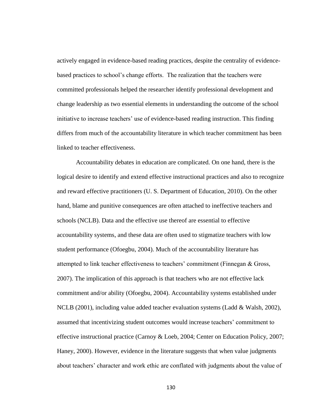actively engaged in evidence-based reading practices, despite the centrality of evidencebased practices to school's change efforts. The realization that the teachers were committed professionals helped the researcher identify professional development and change leadership as two essential elements in understanding the outcome of the school initiative to increase teachers' use of evidence-based reading instruction. This finding differs from much of the accountability literature in which teacher commitment has been linked to teacher effectiveness.

Accountability debates in education are complicated. On one hand, there is the logical desire to identify and extend effective instructional practices and also to recognize and reward effective practitioners (U. S. Department of Education, 2010). On the other hand, blame and punitive consequences are often attached to ineffective teachers and schools (NCLB). Data and the effective use thereof are essential to effective accountability systems, and these data are often used to stigmatize teachers with low student performance (Ofoegbu, 2004). Much of the accountability literature has attempted to link teacher effectiveness to teachers' commitment (Finnegan & Gross, 2007). The implication of this approach is that teachers who are not effective lack commitment and/or ability (Ofoegbu, 2004). Accountability systems established under NCLB (2001), including value added teacher evaluation systems (Ladd & Walsh, 2002), assumed that incentivizing student outcomes would increase teachers' commitment to effective instructional practice (Carnoy & Loeb, 2004; Center on Education Policy, 2007; Haney, 2000). However, evidence in the literature suggests that when value judgments about teachers' character and work ethic are conflated with judgments about the value of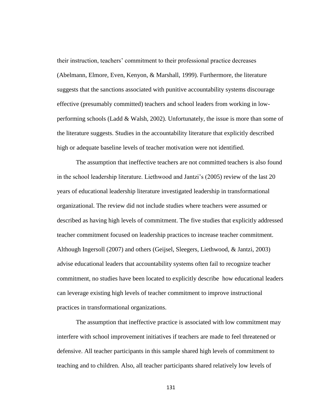their instruction, teachers' commitment to their professional practice decreases (Abelmann, Elmore, Even, Kenyon, & Marshall, 1999). Furthermore, the literature suggests that the sanctions associated with punitive accountability systems discourage effective (presumably committed) teachers and school leaders from working in lowperforming schools (Ladd & Walsh, 2002). Unfortunately, the issue is more than some of the literature suggests. Studies in the accountability literature that explicitly described high or adequate baseline levels of teacher motivation were not identified.

The assumption that ineffective teachers are not committed teachers is also found in the school leadership literature. Liethwood and Jantzi's (2005) review of the last 20 years of educational leadership literature investigated leadership in transformational organizational. The review did not include studies where teachers were assumed or described as having high levels of commitment. The five studies that explicitly addressed teacher commitment focused on leadership practices to increase teacher commitment. Although Ingersoll (2007) and others (Geijsel, Sleegers, Liethwood, & Jantzi, 2003) advise educational leaders that accountability systems often fail to recognize teacher commitment, no studies have been located to explicitly describe how educational leaders can leverage existing high levels of teacher commitment to improve instructional practices in transformational organizations.

The assumption that ineffective practice is associated with low commitment may interfere with school improvement initiatives if teachers are made to feel threatened or defensive. All teacher participants in this sample shared high levels of commitment to teaching and to children. Also, all teacher participants shared relatively low levels of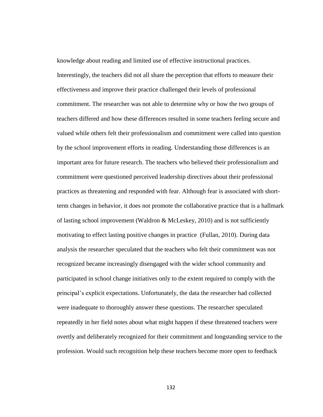knowledge about reading and limited use of effective instructional practices. Interestingly, the teachers did not all share the perception that efforts to measure their effectiveness and improve their practice challenged their levels of professional commitment. The researcher was not able to determine why or how the two groups of teachers differed and how these differences resulted in some teachers feeling secure and valued while others felt their professionalism and commitment were called into question by the school improvement efforts in reading. Understanding those differences is an important area for future research. The teachers who believed their professionalism and commitment were questioned perceived leadership directives about their professional practices as threatening and responded with fear. Although fear is associated with shortterm changes in behavior, it does not promote the collaborative practice that is a hallmark of lasting school improvement (Waldron  $\&$  McLeskey, 2010) and is not sufficiently motivating to effect lasting positive changes in practice (Fullan, 2010). During data analysis the researcher speculated that the teachers who felt their commitment was not recognized became increasingly disengaged with the wider school community and participated in school change initiatives only to the extent required to comply with the principal's explicit expectations. Unfortunately, the data the researcher had collected were inadequate to thoroughly answer these questions. The researcher speculated repeatedly in her field notes about what might happen if these threatened teachers were overtly and deliberately recognized for their commitment and longstanding service to the profession. Would such recognition help these teachers become more open to feedback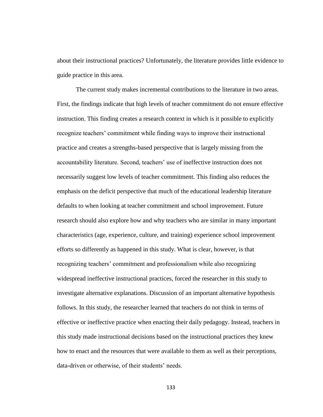about their instructional practices? Unfortunately, the literature provides little evidence to guide practice in this area.

The current study makes incremental contributions to the literature in two areas. First, the findings indicate that high levels of teacher commitment do not ensure effective instruction. This finding creates a research context in which is it possible to explicitly recognize teachers' commitment while finding ways to improve their instructional practice and creates a strengths-based perspective that is largely missing from the accountability literature. Second, teachers' use of ineffective instruction does not necessarily suggest low levels of teacher commitment. This finding also reduces the emphasis on the deficit perspective that much of the educational leadership literature defaults to when looking at teacher commitment and school improvement. Future research should also explore how and why teachers who are similar in many important characteristics (age, experience, culture, and training) experience school improvement efforts so differently as happened in this study. What is clear, however, is that recognizing teachers' commitment and professionalism while also recognizing widespread ineffective instructional practices, forced the researcher in this study to investigate alternative explanations. Discussion of an important alternative hypothesis follows. In this study, the researcher learned that teachers do not think in terms of effective or ineffective practice when enacting their daily pedagogy. Instead, teachers in this study made instructional decisions based on the instructional practices they knew how to enact and the resources that were available to them as well as their perceptions, data-driven or otherwise, of their students' needs.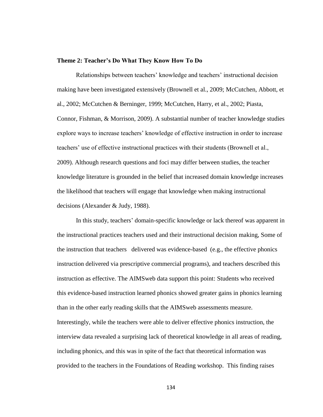## **Theme 2: Teacher's Do What They Know How To Do**

Relationships between teachers' knowledge and teachers' instructional decision making have been investigated extensively (Brownell et al., 2009; McCutchen, Abbott, et al., 2002; McCutchen & Berninger, 1999; McCutchen, Harry, et al., 2002; Piasta, Connor, Fishman, & Morrison, 2009). A substantial number of teacher knowledge studies explore ways to increase teachers' knowledge of effective instruction in order to increase teachers' use of effective instructional practices with their students (Brownell et al., 2009). Although research questions and foci may differ between studies, the teacher knowledge literature is grounded in the belief that increased domain knowledge increases the likelihood that teachers will engage that knowledge when making instructional decisions (Alexander & Judy, 1988).

In this study, teachers' domain-specific knowledge or lack thereof was apparent in the instructional practices teachers used and their instructional decision making, Some of the instruction that teachers delivered was evidence-based (e.g., the effective phonics instruction delivered via prescriptive commercial programs), and teachers described this instruction as effective. The AIMSweb data support this point: Students who received this evidence-based instruction learned phonics showed greater gains in phonics learning than in the other early reading skills that the AIMSweb assessments measure. Interestingly, while the teachers were able to deliver effective phonics instruction, the interview data revealed a surprising lack of theoretical knowledge in all areas of reading, including phonics, and this was in spite of the fact that theoretical information was provided to the teachers in the Foundations of Reading workshop. This finding raises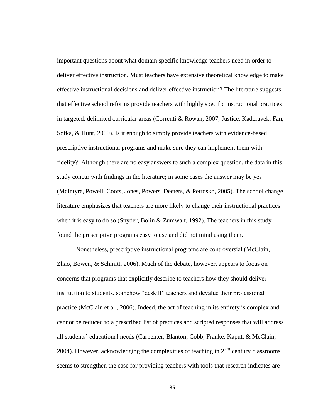important questions about what domain specific knowledge teachers need in order to deliver effective instruction. Must teachers have extensive theoretical knowledge to make effective instructional decisions and deliver effective instruction? The literature suggests that effective school reforms provide teachers with highly specific instructional practices in targeted, delimited curricular areas (Correnti & Rowan, 2007; Justice, Kaderavek, Fan, Sofka, & Hunt, 2009). Is it enough to simply provide teachers with evidence-based prescriptive instructional programs and make sure they can implement them with fidelity? Although there are no easy answers to such a complex question, the data in this study concur with findings in the literature; in some cases the answer may be yes (McIntyre, Powell, Coots, Jones, Powers, Deeters, & Petrosko, 2005). The school change literature emphasizes that teachers are more likely to change their instructional practices when it is easy to do so (Snyder, Bolin & Zumwalt, 1992). The teachers in this study found the prescriptive programs easy to use and did not mind using them.

Nonetheless, prescriptive instructional programs are controversial (McClain, Zhao, Bowen, & Schmitt, 2006). Much of the debate, however, appears to focus on concerns that programs that explicitly describe to teachers how they should deliver instruction to students, somehow "deskill" teachers and devalue their professional practice (McClain et al., 2006). Indeed, the act of teaching in its entirety is complex and cannot be reduced to a prescribed list of practices and scripted responses that will address all students' educational needs (Carpenter, Blanton, Cobb, Franke, Kaput, & McClain, 2004). However, acknowledging the complexities of teaching in  $21<sup>st</sup>$  century classrooms seems to strengthen the case for providing teachers with tools that research indicates are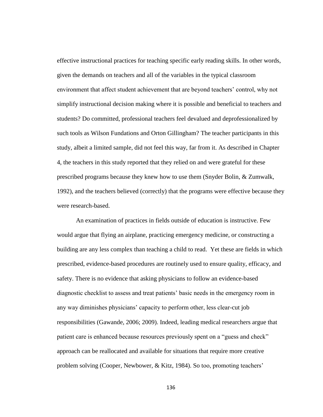effective instructional practices for teaching specific early reading skills. In other words, given the demands on teachers and all of the variables in the typical classroom environment that affect student achievement that are beyond teachers' control, why not simplify instructional decision making where it is possible and beneficial to teachers and students? Do committed, professional teachers feel devalued and deprofessionalized by such tools as Wilson Fundations and Orton Gillingham? The teacher participants in this study, albeit a limited sample, did not feel this way, far from it. As described in Chapter 4, the teachers in this study reported that they relied on and were grateful for these prescribed programs because they knew how to use them (Snyder Bolin, & Zumwalk, 1992), and the teachers believed (correctly) that the programs were effective because they were research-based.

An examination of practices in fields outside of education is instructive. Few would argue that flying an airplane, practicing emergency medicine, or constructing a building are any less complex than teaching a child to read. Yet these are fields in which prescribed, evidence-based procedures are routinely used to ensure quality, efficacy, and safety. There is no evidence that asking physicians to follow an evidence-based diagnostic checklist to assess and treat patients' basic needs in the emergency room in any way diminishes physicians' capacity to perform other, less clear-cut job responsibilities (Gawande, 2006; 2009). Indeed, leading medical researchers argue that patient care is enhanced because resources previously spent on a "guess and check" approach can be reallocated and available for situations that require more creative problem solving (Cooper, Newbower, & Kitz, 1984). So too, promoting teachers'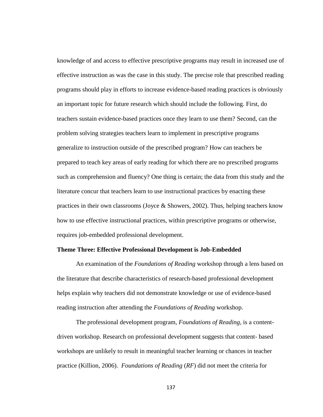knowledge of and access to effective prescriptive programs may result in increased use of effective instruction as was the case in this study. The precise role that prescribed reading programs should play in efforts to increase evidence-based reading practices is obviously an important topic for future research which should include the following. First, do teachers sustain evidence-based practices once they learn to use them? Second, can the problem solving strategies teachers learn to implement in prescriptive programs generalize to instruction outside of the prescribed program? How can teachers be prepared to teach key areas of early reading for which there are no prescribed programs such as comprehension and fluency? One thing is certain; the data from this study and the literature concur that teachers learn to use instructional practices by enacting these practices in their own classrooms (Joyce  $\&$  Showers, 2002). Thus, helping teachers know how to use effective instructional practices, within prescriptive programs or otherwise, requires job-embedded professional development.

# **Theme Three: Effective Professional Development is Job-Embedded**

An examination of the *Foundations of Reading* workshop through a lens based on the literature that describe characteristics of research-based professional development helps explain why teachers did not demonstrate knowledge or use of evidence-based reading instruction after attending the *Foundations of Reading* workshop.

The professional development program, *Foundations of Reading,* is a contentdriven workshop. Research on professional development suggests that content- based workshops are unlikely to result in meaningful teacher learning or chances in teacher practice (Killion, 2006). *Foundations of Reading* (*RF*) did not meet the criteria for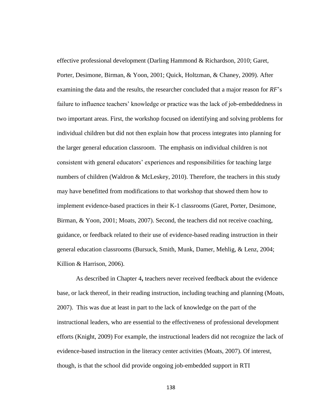effective professional development (Darling Hammond & Richardson, 2010; Garet, Porter, Desimone, Birman, & Yoon, 2001; Quick, Holtzman, & Chaney, 2009). After examining the data and the results, the researcher concluded that a major reason for *RF*'s failure to influence teachers' knowledge or practice was the lack of job-embeddedness in two important areas. First, the workshop focused on identifying and solving problems for individual children but did not then explain how that process integrates into planning for the larger general education classroom. The emphasis on individual children is not consistent with general educators' experiences and responsibilities for teaching large numbers of children (Waldron & McLeskey, 2010). Therefore, the teachers in this study may have benefitted from modifications to that workshop that showed them how to implement evidence-based practices in their K-1 classrooms (Garet, Porter, Desimone, Birman, & Yoon, 2001; Moats, 2007). Second, the teachers did not receive coaching, guidance, or feedback related to their use of evidence-based reading instruction in their general education classrooms (Bursuck, Smith, Munk, Damer, Mehlig, & Lenz, 2004; Killion & Harrison, 2006).

As described in Chapter 4**,** teachers never received feedback about the evidence base, or lack thereof, in their reading instruction, including teaching and planning (Moats, 2007). This was due at least in part to the lack of knowledge on the part of the instructional leaders, who are essential to the effectiveness of professional development efforts (Knight, 2009) For example, the instructional leaders did not recognize the lack of evidence-based instruction in the literacy center activities (Moats, 2007). Of interest, though, is that the school did provide ongoing job-embedded support in RTI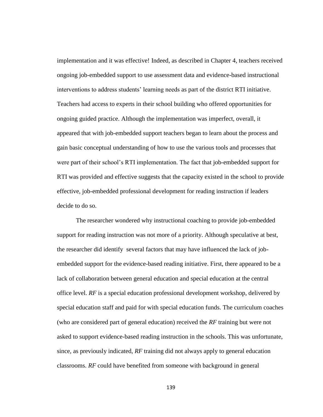implementation and it was effective! Indeed, as described in Chapter 4, teachers received ongoing job-embedded support to use assessment data and evidence-based instructional interventions to address students' learning needs as part of the district RTI initiative. Teachers had access to experts in their school building who offered opportunities for ongoing guided practice. Although the implementation was imperfect, overall, it appeared that with job-embedded support teachers began to learn about the process and gain basic conceptual understanding of how to use the various tools and processes that were part of their school's RTI implementation. The fact that job-embedded support for RTI was provided and effective suggests that the capacity existed in the school to provide effective, job-embedded professional development for reading instruction if leaders decide to do so.

The researcher wondered why instructional coaching to provide job-embedded support for reading instruction was not more of a priority. Although speculative at best, the researcher did identify several factors that may have influenced the lack of jobembedded support for the evidence-based reading initiative. First, there appeared to be a lack of collaboration between general education and special education at the central office level. *RF* is a special education professional development workshop, delivered by special education staff and paid for with special education funds. The curriculum coaches (who are considered part of general education) received the *RF* training but were not asked to support evidence-based reading instruction in the schools. This was unfortunate, since, as previously indicated, *RF* training did not always apply to general education classrooms. *RF* could have benefited from someone with background in general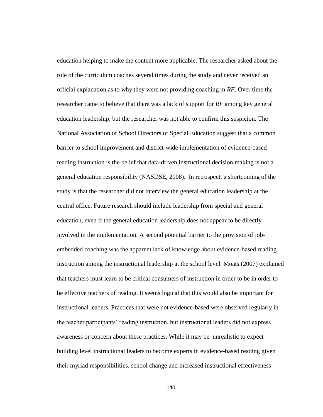education helping to make the content more applicable. The researcher asked about the role of the curriculum coaches several times during the study and never received an official explanation as to why they were not providing coaching in *RF*. Over time the researcher came to believe that there was a lack of support for *RF* among key general education leadership, but the researcher was not able to confirm this suspicion. The National Association of School Directors of Special Education suggest that a common barrier to school improvement and district-wide implementation of evidence-based reading instruction is the belief that data-driven instructional decision making is not a general education responsibility (NASDSE, 2008). In retrospect, a shortcoming of the study is that the researcher did not interview the general education leadership at the central office. Future research should include leadership from special and general education, even if the general education leadership does not appear to be directly involved in the implementation. A second potential barrier to the provision of jobembedded coaching was the apparent lack of knowledge about evidence-based reading instruction among the instructional leadership at the school level. Moats (2007) explained that teachers must learn to be critical consumers of instruction in order to be in order to be effective teachers of reading. It seems logical that this would also be important for instructional leaders. Practices that were not evidence-based were observed regularly in the teacher participants' reading instruction, but instructional leaders did not express awareness or concern about these practices. While it may be unrealistic to expect building level instructional leaders to become experts in evidence-based reading given their myriad responsibilities, school change and increased instructional effectiveness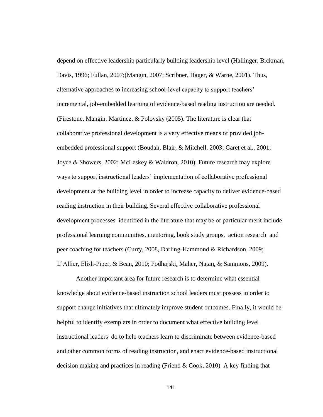depend on effective leadership particularly building leadership level (Hallinger, Bickman, Davis, 1996; Fullan, 2007;(Mangin, 2007; Scribner, Hager, & Warne, 2001). Thus, alternative approaches to increasing school-level capacity to support teachers' incremental, job-embedded learning of evidence-based reading instruction are needed. (Firestone, Mangin, Martinez, & Polovsky (2005). The literature is clear that collaborative professional development is a very effective means of provided jobembedded professional support (Boudah, Blair, & Mitchell, 2003; Garet et al., 2001; Joyce & Showers, 2002; McLeskey & Waldron, 2010). Future research may explore ways to support instructional leaders' implementation of collaborative professional development at the building level in order to increase capacity to deliver evidence-based reading instruction in their building. Several effective collaborative professional development processes identified in the literature that may be of particular merit include professional learning communities, mentoring, book study groups, action research and peer coaching for teachers (Curry, 2008, Darling-Hammond & Richardson, 2009; L'Allier, Elish-Piper, & Bean, 2010; Podhajski, Maher, Natan, & Sammons, 2009).

Another important area for future research is to determine what essential knowledge about evidence-based instruction school leaders must possess in order to support change initiatives that ultimately improve student outcomes. Finally, it would be helpful to identify exemplars in order to document what effective building level instructional leaders do to help teachers learn to discriminate between evidence-based and other common forms of reading instruction, and enact evidence-based instructional decision making and practices in reading (Friend & Cook, 2010) A key finding that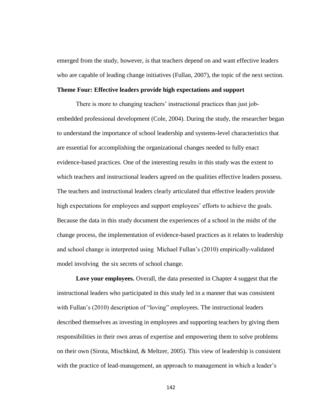emerged from the study, however, is that teachers depend on and want effective leaders who are capable of leading change initiatives (Fullan, 2007), the topic of the next section.

## **Theme Four: Effective leaders provide high expectations and support**

There is more to changing teachers' instructional practices than just jobembedded professional development (Cole, 2004). During the study, the researcher began to understand the importance of school leadership and systems-level characteristics that are essential for accomplishing the organizational changes needed to fully enact evidence-based practices. One of the interesting results in this study was the extent to which teachers and instructional leaders agreed on the qualities effective leaders possess. The teachers and instructional leaders clearly articulated that effective leaders provide high expectations for employees and support employees' efforts to achieve the goals. Because the data in this study document the experiences of a school in the midst of the change process, the implementation of evidence-based practices as it relates to leadership and school change is interpreted using Michael Fullan's (2010) empirically-validated model involving the six secrets of school change.

**Love your employees.** Overall, the data presented in Chapter 4 suggest that the instructional leaders who participated in this study led in a manner that was consistent with Fullan's (2010) description of "loving" employees. The instructional leaders described themselves as investing in employees and supporting teachers by giving them responsibilities in their own areas of expertise and empowering them to solve problems on their own (Sirota, Mischkind, & Meltzer, 2005). This view of leadership is consistent with the practice of lead-management, an approach to management in which a leader's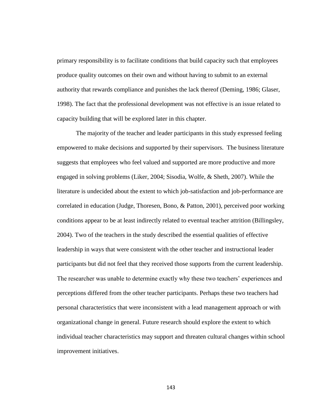primary responsibility is to facilitate conditions that build capacity such that employees produce quality outcomes on their own and without having to submit to an external authority that rewards compliance and punishes the lack thereof (Deming, 1986; Glaser, 1998). The fact that the professional development was not effective is an issue related to capacity building that will be explored later in this chapter.

The majority of the teacher and leader participants in this study expressed feeling empowered to make decisions and supported by their supervisors. The business literature suggests that employees who feel valued and supported are more productive and more engaged in solving problems (Liker, 2004; Sisodia, Wolfe, & Sheth, 2007). While the literature is undecided about the extent to which job-satisfaction and job-performance are correlated in education (Judge, Thoresen, Bono, & Patton, 2001), perceived poor working conditions appear to be at least indirectly related to eventual teacher attrition (Billingsley, 2004). Two of the teachers in the study described the essential qualities of effective leadership in ways that were consistent with the other teacher and instructional leader participants but did not feel that they received those supports from the current leadership. The researcher was unable to determine exactly why these two teachers' experiences and perceptions differed from the other teacher participants. Perhaps these two teachers had personal characteristics that were inconsistent with a lead management approach or with organizational change in general. Future research should explore the extent to which individual teacher characteristics may support and threaten cultural changes within school improvement initiatives.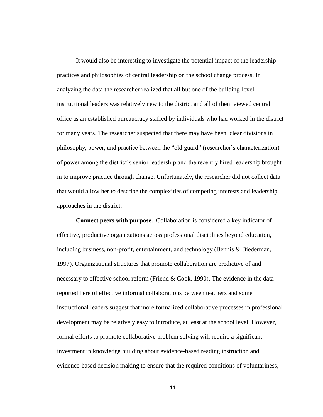It would also be interesting to investigate the potential impact of the leadership practices and philosophies of central leadership on the school change process. In analyzing the data the researcher realized that all but one of the building-level instructional leaders was relatively new to the district and all of them viewed central office as an established bureaucracy staffed by individuals who had worked in the district for many years. The researcher suspected that there may have been clear divisions in philosophy, power, and practice between the "old guard" (researcher's characterization) of power among the district's senior leadership and the recently hired leadership brought in to improve practice through change. Unfortunately, the researcher did not collect data that would allow her to describe the complexities of competing interests and leadership approaches in the district.

**Connect peers with purpose.** Collaboration is considered a key indicator of effective, productive organizations across professional disciplines beyond education, including business, non-profit, entertainment, and technology (Bennis & Biederman, 1997). Organizational structures that promote collaboration are predictive of and necessary to effective school reform (Friend & Cook, 1990). The evidence in the data reported here of effective informal collaborations between teachers and some instructional leaders suggest that more formalized collaborative processes in professional development may be relatively easy to introduce, at least at the school level. However, formal efforts to promote collaborative problem solving will require a significant investment in knowledge building about evidence-based reading instruction and evidence-based decision making to ensure that the required conditions of voluntariness,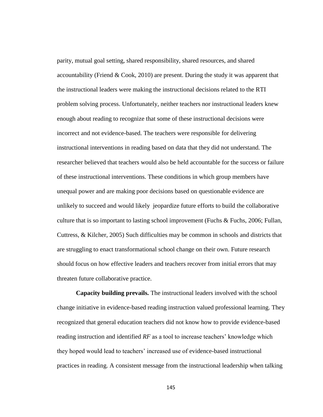parity, mutual goal setting, shared responsibility, shared resources, and shared accountability (Friend & Cook, 2010) are present. During the study it was apparent that the instructional leaders were making the instructional decisions related to the RTI problem solving process. Unfortunately, neither teachers nor instructional leaders knew enough about reading to recognize that some of these instructional decisions were incorrect and not evidence-based. The teachers were responsible for delivering instructional interventions in reading based on data that they did not understand. The researcher believed that teachers would also be held accountable for the success or failure of these instructional interventions. These conditions in which group members have unequal power and are making poor decisions based on questionable evidence are unlikely to succeed and would likely jeopardize future efforts to build the collaborative culture that is so important to lasting school improvement (Fuchs & Fuchs, 2006; Fullan, Cuttress, & Kilcher, 2005) Such difficulties may be common in schools and districts that are struggling to enact transformational school change on their own. Future research should focus on how effective leaders and teachers recover from initial errors that may threaten future collaborative practice.

**Capacity building prevails.** The instructional leaders involved with the school change initiative in evidence-based reading instruction valued professional learning. They recognized that general education teachers did not know how to provide evidence-based reading instruction and identified *RF* as a tool to increase teachers' knowledge which they hoped would lead to teachers' increased use of evidence-based instructional practices in reading. A consistent message from the instructional leadership when talking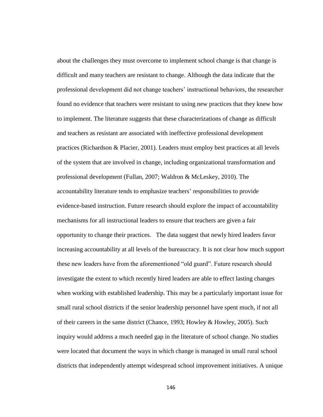about the challenges they must overcome to implement school change is that change is difficult and many teachers are resistant to change. Although the data indicate that the professional development did not change teachers' instructional behaviors, the researcher found no evidence that teachers were resistant to using new practices that they knew how to implement. The literature suggests that these characterizations of change as difficult and teachers as resistant are associated with ineffective professional development practices (Richardson & Placier, 2001). Leaders must employ best practices at all levels of the system that are involved in change, including organizational transformation and professional development (Fullan, 2007; Waldron & McLeskey, 2010). The accountability literature tends to emphasize teachers' responsibilities to provide evidence-based instruction. Future research should explore the impact of accountability mechanisms for all instructional leaders to ensure that teachers are given a fair opportunity to change their practices. The data suggest that newly hired leaders favor increasing accountability at all levels of the bureaucracy. It is not clear how much support these new leaders have from the aforementioned "old guard". Future research should investigate the extent to which recently hired leaders are able to effect lasting changes when working with established leadership. This may be a particularly important issue for small rural school districts if the senior leadership personnel have spent much, if not all of their careers in the same district (Chance, 1993; Howley & Howley, 2005). Such inquiry would address a much needed gap in the literature of school change. No studies were located that document the ways in which change is managed in small rural school districts that independently attempt widespread school improvement initiatives. A unique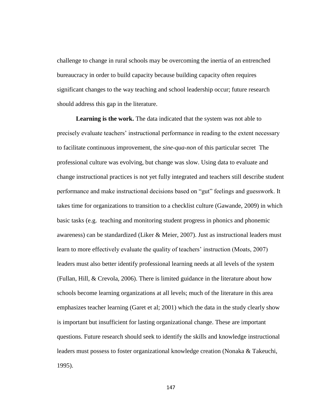challenge to change in rural schools may be overcoming the inertia of an entrenched bureaucracy in order to build capacity because building capacity often requires significant changes to the way teaching and school leadership occur; future research should address this gap in the literature.

**Learning is the work.** The data indicated that the system was not able to precisely evaluate teachers' instructional performance in reading to the extent necessary to facilitate continuous improvement, the *sine-qua-non* of this particular secret The professional culture was evolving, but change was slow. Using data to evaluate and change instructional practices is not yet fully integrated and teachers still describe student performance and make instructional decisions based on "gut" feelings and guesswork. It takes time for organizations to transition to a checklist culture (Gawande, 2009) in which basic tasks (e.g. teaching and monitoring student progress in phonics and phonemic awareness) can be standardized (Liker & Meier, 2007). Just as instructional leaders must learn to more effectively evaluate the quality of teachers' instruction (Moats, 2007) leaders must also better identify professional learning needs at all levels of the system (Fullan, Hill, & Crevola, 2006). There is limited guidance in the literature about how schools become learning organizations at all levels; much of the literature in this area emphasizes teacher learning (Garet et al; 2001) which the data in the study clearly show is important but insufficient for lasting organizational change. These are important questions. Future research should seek to identify the skills and knowledge instructional leaders must possess to foster organizational knowledge creation (Nonaka & Takeuchi, 1995).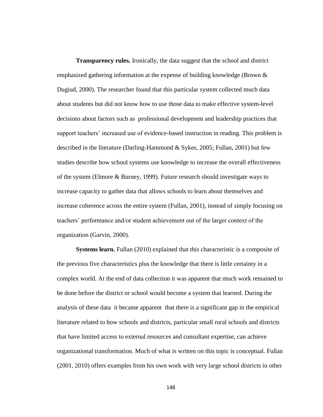**Transparency rules.** Ironically, the data suggest that the school and district emphasized gathering information at the expense of building knowledge (Brown  $\&$ Dugiud, 2000). The researcher found that this particular system collected much data about students but did not know how to use those data to make effective system-level decisions about factors such as professional development and leadership practices that support teachers' increased use of evidence-based instruction in reading. This problem is described in the literature (Darling-Hammond & Sykes, 2005; Fullan, 2001) but few studies describe how school systems use knowledge to increase the overall effectiveness of the system (Elmore & Burney, 1999). Future research should investigate ways to increase capacity to gather data that allows schools to learn about themselves and increase coherence across the entire system (Fullan, 2001), instead of simply focusing on teachers' performance and/or student achievement out of the larger context of the organization (Garvin, 2000).

**Systems learn.** Fullan (2010) explained that this characteristic is a composite of the previous five characteristics plus the knowledge that there is little certainty in a complex world. At the end of data collection it was apparent that much work remained to be done before the district or school would become a system that learned. During the analysis of these data it became apparent that there is a significant gap in the empirical literature related to how schools and districts, particular small rural schools and districts that have limited access to external resources and consultant expertise, can achieve organizational transformation. Much of what is written on this topic is conceptual. Fullan (2001, 2010) offers examples from his own work with very large school districts in other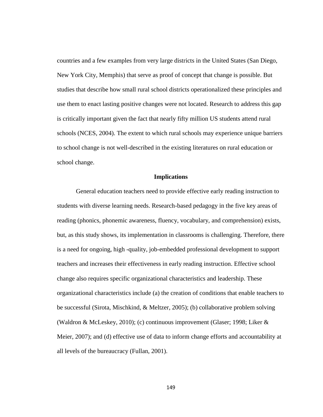countries and a few examples from very large districts in the United States (San Diego, New York City, Memphis) that serve as proof of concept that change is possible. But studies that describe how small rural school districts operationalized these principles and use them to enact lasting positive changes were not located. Research to address this gap is critically important given the fact that nearly fifty million US students attend rural schools (NCES, 2004). The extent to which rural schools may experience unique barriers to school change is not well-described in the existing literatures on rural education or school change.

## **Implications**

General education teachers need to provide effective early reading instruction to students with diverse learning needs. Research-based pedagogy in the five key areas of reading (phonics, phonemic awareness, fluency, vocabulary, and comprehension) exists, but, as this study shows, its implementation in classrooms is challenging. Therefore, there is a need for ongoing, high -quality, job-embedded professional development to support teachers and increases their effectiveness in early reading instruction. Effective school change also requires specific organizational characteristics and leadership. These organizational characteristics include (a) the creation of conditions that enable teachers to be successful (Sirota, Mischkind, & Meltzer, 2005); (b) collaborative problem solving (Waldron & McLeskey, 2010); (c) continuous improvement (Glaser; 1998; Liker & Meier, 2007); and (d) effective use of data to inform change efforts and accountability at all levels of the bureaucracy (Fullan, 2001).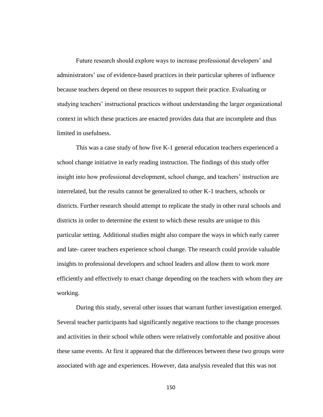Future research should explore ways to increase professional developers' and administrators' use of evidence-based practices in their particular spheres of influence because teachers depend on these resources to support their practice. Evaluating or studying teachers' instructional practices without understanding the larger organizational context in which these practices are enacted provides data that are incomplete and thus limited in usefulness.

This was a case study of how five K-1 general education teachers experienced a school change initiative in early reading instruction. The findings of this study offer insight into how professional development, school change, and teachers' instruction are interrelated, but the results cannot be generalized to other K-1 teachers, schools or districts. Further research should attempt to replicate the study in other rural schools and districts in order to determine the extent to which these results are unique to this particular setting. Additional studies might also compare the ways in which early career and late- career teachers experience school change. The research could provide valuable insights to professional developers and school leaders and allow them to work more efficiently and effectively to enact change depending on the teachers with whom they are working.

During this study, several other issues that warrant further investigation emerged. Several teacher participants had significantly negative reactions to the change processes and activities in their school while others were relatively comfortable and positive about these same events. At first it appeared that the differences between these two groups were associated with age and experiences. However, data analysis revealed that this was not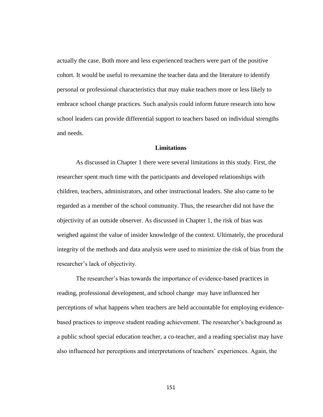actually the case. Both more and less experienced teachers were part of the positive cohort. It would be useful to reexamine the teacher data and the literature to identify personal or professional characteristics that may make teachers more or less likely to embrace school change practices. Such analysis could inform future research into how school leaders can provide differential support to teachers based on individual strengths and needs.

## **Limitations**

As discussed in Chapter 1 there were several limitations in this study. First, the researcher spent much time with the participants and developed relationships with children, teachers, administrators, and other instructional leaders. She also came to be regarded as a member of the school community. Thus, the researcher did not have the objectivity of an outside observer. As discussed in Chapter 1, the risk of bias was weighed against the value of insider knowledge of the context. Ultimately, the procedural integrity of the methods and data analysis were used to minimize the risk of bias from the researcher's lack of objectivity.

The researcher's bias towards the importance of evidence-based practices in reading, professional development, and school change may have influenced her perceptions of what happens when teachers are held accountable for employing evidencebased practices to improve student reading achievement. The researcher's background as a public school special education teacher, a co-teacher, and a reading specialist may have also influenced her perceptions and interpretations of teachers' experiences. Again, the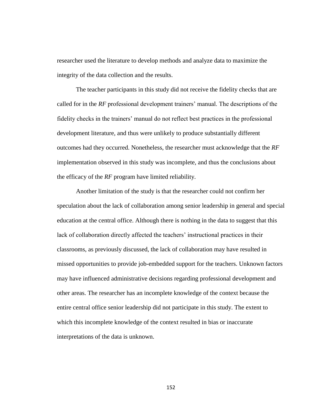researcher used the literature to develop methods and analyze data to maximize the integrity of the data collection and the results.

The teacher participants in this study did not receive the fidelity checks that are called for in the *RF* professional development trainers' manual. The descriptions of the fidelity checks in the trainers' manual do not reflect best practices in the professional development literature, and thus were unlikely to produce substantially different outcomes had they occurred. Nonetheless, the researcher must acknowledge that the *RF*  implementation observed in this study was incomplete, and thus the conclusions about the efficacy of the *RF* program have limited reliability.

Another limitation of the study is that the researcher could not confirm her speculation about the lack of collaboration among senior leadership in general and special education at the central office. Although there is nothing in the data to suggest that this lack of collaboration directly affected the teachers' instructional practices in their classrooms, as previously discussed, the lack of collaboration may have resulted in missed opportunities to provide job-embedded support for the teachers. Unknown factors may have influenced administrative decisions regarding professional development and other areas. The researcher has an incomplete knowledge of the context because the entire central office senior leadership did not participate in this study. The extent to which this incomplete knowledge of the context resulted in bias or inaccurate interpretations of the data is unknown.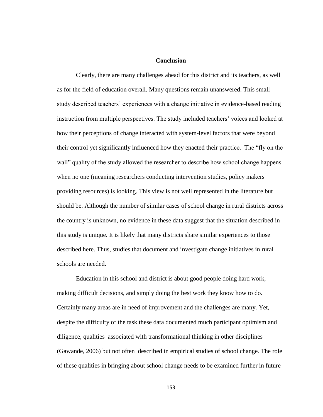# **Conclusion**

Clearly, there are many challenges ahead for this district and its teachers, as well as for the field of education overall. Many questions remain unanswered. This small study described teachers' experiences with a change initiative in evidence-based reading instruction from multiple perspectives. The study included teachers' voices and looked at how their perceptions of change interacted with system-level factors that were beyond their control yet significantly influenced how they enacted their practice. The "fly on the wall" quality of the study allowed the researcher to describe how school change happens when no one (meaning researchers conducting intervention studies, policy makers providing resources) is looking. This view is not well represented in the literature but should be. Although the number of similar cases of school change in rural districts across the country is unknown, no evidence in these data suggest that the situation described in this study is unique. It is likely that many districts share similar experiences to those described here. Thus, studies that document and investigate change initiatives in rural schools are needed.

Education in this school and district is about good people doing hard work, making difficult decisions, and simply doing the best work they know how to do. Certainly many areas are in need of improvement and the challenges are many. Yet, despite the difficulty of the task these data documented much participant optimism and diligence, qualities associated with transformational thinking in other disciplines (Gawande, 2006) but not often described in empirical studies of school change. The role of these qualities in bringing about school change needs to be examined further in future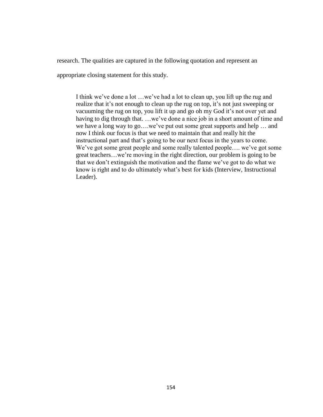research. The qualities are captured in the following quotation and represent an

appropriate closing statement for this study.

I think we've done a lot …we've had a lot to clean up, you lift up the rug and realize that it's not enough to clean up the rug on top, it's not just sweeping or vacuuming the rug on top, you lift it up and go oh my God it's not over yet and having to dig through that. …we've done a nice job in a short amount of time and we have a long way to go….we've put out some great supports and help … and now I think our focus is that we need to maintain that and really hit the instructional part and that's going to be our next focus in the years to come. We've got some great people and some really talented people.... we've got some great teachers…we're moving in the right direction, our problem is going to be that we don't extinguish the motivation and the flame we've got to do what we know is right and to do ultimately what's best for kids (Interview, Instructional Leader).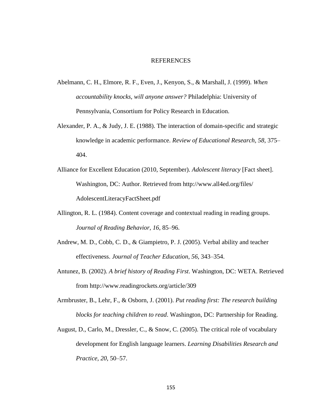#### REFERENCES

- Abelmann, C. H., Elmore, R. F., Even, J., Kenyon, S., & Marshall, J. (1999). *When accountability knocks, will anyone answer?* Philadelphia: University of Pennsylvania, Consortium for Policy Research in Education.
- Alexander, P. A., & Judy, J. E. (1988). The interaction of domain-specific and strategic knowledge in academic performance. *Review of Educational Research, 58*, 375– 404.
- Alliance for Excellent Education (2010, September). *Adolescent literacy* [Fact sheet]. Washington, DC: Author. Retrieved from http://www.all4ed.org/files/ AdolescentLiteracyFactSheet.pdf
- Allington, R. L. (1984). Content coverage and contextual reading in reading groups. *Journal of Reading Behavior, 16*, 85–96.
- Andrew, M. D., Cobb, C. D., & Giampietro, P. J. (2005). Verbal ability and teacher effectiveness. *Journal of Teacher Education*, *56*, 343–354.
- Antunez, B. (2002). *A brief history of Reading First*. Washington, DC: WETA. Retrieved from http://www.readingrockets.org/article/309
- Armbruster, B., Lehr, F., & Osborn, J. (2001). *Put reading first: The research building blocks for teaching children to read*. Washington, DC: Partnership for Reading.
- August, D., Carlo, M., Dressler, C., & Snow, C. (2005). The critical role of vocabulary development for English language learners. *Learning Disabilities Research and Practice, 20*, 50–57.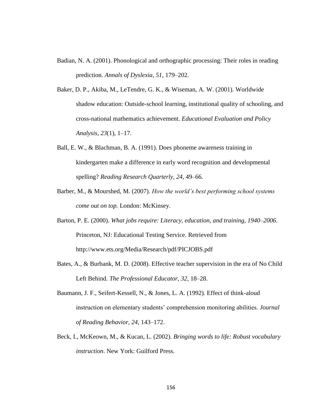- Badian, N. A. (2001). Phonological and orthographic processing: Their roles in reading prediction. *Annals of Dyslexia, 51*, 179–202.
- Baker, D. P., Akiba, M., LeTendre, G. K., & Wiseman, A. W. (2001). Worldwide shadow education: Outside-school learning, institutional quality of schooling, and cross-national mathematics achievement. *Educational Evaluation and Policy Analysis, 23*(1), 1–17.
- Ball, E. W., & Blachman, B. A. (1991). Does phoneme awareness training in kindergarten make a difference in early word recognition and developmental spelling? *Reading Research Quarterly, 24*, 49–66.
- Barber, M., & Mourshed, M. (2007). *How the world's best performing school systems come out on top.* London: McKinsey.
- Barton, P. E. (2000). *What jobs require: Literacy, education, and training, 1940–2006*. Princeton, NJ: Educational Testing Service. Retrieved from http://www.ets.org/Media/Research/pdf/PICJOBS.pdf
- Bates, A., & Burbank, M. D. (2008). Effective teacher supervision in the era of No Child Left Behind. *The Professional Educator, 32,* 18–28.
- Baumann, J. F., Seifert-Kessell, N., & Jones, L. A. (1992). Effect of think-aloud instruction on elementary students' comprehension monitoring abilities. *Journal of Reading Behavior, 24*, 143–172.
- Beck, I., McKeown, M., & Kucan, L. (2002). *Bringing words to life: Robust vocabulary instruction*. New York: Guilford Press.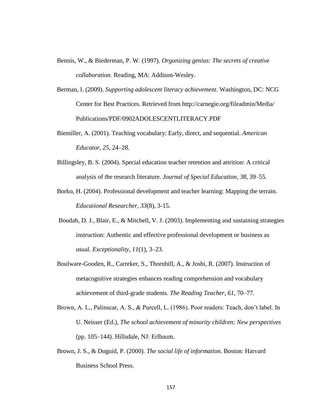- Bennis, W., & Biederman, P. W. (1997). *Organizing genius: The secrets of creative collaboration.* Reading, MA: Addison-Wesley.
- Berman, I. (2009). *Supporting adolescent literacy achievement*. Washington, DC: NCG Center for Best Practices. Retrieved from http://carnegie.org/fileadmin/Media/ Publications/PDF/0902ADOLESCENTLITERACY.PDF
- Biemiller, A. (2001). Teaching vocabulary: Early, direct, and sequential. *American Educator, 25*, 24–28.
- Billingsley, B. S. (2004). Special education teacher retention and attrition: A critical analysis of the research literature. *Journal of Special Education, 38*, 39–55.
- Borko, H. (2004). Professional development and teacher learning: Mapping the terrain. *Educational Researcher, 33*(8), 3-15.
- Boudah, D. J., Blair, E., & Mitchell, V. J. (2003). Implementing and sustaining strategies instruction: Authentic and effective professional development or business as usual. *Exceptionality, 11*(1), 3–23.
- Boulware-Gooden, R., Carreker, S., Thornhill, A., & Joshi, R. (2007). Instruction of metacognitive strategies enhances reading comprehension and vocabulary achievement of third-grade students. *The Reading Teacher, 61*, 70–77.
- Brown, A. L., Palinscar, A. S., & Purcell, L. (1986). Poor readers: Teach, don't label. In U. Neisser (Ed.), *The school achievement of minority children: New perspectives* (pp. 105–144). Hillsdale, NJ: Erlbaum.
- Brown, J. S., & Duguid, P. (2000). *The social life of information.* Boston: Harvard Business School Press.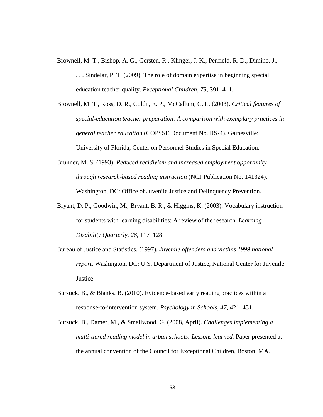- Brownell, M. T., Bishop, A. G., Gersten, R., Klinger, J. K., Penfield, R. D., Dimino, J., . . . Sindelar, P. T. (2009). The role of domain expertise in beginning special education teacher quality. *Exceptional Children, 75,* 391–411.
- Brownell, M. T., Ross, D. R., Colón, E. P., McCallum, C. L. (2003). *Critical features of special-education teacher preparation: A comparison with exemplary practices in general teacher education* (COPSSE Document No. RS-4). Gainesville: University of Florida, Center on Personnel Studies in Special Education.
- Brunner, M. S. (1993). *Reduced recidivism and increased employment opportunity through research-based reading instruction* (NCJ Publication No. 141324). Washington, DC: Office of Juvenile Justice and Delinquency Prevention.
- Bryant, D. P., Goodwin, M., Bryant, B. R., & Higgins, K. (2003). Vocabulary instruction for students with learning disabilities: A review of the research. *Learning Disability Quarterly, 26*, 117–128.
- Bureau of Justice and Statistics. (1997). *Juvenile offenders and victims 1999 national report.* Washington, DC: U.S. Department of Justice, National Center for Juvenile Justice.
- Bursuck, B., & Blanks, B. (2010). Evidence-based early reading practices within a response-to-intervention system. *Psychology in Schools*, *47*, 421–431.
- Bursuck, B., Damer, M., & Smallwood, G. (2008, April). *Challenges implementing a multi-tiered reading model in urban schools: Lessons learned.* Paper presented at the annual convention of the Council for Exceptional Children, Boston, MA.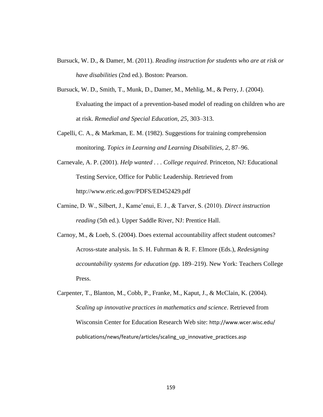- Bursuck, W. D., & Damer, M. (2011). *Reading instruction for students who are at risk or have disabilities* (2nd ed.). Boston: Pearson.
- Bursuck, W. D., Smith, T., Munk, D., Damer, M., Mehlig, M., & Perry, J. (2004). Evaluating the impact of a prevention-based model of reading on children who are at risk. *Remedial and Special Education, 25*, 303–313.
- Capelli, C. A., & Markman, E. M. (1982). Suggestions for training comprehension monitoring. *Topics in Learning and Learning Disabilities, 2*, 87–96.
- Carnevale, A. P. (2001). *Help wanted . . . College required*. Princeton, NJ: Educational Testing Service, Office for Public Leadership. Retrieved from http://www.eric.ed.gov/PDFS/ED452429.pdf
- Carnine, D. W., Silbert, J., Kame'enui, E. J., & Tarver, S. (2010). *Direct instruction reading* (5th ed.). Upper Saddle River, NJ: Prentice Hall.
- Carnoy, M., & Loeb, S. (2004). Does external accountability affect student outcomes? Across-state analysis. In S. H. Fuhrman & R. F. Elmore (Eds.), *Redesigning accountability systems for education* (pp. 189–219). New York: Teachers College Press.
- Carpenter, T., Blanton, M., Cobb, P., Franke, M., Kaput, J., & McClain, K. (2004). *Scaling up innovative practices in mathematics and science*. Retrieved from Wisconsin Center for Education Research Web site: http://www.wcer.wisc.edu/ publications/news/feature/articles/scaling\_up\_innovative\_practices.asp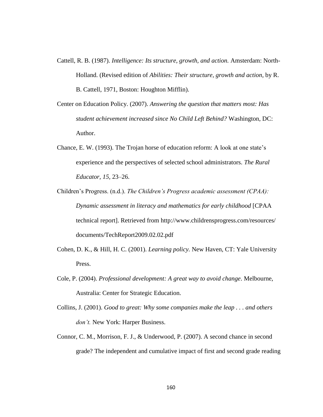- Cattell, R. B. (1987). *Intelligence: Its structure, growth, and action.* Amsterdam: North-Holland. (Revised edition of *Abilities: Their structure, growth and action*, by R. B. Cattell, 1971, Boston: Houghton Mifflin).
- Center on Education Policy. (2007). *Answering the question that matters most: Has student achievement increased since No Child Left Behind?* Washington, DC: Author.
- Chance, E. W. (1993). The Trojan horse of education reform: A look at one state's experience and the perspectives of selected school administrators. *The Rural Educator, 15,* 23–26.
- Children's Progress. (n.d.). *The Children's Progress academic assessment (CPAA): Dynamic assessment in literacy and mathematics for early childhood* [CPAA technical report]. Retrieved from http://www.childrensprogress.com/resources/ documents/TechReport2009.02.02.pdf
- Cohen, D. K., & Hill, H. C. (2001). *Learning policy.* New Haven, CT: Yale University Press.
- Cole, P. (2004). *Professional development: A great way to avoid change*. Melbourne, Australia: Center for Strategic Education.
- Collins, J. (2001). *Good to great: Why some companies make the leap . . . and others don't.* New York: Harper Business.
- Connor, C. M., Morrison, F. J., & Underwood, P. (2007). A second chance in second grade? The independent and cumulative impact of first and second grade reading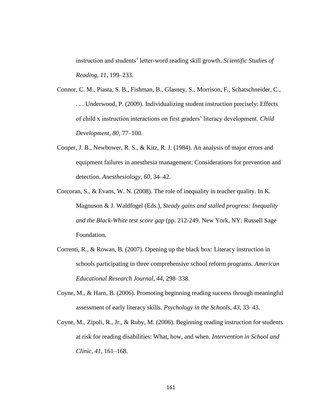instruction and students' letter-word reading skill growth. *Scientific Studies of Reading, 11*, 199–233.

- Connor, C. M., Piasta, S. B., Fishman, B., Glasney, S., Morrison, F., Schatschneider, C., . . . Underwood, P. (2009). Individualizing student instruction precisely: Effects of child x instruction interactions on first graders' literacy development. *Child Development, 80,* 77–100.
- Cooper, J. B., Newbower, R. S., & Kitz, R. J. (1984). An analysis of major errors and equipment failures in anesthesia management: Considerations for prevention and detection. *Anesthesiology, 60*, 34–42.
- Corcoran, S., & Evans, W. N. (2008). The role of inequality in teacher quality. In K. Magnuson & J. Waldfogel (Eds.), *Steady gains and stalled progress: Inequality and the Black-White test score gap* (pp. 212-249*.* New York, NY: Russell Sage Foundation.
- Correnti, R., & Rowan, B. (2007). Opening up the black box: Literacy instruction in schools participating in three comprehensive school reform programs. *American Educational Research Journal, 44*, 298–338.
- Coyne, M., & Harn, B. (2006). Promoting beginning reading success through meaningful assessment of early literacy skills. *Psychology in the Schools, 43*, 33–43.
- Coyne, M., Zipoli, R., Jr., & Ruby, M. (2006). Beginning reading instruction for students at risk for reading disabilities: What, how, and when. *Intervention in School and Clinic, 41*, 161–168.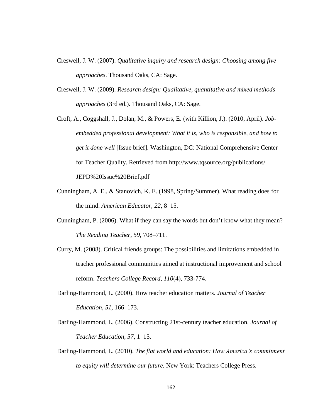- Creswell, J. W. (2007). *Qualitative inquiry and research design: Choosing among five approaches*. Thousand Oaks, CA: Sage.
- Creswell, J. W. (2009). *Research design: Qualitative, quantitative and mixed methods approaches* (3rd ed.). Thousand Oaks, CA: Sage.
- Croft, A., Coggshall, J., Dolan, M., & Powers, E. (with Killion, J.). (2010, April). *Jobembedded professional development: What it is, who is responsible, and how to get it done well* [Issue brief]*.* Washington, DC: National Comprehensive Center for Teacher Quality. Retrieved from http://www.tqsource.org/publications/ JEPD%20Issue%20Brief.pdf
- Cunningham, A. E., & Stanovich, K. E. (1998, Spring/Summer). What reading does for the mind. *American Educator, 22*, 8–15.
- Cunningham, P. (2006). What if they can say the words but don't know what they mean? *The Reading Teacher, 59*, 708–711.
- Curry, M. (2008). Critical friends groups: The possibilities and limitations embedded in teacher professional communities aimed at instructional improvement and school reform. *Teachers College Record, 110*(4), 733-774.
- Darling-Hammond, L. (2000). How teacher education matters. *Journal of Teacher Education, 51,* 166–173.
- Darling-Hammond, L. (2006). Constructing 21st-century teacher education. *Journal of Teacher Education, 57*, 1–15.
- Darling-Hammond, L. (2010). *The flat world and education: How America's commitment to equity will determine our future.* New York: Teachers College Press.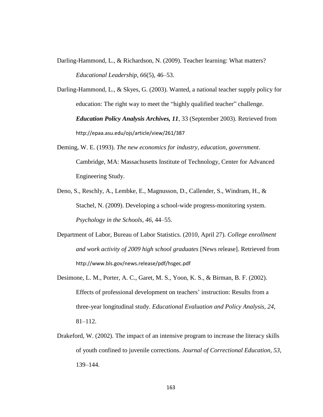Darling-Hammond, L., & Richardson, N. (2009). Teacher learning: What matters? *Educational Leadership, 66*(5), 46–53.

Darling-Hammond, L., & Skyes, G. (2003). Wanted, a national teacher supply policy for education: The right way to meet the "highly qualified teacher" challenge. *Education Policy Analysis Archives, 11*, 33 (September 2003). Retrieved from http://epaa.asu.edu/ojs/article/view/261/387

- Deming, W. E. (1993). *The new economics for industry, education, government*. Cambridge, MA: Massachusetts Institute of Technology, Center for Advanced Engineering Study.
- Deno, S., Reschly, A., Lembke, E., Magnusson, D., Callender, S., Windram, H., & Stachel, N. (2009). Developing a school-wide progress-monitoring system. *Psychology in the Schools, 46*, 44–55.
- Department of Labor, Bureau of Labor Statistics. (2010, April 27). *College enrollment and work activity of 2009 high school graduates* [News release]. Retrieved from http://www.bls.gov/news.release/pdf/hsgec.pdf
- Desimone, L. M., Porter, A. C., Garet, M. S., Yoon, K. S., & Birman, B. F. (2002). Effects of professional development on teachers' instruction: Results from a three-year longitudinal study. *Educational Evaluation and Policy Analysis, 24*, 81–112.
- Drakeford, W. (2002). The impact of an intensive program to increase the literacy skills of youth confined to juvenile corrections. *Journal of Correctional Education, 53,*  139–144.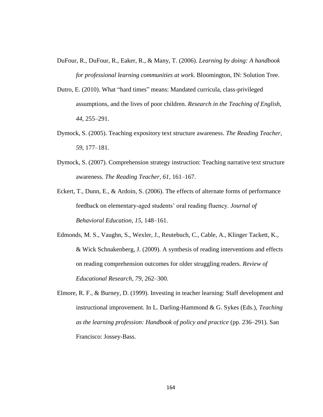- DuFour, R., DuFour, R., Eaker, R., & Many, T. (2006). *Learning by doing: A handbook for professional learning communities at work*. Bloomington, IN: Solution Tree.
- Dutro, E. (2010). What "hard times" means: Mandated curricula, class-privileged assumptions, and the lives of poor children. *Research in the Teaching of English, 44,* 255–291.
- Dymock, S. (2005). Teaching expository text structure awareness. *The Reading Teacher, 59*, 177–181.
- Dymock, S. (2007). Comprehension strategy instruction: Teaching narrative text structure awareness. *The Reading Teacher, 61*, 161–167.
- Eckert, T., Dunn, E., & Ardoin, S. (2006). The effects of alternate forms of performance feedback on elementary-aged students' oral reading fluency. *Journal of Behavioral Education*, *15*, 148–161.

Edmonds, M. S., Vaughn, S., Wexler, J., Reutebuch, C., Cable, A., Klinger Tackett, K., & Wick Schnakenberg, J. (2009). A synthesis of reading interventions and effects on reading comprehension outcomes for older struggling readers. *Review of Educational Research, 79*, 262–300.

Elmore, R. F., & Burney, D. (1999). Investing in teacher learning: Staff development and instructional improvement. In L. Darling-Hammond & G. Sykes (Eds.), *Teaching as the learning profession: Handbook of policy and practice* (pp. 236–291). San Francisco: Jossey-Bass.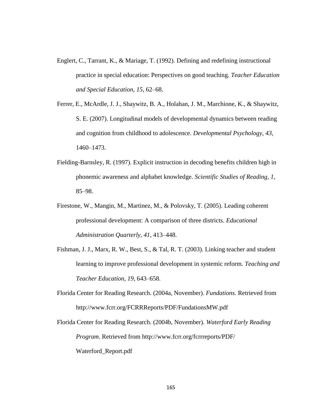- Englert, C., Tarrant, K., & Mariage, T. (1992). Defining and redefining instructional practice in special education: Perspectives on good teaching. *Teacher Education and Special Education, 15*, 62–68.
- Ferrer, E., McArdle, J. J., Shaywitz, B. A., Holahan, J. M., Marchione, K., & Shaywitz, S. E. (2007). Longitudinal models of developmental dynamics between reading and cognition from childhood to adolescence. *Developmental Psychology, 43,*  1460–1473.
- Fielding-Barnsley, R. (1997). Explicit instruction in decoding benefits children high in phonemic awareness and alphabet knowledge. *Scientific Studies of Reading, 1*, 85–98.
- Firestone, W., Mangin, M., Martinez, M., & Polovsky, T. (2005). Leading coherent professional development: A comparison of three districts. *Educational Administration Quarterly, 41*, 413–448.
- Fishman, J. J., Marx, R. W., Best, S., & Tal, R. T. (2003). Linking teacher and student learning to improve professional development in systemic reform. *Teaching and Teacher Education, 19,* 643–658.
- Florida Center for Reading Research. (2004a, November). *Fundations*. Retrieved from http://www.fcrr.org/FCRRReports/PDF/FundationsMW.pdf

Florida Center for Reading Research. (2004b, November). *Waterford Early Reading Program*. Retrieved from http://www.fcrr.org/fcrrreports/PDF/ Waterford\_Report.pdf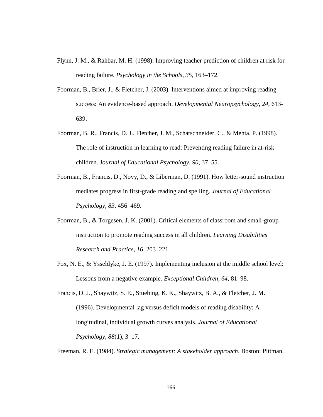- Flynn, J. M., & Rahbar, M. H. (1998). Improving teacher prediction of children at risk for reading failure. *Psychology in the Schools, 35*, 163–172.
- Foorman, B., Brier, J., & Fletcher, J. (2003). Interventions aimed at improving reading success: An evidence-based approach. *Developmental Neuropsychology, 24*, 613- 639.
- Foorman, B. R., Francis, D. J., Fletcher, J. M., Schatschneider, C., & Mehta, P. (1998). The role of instruction in learning to read: Preventing reading failure in at-risk children. J*ournal of Educational Psychology, 90*, 37–55.
- Foorman, B., Francis, D., Novy, D., & Liberman, D. (1991). How letter-sound instruction mediates progress in first-grade reading and spelling. *Journal of Educational Psychology, 83*, 456–469.
- Foorman, B., & Torgesen, J. K. (2001). Critical elements of classroom and small-group instruction to promote reading success in all children. *Learning Disabilities Research and Practice, 16,* 203–221.
- Fox, N. E., & Ysseldyke, J. E. (1997). Implementing inclusion at the middle school level: Lessons from a negative example. *Exceptional Children, 64*, 81–98.
- Francis, D. J., Shaywitz, S. E., Stuebing, K. K., Shaywitz, B. A., & Fletcher, J. M. (1996). Developmental lag versus deficit models of reading disability: A longitudinal, individual growth curves analysis. *Journal of Educational Psychology, 88*(1), 3–17.

Freeman, R. E. (1984). *Strategic management: A stakeholder approach*. Boston: Pittman.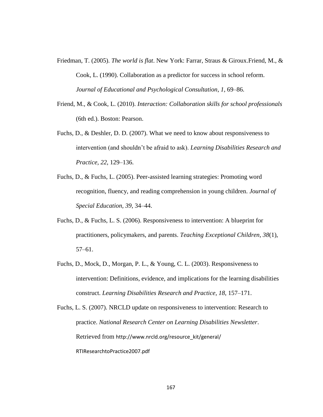- Friedman, T. (2005). *The world is flat*. New York: Farrar, Straus & Giroux.Friend, M., & Cook, L. (1990). Collaboration as a predictor for success in school reform. *Journal of Educational and Psychological Consultation*, *1*, 69–86.
- Friend, M., & Cook, L. (2010). *Interaction: Collaboration skills for school professionals*  (6th ed.). Boston: Pearson.
- Fuchs, D., & Deshler, D. D. (2007). What we need to know about responsiveness to intervention (and shouldn't be afraid to ask). *Learning Disabilities Research and Practice, 22*, 129–136.
- Fuchs, D., & Fuchs, L. (2005). Peer-assisted learning strategies: Promoting word recognition, fluency, and reading comprehension in young children. *Journal of Special Education, 39*, 34–44.
- Fuchs, D., & Fuchs, L. S. (2006). Responsiveness to intervention: A blueprint for practitioners, policymakers, and parents. *Teaching Exceptional Children, 38*(1), 57–61.
- Fuchs, D., Mock, D., Morgan, P. L., & Young, C. L. (2003). Responsiveness to intervention: Definitions, evidence, and implications for the learning disabilities construct. *Learning Disabilities Research and Practice, 18*, 157–171.

Fuchs, L. S. (2007). NRCLD update on responsiveness to intervention: Research to practice. *National Research Center on Learning Disabilities Newsletter*. Retrieved from http://www.nrcld.org/resource\_kit/general/ RTIResearchtoPractice2007.pdf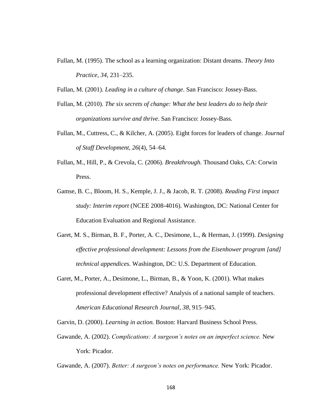Fullan, M. (1995). The school as a learning organization: Distant dreams. *Theory Into Practice, 34*, 231–235.

Fullan, M. (2001). *Leading in a culture of change*. San Francisco: Jossey-Bass.

- Fullan, M. (2010). *The six secrets of change: What the best leaders do to help their organizations survive and thrive*. San Francisco: Jossey-Bass.
- Fullan, M., Cuttress, C., & Kilcher, A. (2005). Eight forces for leaders of change. *Journal of Staff Development, 26*(4), 54–64.
- Fullan, M., Hill, P., & Crevola, C. (2006). *Breakthrough.* Thousand Oaks, CA: Corwin Press.
- Gamse, B. C., Bloom, H. S., Kemple, J. J., & Jacob, R. T. (2008). *Reading First impact study: Interim report* (NCEE 2008-4016). Washington, DC: National Center for Education Evaluation and Regional Assistance.
- Garet, M. S., Birman, B. F., Porter, A. C., Desimone, L., & Herman, J. (1999). *Designing effective professional development: Lessons from the Eisenhower program [and] technical appendices.* Washington, DC: U.S. Department of Education.
- Garet, M., Porter, A., Desimone, L., Birman, B., & Yoon, K. (2001). What makes professional development effective? Analysis of a national sample of teachers. *American Educational Research Journal, 38*, 915–945.

Garvin, D. (2000). *Learning in action.* Boston: Harvard Business School Press.

Gawande, A. (2002). *Complications: A surgeon's notes on an imperfect science.* New York: Picador.

Gawande, A. (2007). *Better: A surgeon's notes on performance.* New York: Picador.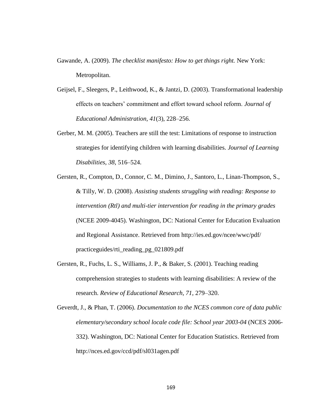- Gawande, A. (2009). *The checklist manifesto: How to get things right.* New York: Metropolitan.
- Geijsel, F., Sleegers, P., Leithwood, K., & Jantzi, D. (2003). Transformational leadership effects on teachers' commitment and effort toward school reform. *Journal of Educational Administration, 41*(3), 228–256.
- Gerber, M. M. (2005). Teachers are still the test: Limitations of response to instruction strategies for identifying children with learning disabilities. *Journal of Learning Disabilities, 38*, 516–524.
- Gersten, R., Compton, D., Connor, C. M., Dimino, J., Santoro, L., Linan-Thompson, S., & Tilly, W. D. (2008). *Assisting students struggling with reading: Response to intervention (Rtl) and multi-tier intervention for reading in the primary grades*  (NCEE 2009-4045). Washington, DC: National Center for Education Evaluation and Regional Assistance. Retrieved from http://ies.ed.gov/ncee/wwc/pdf/ practiceguides/rti\_reading\_pg\_021809.pdf
- Gersten, R., Fuchs, L. S., Williams, J. P., & Baker, S. (2001). Teaching reading comprehension strategies to students with learning disabilities: A review of the research. *Review of Educational Research, 71*, 279–320.

Geverdt, J., & Phan, T. (2006). *Documentation to the NCES common core of data public elementary/secondary school locale code file: School year 2003-04* (NCES 2006- 332). Washington, DC: National Center for Education Statistics. Retrieved from http://nces.ed.gov/ccd/pdf/sl031agen.pdf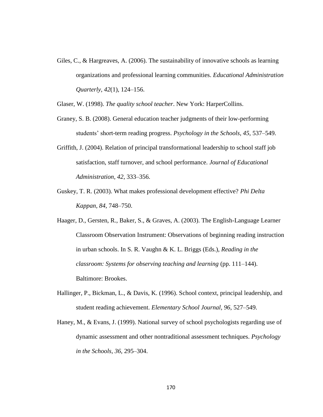- Giles, C., & Hargreaves, A. (2006). The sustainability of innovative schools as learning organizations and professional learning communities. *Educational Administration Quarterly, 42*(1), 124–156.
- Glaser, W. (1998). *The quality school teacher*. New York: HarperCollins.
- Graney, S. B. (2008). General education teacher judgments of their low-performing students' short-term reading progress. *Psychology in the Schools, 45*, 537–549.
- Griffith, J. (2004). Relation of principal transformational leadership to school staff job satisfaction, staff turnover, and school performance. *Journal of Educational Administration, 42*, 333–356.
- Guskey, T. R. (2003). What makes professional development effective? *Phi Delta Kappan, 84*, 748–750.
- Haager, D., Gersten, R., Baker, S., & Graves, A. (2003). The English-Language Learner Classroom Observation Instrument: Observations of beginning reading instruction in urban schools. In S. R. Vaughn & K. L. Briggs (Eds.), *Reading in the classroom: Systems for observing teaching and learning* (pp. 111–144). Baltimore: Brookes.
- Hallinger, P., Bickman, L., & Davis, K. (1996). School context, principal leadership, and student reading achievement. *Elementary School Journal, 96*, 527–549.
- Haney, M., & Evans, J. (1999). National survey of school psychologists regarding use of dynamic assessment and other nontraditional assessment techniques. *Psychology in the Schools, 36*, 295–304.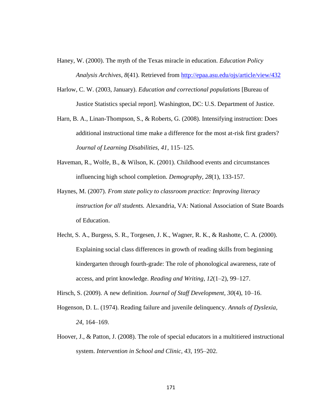- Haney, W. (2000). The myth of the Texas miracle in education. *Education Policy Analysis Archives, 8*(41). Retrieved from<http://epaa.asu.edu/ojs/article/view/432>
- Harlow, C. W. (2003, January). *Education and correctional populations* [Bureau of Justice Statistics special report]. Washington, DC: U.S. Department of Justice.
- Harn, B. A., Linan-Thompson, S., & Roberts, G. (2008). Intensifying instruction: Does additional instructional time make a difference for the most at-risk first graders? *Journal of Learning Disabilities, 41*, 115–125.
- Haveman, R., Wolfe, B., & Wilson, K. (2001). Childhood events and circumstances influencing high school completion. *Demography, 28*(1), 133-157.
- Haynes, M. (2007). *From state policy to classroom practice: Improving literacy instruction for all students.* Alexandria, VA: National Association of State Boards of Education.
- Hecht, S. A., Burgess, S. R., Torgesen, J. K., Wagner, R. K., & Rashotte, C. A. (2000). Explaining social class differences in growth of reading skills from beginning kindergarten through fourth-grade: The role of phonological awareness, rate of access, and print knowledge. *Reading and Writing, 12*(1–2), 99–127.
- Hirsch, S. (2009). A new definition*. Journal of Staff Development, 30*(4), 10–16.
- Hogenson, D. L. (1974). Reading failure and juvenile delinquency. *Annals of Dyslexia, 24*, 164–169.
- Hoover, J., & Patton, J. (2008). The role of special educators in a multitiered instructional system. *Intervention in School and Clinic, 43*, 195–202.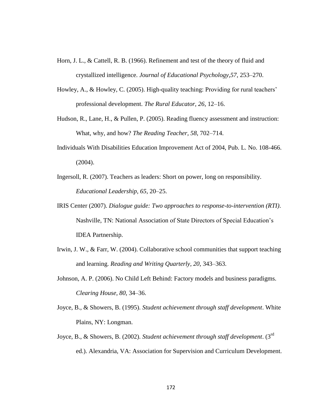- Horn, J. L., & Cattell, R. B. (1966). Refinement and test of the theory of fluid and crystallized intelligence. *Journal of Educational Psychology,57*, 253–270.
- Howley, A., & Howley, C. (2005). High-quality teaching: Providing for rural teachers' professional development. *The Rural Educator, 26*, 12–16.
- Hudson, R., Lane, H., & Pullen, P. (2005). Reading fluency assessment and instruction: What, why, and how? *The Reading Teacher, 58*, 702–714.
- Individuals With Disabilities Education Improvement Act of 2004, Pub. L. No. 108-466. (2004).
- Ingersoll, R. (2007). Teachers as leaders: Short on power, long on responsibility. *Educational Leadership, 65*, 20–25.
- IRIS Center (2007). *Dialogue guide: Two approaches to response-to-intervention (RTI)*. Nashville, TN: National Association of State Directors of Special Education's IDEA Partnership.
- Irwin, J. W., & Farr, W. (2004). Collaborative school communities that support teaching and learning. *Reading and Writing Quarterly, 20*, 343–363.
- Johnson, A. P. (2006). No Child Left Behind: Factory models and business paradigms. *Clearing House, 80*, 34–36.
- Joyce, B., & Showers, B. (1995). *Student achievement through staff development*. White Plains, NY: Longman.
- Joyce, B., & Showers, B. (2002). *Student achievement through staff development*. (3rd ed.). Alexandria, VA: Association for Supervision and Curriculum Development.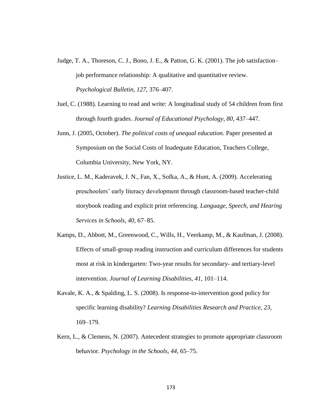- Judge, T. A., Thoreson, C. J., Bono, J. E., & Patton, G. K. (2001). The job satisfaction– job performance relationship: A qualitative and quantitative review. *Psychological Bulletin, 127*, 376–407.
- Juel, C. (1988). Learning to read and write: A longitudinal study of 54 children from first through fourth grades. *Journal of Educational Psychology, 80*, 437–447.
- Junn, J. (2005, October). *The political costs of unequal education*. Paper presented at Symposium on the Social Costs of Inadequate Education, Teachers College, Columbia University, New York, NY.
- Justice, L. M., Kaderavek, J. N., Fan, X., Sofka, A., & Hunt, A. (2009). Accelerating preschoolers' early literacy development through classroom-based teacher-child storybook reading and explicit print referencing. *Language, Speech, and Hearing Services in Schools, 40*, 67–85.
- Kamps, D., Abbott, M., Greenwood, C., Wills, H., Veerkamp, M., & Kaufman, J. (2008). Effects of small-group reading instruction and curriculum differences for students most at risk in kindergarten: Two-year results for secondary- and tertiary-level intervention. *Journal of Learning Disabilities, 41*, 101–114.
- Kavale, K. A., & Spalding, L. S. (2008). Is response-to-intervention good policy for specific learning disability? *Learning Disabilities Research and Practice, 23*, 169–179.
- Kern, L., & Clemens, N. (2007). Antecedent strategies to promote appropriate classroom behavior. *Psychology in the Schools, 44*, 65–75.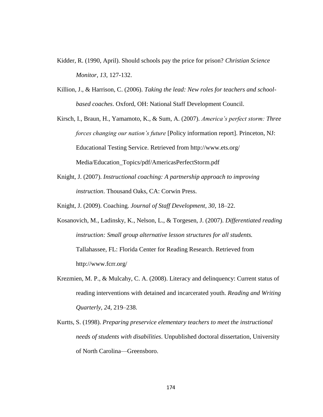- Kidder, R. (1990, April). Should schools pay the price for prison? *Christian Science Monitor, 13*, 127-132.
- Killion, J., & Harrison, C. (2006). *Taking the lead: New roles for teachers and schoolbased coaches*. Oxford, OH: National Staff Development Council.
- Kirsch, I., Braun, H., Yamamoto, K., & Sum, A. (2007). *America's perfect storm: Three forces changing our nation's future* [Policy information report]. Princeton, NJ: Educational Testing Service. Retrieved from http://www.ets.org/ Media/Education\_Topics/pdf/AmericasPerfectStorm.pdf
- Knight, J. (2007). *Instructional coaching: A partnership approach to improving instruction*. Thousand Oaks, CA: Corwin Press.
- Knight, J. (2009). Coaching. *Journal of Staff Development, 30*, 18–22.
- Kosanovich, M., Ladinsky, K., Nelson, L., & Torgesen, J. (2007). *Differentiated reading instruction: Small group alternative lesson structures for all students.* Tallahassee, FL: Florida Center for Reading Research. Retrieved from http://www.fcrr.org/
- Krezmien, M. P., & Mulcahy, C. A. (2008). Literacy and delinquency: Current status of reading interventions with detained and incarcerated youth. *Reading and Writing Quarterly, 24*, 219–238.
- Kurtts, S. (1998). *Preparing preservice elementary teachers to meet the instructional needs of students with disabilities*. Unpublished doctoral dissertation, University of North Carolina—Greensboro.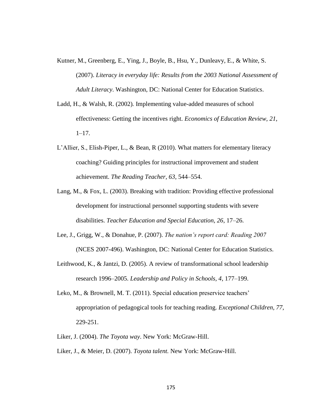- Kutner, M., Greenberg, E., Ying, J., Boyle, B., Hsu, Y., Dunleavy, E., & White, S. (2007). *Literacy in everyday life: Results from the 2003 National Assessment of Adult Literacy*. Washington, DC: National Center for Education Statistics.
- Ladd, H., & Walsh, R. (2002)*.* Implementing value-added measures of school effectiveness: Getting the incentives right. *Economics of Education Review, 21*,  $1-17.$
- L'Allier, S., Elish-Piper, L., & Bean, R (2010). What matters for elementary literacy coaching? Guiding principles for instructional improvement and student achievement. *The Reading Teacher, 63*, 544–554.
- Lang, M., & Fox, L. (2003). Breaking with tradition: Providing effective professional development for instructional personnel supporting students with severe disabilities. *Teacher Education and Special Education, 26*, 17–26.
- Lee, J., Grigg, W., & Donahue, P. (2007). *The nation's report card: Reading 2007* (NCES 2007-496). Washington, DC: National Center for Education Statistics.
- Leithwood, K., & Jantzi, D. (2005). A review of transformational school leadership research 1996–2005. *Leadership and Policy in Schools, 4*, 177–199.
- Leko, M., & Brownell, M. T. (2011). Special education preservice teachers' appropriation of pedagogical tools for teaching reading. *Exceptional Children, 77*, 229-251.
- Liker, J. (2004). *The Toyota way*. New York: McGraw-Hill.
- Liker, J., & Meier, D. (2007). *Toyota talent.* New York: McGraw-Hill.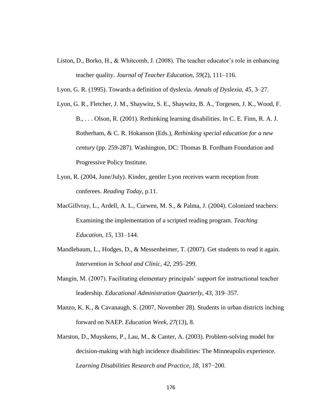- Liston, D., Borko, H., & Whitcomb, J. (2008). The teacher educator's role in enhancing teacher quality. *Journal of Teacher Education*, *59*(2), 111–116.
- Lyon, G. R. (1995). Towards a definition of dyslexia. *Annals of Dyslexia, 45*, 3–27.
- Lyon, G. R., Fletcher, J. M., Shaywitz, S. E., Shaywitz, B. A., Torgesen, J. K., Wood, F. B., . . . Olson, R. (2001). Rethinking learning disabilities. In C. E. Finn, R. A. J. Rotherham, & C. R. Hokanson (Eds.), *Rethinking special education for a new century* (pp. 259-287). Washington, DC: Thomas B. Fordham Foundation and Progressive Policy Institute.
- Lyon, R. (2004, June/July). Kinder, gentler Lyon receives warm reception from conferees. *Reading Today,* p.11.
- MacGillvray, L., Ardell, A. L., Curwen, M. S., & Palma, J. (2004). Colonized teachers: Examining the implementation of a scripted reading program. *Teaching Education, 15*, 131–144.
- Mandlebaum, L., Hodges, D., & Messenheimer, T. (2007). Get students to read it again. *Intervention in School and Clinic, 42*, 295–299.
- Mangin, M. (2007). Facilitating elementary principals' support for instructional teacher leadership. *Educational Administration Quarterly, 43*, 319–357.
- Manzo, K. K., & Cavanaugh, S. (2007, November 28). Students in urban districts inching forward on NAEP. *Education Week, 27*(13), 8.
- Marston, D., Muyskens, P., Lau, M., & Canter, A. (2003). Problem-solving model for decision-making with high incidence disabilities: The Minneapolis experience. *Learning Disabilities Research and Practice, 18*, 187−200.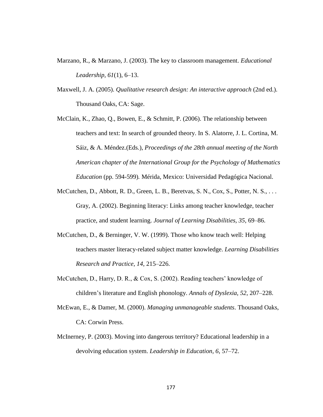- Marzano, R., & Marzano, J. (2003). The key to classroom management. *Educational Leadership, 61*(1), 6–13.
- Maxwell, J. A. (2005). *Qualitative research design: An interactive approach* (2nd ed.). Thousand Oaks, CA: Sage.
- McClain, K., Zhao, Q., Bowen, E., & Schmitt, P. (2006). The relationship between teachers and text: In search of grounded theory. In S. Alatorre, J. L. Cortina, M. Sáiz, & A. Méndez.(Eds.), *Proceedings of the 28th annual meeting of the North American chapter of the International Group for the Psychology of Mathematics Education* (pp. 594-599)*.* Mérida, Mexico: Universidad Pedagógica Nacional.
- McCutchen, D., Abbott, R. D., Green, L. B., Beretvas, S. N., Cox, S., Potter, N. S., ... Gray, A. (2002). Beginning literacy: Links among teacher knowledge, teacher practice, and student learning. *Journal of Learning Disabilities, 35*, 69–86.
- McCutchen, D., & Berninger, V. W. (1999). Those who know teach well: Helping teachers master literacy-related subject matter knowledge. *Learning Disabilities Research and Practice, 14*, 215–226.
- McCutchen, D., Harry, D. R., & Cox, S. (2002). Reading teachers' knowledge of children's literature and English phonology. *Annals of Dyslexia, 52*, 207–228.
- McEwan, E., & Damer, M. (2000). *Managing unmanageable students*. Thousand Oaks, CA: Corwin Press.
- McInerney, P. (2003). Moving into dangerous territory? Educational leadership in a devolving education system. *Leadership in Education, 6*, 57–72.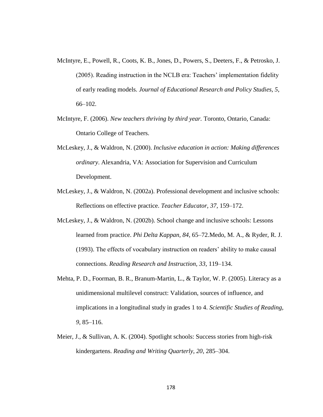- McIntyre, E., Powell, R., Coots, K. B., Jones, D., Powers, S., Deeters, F., & Petrosko, J. (2005). Reading instruction in the NCLB era: Teachers' implementation fidelity of early reading models. *Journal of Educational Research and Policy Studies, 5*, 66–102.
- McIntyre, F. (2006). *New teachers thriving by third year.* Toronto, Ontario, Canada: Ontario College of Teachers.
- McLeskey, J., & Waldron, N. (2000). *Inclusive education in action: Making differences ordinary*. Alexandria, VA: Association for Supervision and Curriculum Development.
- McLeskey, J., & Waldron, N. (2002a). Professional development and inclusive schools: Reflections on effective practice. *Teacher Educator, 37*, 159–172.
- McLeskey, J., & Waldron, N. (2002b). School change and inclusive schools: Lessons learned from practice. *Phi Delta Kappan, 84*, 65–72.Medo, M. A., & Ryder, R. J. (1993). The effects of vocabulary instruction on readers' ability to make causal connections. *Reading Research and Instruction, 33*, 119–134.
- Mehta, P. D., Foorman, B. R., Branum-Martin, L., & Taylor, W. P. (2005). Literacy as a unidimensional multilevel construct: Validation, sources of influence, and implications in a longitudinal study in grades 1 to 4. *Scientific Studies of Reading, 9*, 85–116.
- Meier, J., & Sullivan, A. K. (2004). Spotlight schools: Success stories from high-risk kindergartens. *Reading and Writing Quarterly, 20*, 285–304.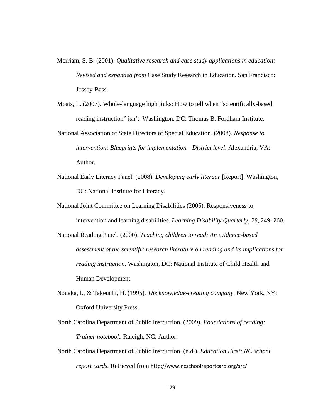- Merriam, S. B. (2001). *Qualitative research and case study applications in education: Revised and expanded from* Case Study Research in Education. San Francisco: Jossey-Bass.
- Moats, L. (2007). Whole-language high jinks: How to tell when "scientifically-based reading instruction" isn't. Washington, DC: Thomas B. Fordham Institute.

National Association of State Directors of Special Education. (2008). *Response to intervention: Blueprints for implementation—District level*. Alexandria, VA: Author.

- National Early Literacy Panel. (2008). *Developing early literacy* [Report]. Washington, DC: National Institute for Literacy.
- National Joint Committee on Learning Disabilities (2005). Responsiveness to intervention and learning disabilities. *Learning Disability Quarterly, 28*, 249–260.
- National Reading Panel. (2000). *Teaching children to read: An evidence-based assessment of the scientific research literature on reading and its implications for reading instruction*. Washington, DC: National Institute of Child Health and Human Development.
- Nonaka, I., & Takeuchi, H. (1995). *The knowledge-creating company.* New York, NY: Oxford University Press.
- North Carolina Department of Public Instruction. (2009). *Foundations of reading: Trainer notebook*. Raleigh, NC: Author.
- North Carolina Department of Public Instruction. (n.d.). *Education First: NC school report cards.* Retrieved from http://www.ncschoolreportcard.org/src/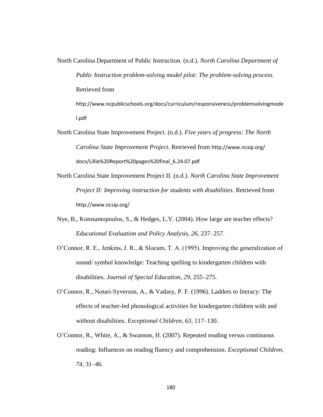North Carolina Department of Public Instruction. (n.d.). *North Carolina Department of Public Instruction problem-solving model pilot: The problem-solving process*. Retrieved from http://www.ncpublicschools.org/docs/curriculum/responsiveness/problemsolvingmode l.pdf

- North Carolina State Improvement Project. (n.d.). *Five years of progress: The North Carolina State Improvement Project*. Retrieved from http://www.ncsip.org/ docs/Lillie%20Report%20pages%20final\_6.24.07.pdf
- North Carolina State Improvement Project II. (n.d.). *North Carolina State Improvement Project II: Improving instruction for students with disabilities*. Retrieved from http://www.ncsip.org/
- Nye, B., Konstantopoulos, S., & Hedges, L.V. (2004). How large are teacher effects? *Educational Evaluation and Policy Analysis, 26*, 237–257.
- O'Connor, R. E., Jenkins, J. R., & Slocum, T. A. (1995). Improving the generalization of sound/ symbol knowledge: Teaching spelling to kindergarten children with disabilities. *Journal of Special Education, 29*, 255–275.
- O'Connor, R., Notari-Syverson, A., & Vadasy, P. F. (1996). Ladders to literacy: The effects of teacher-led phonological activities for kindergarten children with and without disabilities. *Exceptional Children, 63*, 117–130.
- O'Connor, R., White, A., & Swanson, H. (2007). Repeated reading versus continuous reading: Influences on reading fluency and comprehension. *Exceptional Children, 74*, 31–46.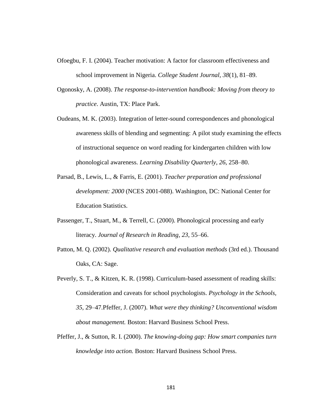- Ofoegbu, F. I. (2004). Teacher motivation: A factor for classroom effectiveness and school improvement in Nigeria. *College Student Journal, 38*(1), 81–89.
- Ogonosky, A. (2008). *The response-to-intervention handbook: Moving from theory to practice*. Austin, TX: Place Park.
- Oudeans, M. K. (2003). Integration of letter-sound correspondences and phonological awareness skills of blending and segmenting: A pilot study examining the effects of instructional sequence on word reading for kindergarten children with low phonological awareness. *Learning Disability Quarterly*, *26*, 258–80.
- Parsad, B., Lewis, L., & Farris, E. (2001). *Teacher preparation and professional development: 2000* (NCES 2001-088). Washington, DC: National Center for Education Statistics.
- Passenger, T., Stuart, M., & Terrell, C. (2000). Phonological processing and early literacy. *Journal of Research in Reading, 23*, 55–66.
- Patton, M. Q. (2002). *Qualitative research and evaluation methods* (3rd ed.). Thousand Oaks, CA: Sage.
- Peverly, S. T., & Kitzen, K. R. (1998). Curriculum-based assessment of reading skills: Consideration and caveats for school psychologists. *Psychology in the Schools, 35*, 29–47.Pfeffer, J. (2007). *What were they thinking? Unconventional wisdom about management.* Boston: Harvard Business School Press.
- Pfeffer, J., & Sutton, R. I. (2000). *The knowing-doing gap: How smart companies turn knowledge into action.* Boston: Harvard Business School Press.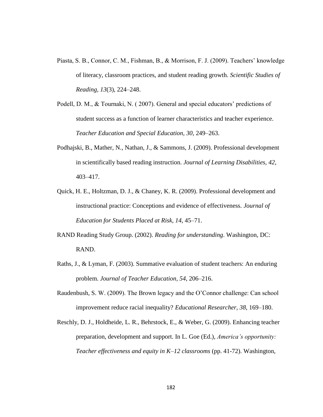- Piasta, S. B., Connor, C. M., Fishman, B., & Morrison, F. J. (2009). Teachers' knowledge of literacy, classroom practices, and student reading growth. *Scientific Studies of Reading, 13*(3), 224–248.
- Podell, D. M., & Tournaki, N. ( 2007). General and special educators' predictions of student success as a function of learner characteristics and teacher experience. *Teacher Education and Special Education, 30*, 249–263.
- Podhajski, B., Mather, N., Nathan, J., & Sammons, J. (2009). Professional development in scientifically based reading instruction. *Journal of Learning Disabilities, 42*, 403–417.
- Quick, H. E., Holtzman, D. J., & Chaney, K. R. (2009). Professional development and instructional practice: Conceptions and evidence of effectiveness. *Journal of Education for Students Placed at Risk, 14*, 45–71.
- RAND Reading Study Group. (2002). *Reading for understanding*. Washington, DC: RAND.
- Raths, J., & Lyman, F. (2003). Summative evaluation of student teachers: An enduring problem. *Journal of Teacher Education, 54*, 206–216.
- Raudenbush, S. W. (2009). The Brown legacy and the O'Connor challenge: Can school improvement reduce racial inequality? *Educational Researcher, 38*, 169–180.
- Reschly, D. J., Holdheide, L. R., Behrstock, E., & Weber, G. (2009). Enhancing teacher preparation, development and support. In L. Goe (Ed.), *America's opportunity: Teacher effectiveness and equity in K–12 classrooms* (pp. 41-72). Washington,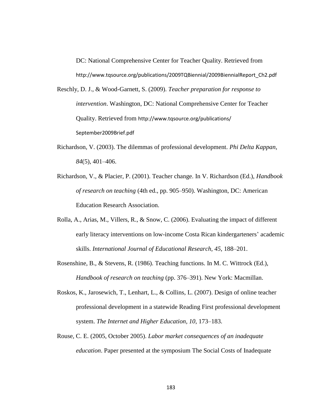DC: National Comprehensive Center for Teacher Quality. Retrieved from http://www.tqsource.org/publications/2009TQBiennial/2009BiennialReport\_Ch2.pdf

- Reschly, D. J., & Wood-Garnett, S. (2009). *Teacher preparation for response to intervention*. Washington, DC: National Comprehensive Center for Teacher Quality. Retrieved from http://www.tqsource.org/publications/ September2009Brief.pdf
- Richardson, V. (2003). The dilemmas of professional development. *Phi Delta Kappan*, *84*(5), 401–406.
- Richardson, V., & Placier, P. (2001). Teacher change. In V. Richardson (Ed.), *Handbook of research on teaching* (4th ed., pp. 905–950). Washington, DC: American Education Research Association.
- Rolla, A., Arias, M., Villers, R., & Snow, C. (2006). Evaluating the impact of different early literacy interventions on low-income Costa Rican kindergarteners' academic skills. *International Journal of Educational Research, 45*, 188–201.
- Rosenshine, B., & Stevens, R. (1986). Teaching functions. In M. C. Wittrock (Ed.), *Handbook of research on teaching* (pp. 376–391). New York: Macmillan.
- Roskos, K., Jarosewich, T., Lenhart, L., & Collins, L. (2007). Design of online teacher professional development in a statewide Reading First professional development system. *The Internet and Higher Education, 10*, 173–183.
- Rouse, C. E. (2005, October 2005). *Labor market consequences of an inadequate education*. Paper presented at the symposium The Social Costs of Inadequate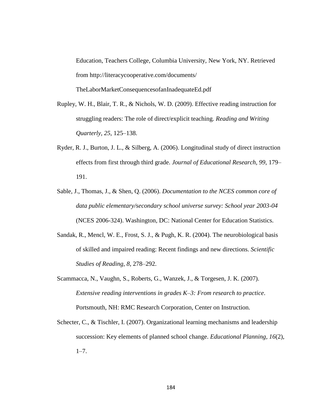Education, Teachers College, Columbia University, New York, NY. Retrieved from http://literacycooperative.com/documents/ TheLaborMarketConsequencesofanInadequateEd.pdf

- Rupley, W. H., Blair, T. R., & Nichols, W. D. (2009). Effective reading instruction for struggling readers: The role of direct/explicit teaching. *Reading and Writing Quarterly, 25*, 125–138.
- Ryder, R. J., Burton, J. L., & Silberg, A. (2006). Longitudinal study of direct instruction effects from first through third grade. *Journal of Educational Research, 99*, 179– 191.
- Sable, J., Thomas, J., & Shen, Q. (2006). *Documentation to the NCES common core of data public elementary/secondary school universe survey: School year 2003-04* (NCES 2006-324). Washington, DC: National Center for Education Statistics.
- Sandak, R., Mencl, W. E., Frost, S. J., & Pugh, K. R. (2004). The neurobiological basis of skilled and impaired reading: Recent findings and new directions. *Scientific Studies of Reading, 8*, 278–292.
- Scammacca, N., Vaughn, S., Roberts, G., Wanzek, J., & Torgesen, J. K. (2007). *Extensive reading interventions in grades K–3: From research to practice*. Portsmouth, NH: RMC Research Corporation, Center on Instruction.
- Schecter, C., & Tischler, I. (2007). Organizational learning mechanisms and leadership succession: Key elements of planned school change. *Educational Planning, 16*(2),  $1 - 7$ .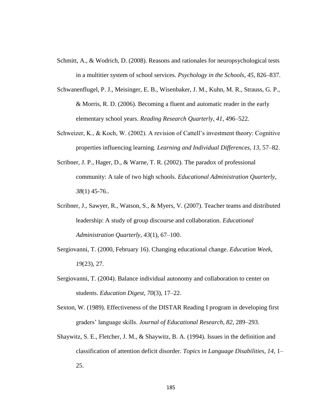- Schmitt, A., & Wodrich, D. (2008). Reasons and rationales for neuropsychological tests in a multitier system of school services. *Psychology in the Schools, 45*, 826–837.
- Schwanenflugel, P. J., Meisinger, E. B., Wisenbaker, J. M., Kuhn, M. R., Strauss, G. P., & Morris, R. D. (2006). Becoming a fluent and automatic reader in the early elementary school years. *Reading Research Quarterly, 41*, 496–522.
- Schweizer, K., & Koch, W. (2002). A revision of Cattell's investment theory: Cognitive properties influencing learning. *Learning and Individual Differences, 13*, 57–82.
- Scribner, J. P., Hager, D., & Warne, T. R. (2002). The paradox of professional community: A tale of two high schools. *Educational Administration Quarterly*, *38*(1) 45-76..
- Scribner, J., Sawyer, R., Watson, S., & Myers, V. (2007). Teacher teams and distributed leadership: A study of group discourse and collaboration. *Educational Administration Quarterly, 43*(1), 67–100.
- Sergiovanni, T. (2000, February 16). Changing educational change. *Education Week, 19*(23), 27.
- Sergiovanni, T. (2004). Balance individual autonomy and collaboration to center on students. *Education Digest*, *70*(3), 17–22.
- Sexton, W. (1989). Effectiveness of the DISTAR Reading I program in developing first graders' language skills. *Journal of Educational Research, 82*, 289–293.
- Shaywitz, S. E., Fletcher, J. M., & Shaywitz, B. A. (1994). Issues in the definition and classification of attention deficit disorder. *Topics in Language Disabilities, 14*, 1– 25.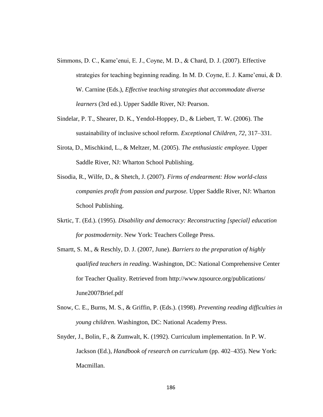- Simmons, D. C., Kame'enui, E. J., Coyne, M. D., & Chard, D. J. (2007). Effective strategies for teaching beginning reading. In M. D. Coyne, E. J. Kame'enui, & D. W. Carnine (Eds.), *Effective teaching strategies that accommodate diverse learners* (3rd ed.). Upper Saddle River, NJ: Pearson.
- Sindelar, P. T., Shearer, D. K., Yendol-Hoppey, D., & Liebert, T. W. (2006). The sustainability of inclusive school reform. *Exceptional Children, 72*, 317–331.
- Sirota, D., Mischkind, L., & Meltzer, M. (2005). *The enthusiastic employee.* Upper Saddle River, NJ: Wharton School Publishing.
- Sisodia, R., Wilfe, D., & Shetch, J. (2007). *Firms of endearment: How world-class companies profit from passion and purpose.* Upper Saddle River, NJ: Wharton School Publishing.
- Skrtic, T. (Ed.). (1995). *Disability and democracy: Reconstructing [special] education for postmodernity*. New York: Teachers College Press.
- Smartt, S. M., & Reschly, D. J. (2007, June). *Barriers to the preparation of highly qualified teachers in reading*. Washington, DC: National Comprehensive Center for Teacher Quality. Retrieved from http://www.tqsource.org/publications/ June2007Brief.pdf
- Snow, C. E., Burns, M. S., & Griffin, P. (Eds.). (1998). *Preventing reading difficulties in young children*. Washington, DC: National Academy Press.
- Snyder, J., Bolin, F., & Zumwalt, K. (1992). Curriculum implementation. In P. W. Jackson (Ed.), *Handbook of research on curriculum* (pp. 402–435). New York: Macmillan.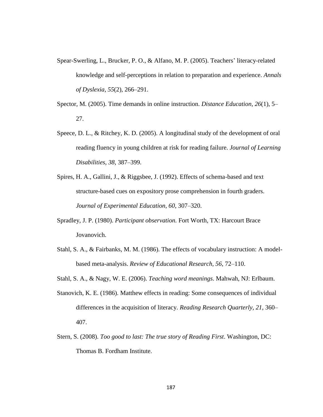- Spear-Swerling, L., Brucker, P. O., & Alfano, M. P. (2005). Teachers' literacy-related knowledge and self-perceptions in relation to preparation and experience. *Annals of Dyslexia, 55*(2), 266–291.
- Spector, M. (2005). Time demands in online instruction. *Distance Education, 26*(1), 5– 27.
- Speece, D. L., & Ritchey, K. D. (2005). A longitudinal study of the development of oral reading fluency in young children at risk for reading failure. *Journal of Learning Disabilities, 38*, 387–399.
- Spires, H. A., Gallini, J., & Riggsbee, J. (1992). Effects of schema-based and text structure-based cues on expository prose comprehension in fourth graders. *Journal of Experimental Education, 60*, 307–320.
- Spradley, J. P. (1980). *Participant observation.* Fort Worth, TX: Harcourt Brace Jovanovich.
- Stahl, S. A., & Fairbanks, M. M. (1986). The effects of vocabulary instruction: A modelbased meta-analysis. *Review of Educational Research, 56*, 72–110.
- Stahl, S. A., & Nagy, W. E. (2006). *Teaching word meanings*. Mahwah, NJ: Erlbaum.
- Stanovich, K. E. (1986). Matthew effects in reading: Some consequences of individual differences in the acquisition of literacy. *Reading Research Quarterly, 21*, 360– 407.
- Stern, S. (2008). *Too good to last: The true story of Reading First*. Washington, DC: Thomas B. Fordham Institute.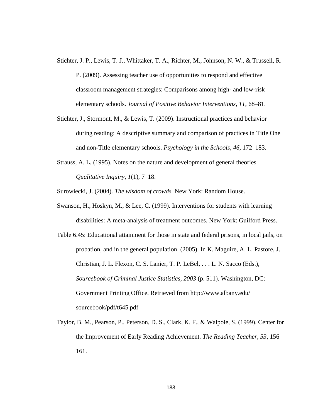- Stichter, J. P., Lewis, T. J., Whittaker, T. A., Richter, M., Johnson, N. W., & Trussell, R. P. (2009). Assessing teacher use of opportunities to respond and effective classroom management strategies: Comparisons among high- and low-risk elementary schools. *Journal of Positive Behavior Interventions, 11*, 68–81.
- Stichter, J., Stormont, M., & Lewis, T. (2009). Instructional practices and behavior during reading: A descriptive summary and comparison of practices in Title One and non-Title elementary schools. *Psychology in the Schools, 46*, 172–183.
- Strauss, A. L. (1995). Notes on the nature and development of general theories. *Qualitative Inquiry, 1*(1), 7–18.

Surowiecki, J. (2004). *The wisdom of crowds.* New York: Random House.

- Swanson, H., Hoskyn, M., & Lee, C. (1999). Interventions for students with learning disabilities: A meta-analysis of treatment outcomes. New York: Guilford Press.
- Table 6.45: Educational attainment for those in state and federal prisons, in local jails, on probation, and in the general population. (2005). In K. Maguire, A. L. Pastore, J. Christian, J. L. Flexon, C. S. Lanier, T. P. LeBel, . . . L. N. Sacco (Eds.), *Sourcebook of Criminal Justice Statistics, 2003* (p. 511). Washington, DC: Government Printing Office. Retrieved from http://www.albany.edu/ sourcebook/pdf/t645.pdf
- Taylor, B. M., Pearson, P., Peterson, D. S., Clark, K. F., & Walpole, S. (1999). Center for the Improvement of Early Reading Achievement. *The Reading Teacher, 53*, 156– 161.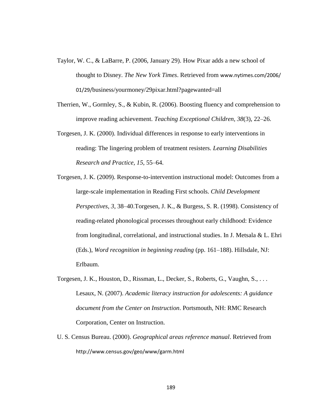- Taylor, W. C., & LaBarre, P. (2006, January 29). How Pixar adds a new school of thought to Disney. *The New York Times*. Retrieved from www.nytimes.com/2006/ 01/29/business/yourmoney/29pixar.html?pagewanted=all
- Therrien, W., Gormley, S., & Kubin, R. (2006). Boosting fluency and comprehension to improve reading achievement. *Teaching Exceptional Children, 38*(3), 22–26.
- Torgesen, J. K. (2000). Individual differences in response to early interventions in reading: The lingering problem of treatment resisters. *Learning Disabilities Research and Practice, 15*, 55–64.
- Torgesen, J. K. (2009). Response-to-intervention instructional model: Outcomes from a large-scale implementation in Reading First schools. *Child Development Perspectives, 3*, 38–40.Torgesen, J. K., & Burgess, S. R. (1998). Consistency of reading-related phonological processes throughout early childhood: Evidence from longitudinal, correlational, and instructional studies. In J. Metsala & L. Ehri (Eds.), *Word recognition in beginning reading* (pp. 161–188). Hillsdale, NJ: Erlbaum.
- Torgesen, J. K., Houston, D., Rissman, L., Decker, S., Roberts, G., Vaughn, S., . . . Lesaux, N. (2007). *Academic literacy instruction for adolescents: A guidance document from the Center on Instruction*. Portsmouth, NH: RMC Research Corporation, Center on Instruction.
- U. S. Census Bureau. (2000). *Geographical areas reference manual*. Retrieved from http://www.census.gov/geo/www/garm.html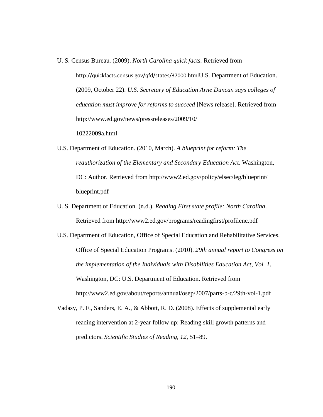- U. S. Census Bureau. (2009). *North Carolina quick facts.* Retrieved from http://quickfacts.census.gov/qfd/states/37000.htmlU.S. Department of Education. (2009, October 22). *U.S. Secretary of Education Arne Duncan says colleges of education must improve for reforms to succeed* [News release]. Retrieved from http://www.ed.gov/news/pressreleases/2009/10/ 10222009a.html
- U.S. Department of Education. (2010, March). *A blueprint for reform: The reauthorization of the Elementary and Secondary Education Act*. Washington, DC: Author. Retrieved from http://www2.ed.gov/policy/elsec/leg/blueprint/ blueprint.pdf
- U. S. Department of Education. (n.d.). *Reading First state profile: North Carolina*. Retrieved from http://www2.ed.gov/programs/readingfirst/profilenc.pdf
- U.S. Department of Education, Office of Special Education and Rehabilitative Services, Office of Special Education Programs. (2010). *29th annual report to Congress on the implementation of the Individuals with Disabilities Education Act*, *Vol. 1*. Washington, DC: U.S. Department of Education. Retrieved from http://www2.ed.gov/about/reports/annual/osep/2007/parts-b-c/29th-vol-1.pdf
- Vadasy, P. F., Sanders, E. A., & Abbott, R. D. (2008). Effects of supplemental early reading intervention at 2-year follow up: Reading skill growth patterns and predictors. *Scientific Studies of Reading, 12*, 51–89.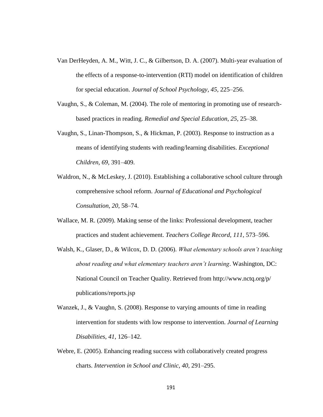- Van DerHeyden, A. M., Witt, J. C., & Gilbertson, D. A. (2007). Multi-year evaluation of the effects of a response-to-intervention (RTI) model on identification of children for special education. *Journal of School Psychology, 45*, 225–256.
- Vaughn, S., & Coleman, M. (2004). The role of mentoring in promoting use of researchbased practices in reading. *Remedial and Special Education, 25*, 25–38.
- Vaughn, S., Linan-Thompson, S., & Hickman, P. (2003). Response to instruction as a means of identifying students with reading/learning disabilities. *Exceptional Children, 69*, 391–409.
- Waldron, N., & McLeskey, J. (2010). Establishing a collaborative school culture through comprehensive school reform. *Journal of Educational and Psychological Consultation, 20*, 58–74.
- Wallace, M. R. (2009). Making sense of the links: Professional development, teacher practices and student achievement. *Teachers College Record, 111*, 573–596.
- Walsh, K., Glaser, D., & Wilcox, D. D. (2006). *What elementary schools aren't teaching about reading and what elementary teachers aren't learning*. Washington, DC: National Council on Teacher Quality. Retrieved from http://www.nctq.org/p/ publications/reports.jsp
- Wanzek, J., & Vaughn, S. (2008). Response to varying amounts of time in reading intervention for students with low response to intervention. *Journal of Learning Disabilities, 41*, 126–142.
- Webre, E. (2005). Enhancing reading success with collaboratively created progress charts. *Intervention in School and Clinic, 40*, 291–295.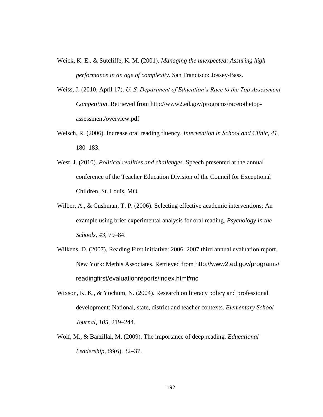- Weick, K. E., & Sutcliffe, K. M. (2001). *Managing the unexpected: Assuring high performance in an age of complexity.* San Francisco: Jossey-Bass.
- Weiss, J. (2010, April 17). *U. S. Department of Education's Race to the Top Assessment Competition*. Retrieved from http://www2.ed.gov/programs/racetothetopassessment/overview.pdf
- Welsch, R. (2006). Increase oral reading fluency. *Intervention in School and Clinic, 41*, 180–183.
- West, J. (2010). *Political realities and challenges.* Speech presented at the annual conference of the Teacher Education Division of the Council for Exceptional Children, St. Louis, MO.
- Wilber, A., & Cushman, T. P. (2006). Selecting effective academic interventions: An example using brief experimental analysis for oral reading. *Psychology in the Schools, 43*, 79–84.
- Wilkens, D. (2007). Reading First initiative: 2006–2007 third annual evaluation report. New York: Methis Associates. Retrieved from http://www2.ed.gov/programs/ readingfirst/evaluationreports/index.html#nc
- Wixson, K. K., & Yochum, N. (2004). Research on literacy policy and professional development: National, state, district and teacher contexts. *Elementary School Journal, 105*, 219–244.
- Wolf, M., & Barzillai, M. (2009). The importance of deep reading. *Educational Leadership, 66*(6), 32–37.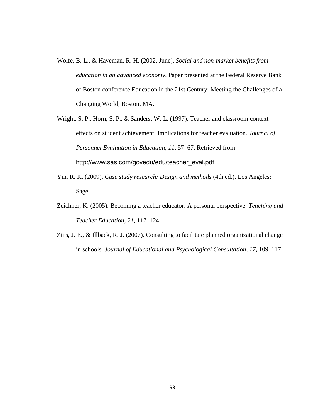- Wolfe, B. L., & Haveman, R. H. (2002, June). *Social and non-market benefits from education in an advanced economy*. Paper presented at the Federal Reserve Bank of Boston conference Education in the 21st Century: Meeting the Challenges of a Changing World, Boston, MA.
- Wright, S. P., Horn, S. P., & Sanders, W. L. (1997). Teacher and classroom context effects on student achievement: Implications for teacher evaluation. *Journal of Personnel Evaluation in Education, 11*, 57–67. Retrieved from http://www.sas.com/govedu/edu/teacher\_eval.pdf
- Yin, R. K. (2009). *Case study research: Design and methods* (4th ed.). Los Angeles: Sage.
- Zeichner, K. (2005). Becoming a teacher educator: A personal perspective. *Teaching and Teacher Education, 21*, 117–124.
- Zins, J. E., & Illback, R. J. (2007). Consulting to facilitate planned organizational change in schools. *Journal of Educational and Psychological Consultation, 17*, 109–117.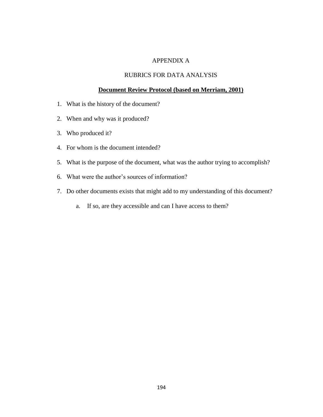## APPENDIX A

### RUBRICS FOR DATA ANALYSIS

#### **Document Review Protocol (based on Merriam, 2001)**

- 1. What is the history of the document?
- 2. When and why was it produced?
- 3. Who produced it?
- 4. For whom is the document intended?
- 5. What is the purpose of the document, what was the author trying to accomplish?
- 6. What were the author's sources of information?
- 7. Do other documents exists that might add to my understanding of this document?
	- a. If so, are they accessible and can I have access to them?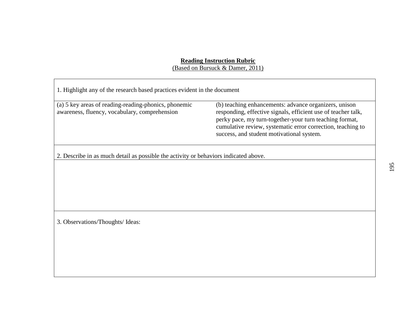#### **Reading Instruction Rubric**

(Based on Bursuck & Damer, 2011)

| 1. Highlight any of the research based practices evident in the document                              |                                                                                                                                                                                                                                                                                               |  |
|-------------------------------------------------------------------------------------------------------|-----------------------------------------------------------------------------------------------------------------------------------------------------------------------------------------------------------------------------------------------------------------------------------------------|--|
| (a) 5 key areas of reading-reading-phonics, phonemic<br>awareness, fluency, vocabulary, comprehension | (b) teaching enhancements: advance organizers, unison<br>responding, effective signals, efficient use of teacher talk,<br>perky pace, my turn-together-your turn teaching format,<br>cumulative review, systematic error correction, teaching to<br>success, and student motivational system. |  |
| 2. Describe in as much detail as possible the activity or behaviors indicated above.                  |                                                                                                                                                                                                                                                                                               |  |
|                                                                                                       |                                                                                                                                                                                                                                                                                               |  |
|                                                                                                       |                                                                                                                                                                                                                                                                                               |  |
|                                                                                                       |                                                                                                                                                                                                                                                                                               |  |
| 3. Observations/Thoughts/ Ideas:                                                                      |                                                                                                                                                                                                                                                                                               |  |
|                                                                                                       |                                                                                                                                                                                                                                                                                               |  |
|                                                                                                       |                                                                                                                                                                                                                                                                                               |  |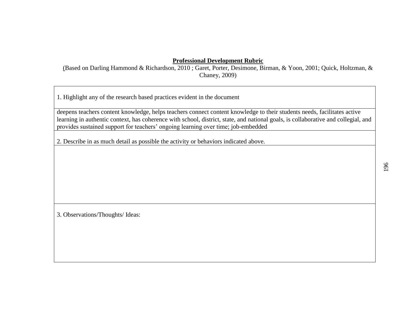## **Professional Development Rubric**

(Based on Darling Hammond & Richardson, 2010 ; Garet, Porter, Desimone, Birman, & Yoon, 2001; Quick, Holtzman, & Chaney, 2009)

1. Highlight any of the research based practices evident in the document

deepens teachers content knowledge, helps teachers connect content knowledge to their students needs, facilitates active learning in authentic context, has coherence with school, district, state, and national goals, is collaborative and collegial, and provides sustained support for teachers' ongoing learning over time; job-embedded

2. Describe in as much detail as possible the activity or behaviors indicated above.

3. Observations/Thoughts/ Ideas: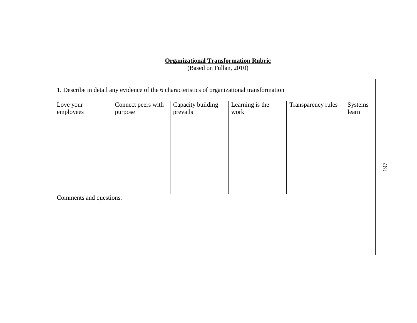## **Organizational Transformation Rubric** (Based on Fullan, 2010)

| 1. Describe in detail any evidence of the 6 characteristics of organizational transformation |                    |                   |                 |                    |         |
|----------------------------------------------------------------------------------------------|--------------------|-------------------|-----------------|--------------------|---------|
| Love your                                                                                    | Connect peers with | Capacity building | Learning is the | Transparency rules | Systems |
| employees                                                                                    | purpose            | prevails          | work            |                    | learn   |
|                                                                                              |                    |                   |                 |                    |         |
|                                                                                              |                    |                   |                 |                    |         |
|                                                                                              |                    |                   |                 |                    |         |
|                                                                                              |                    |                   |                 |                    |         |
|                                                                                              |                    |                   |                 |                    |         |
|                                                                                              |                    |                   |                 |                    |         |
|                                                                                              |                    |                   |                 |                    |         |
|                                                                                              |                    |                   |                 |                    |         |
|                                                                                              |                    |                   |                 |                    |         |
|                                                                                              |                    |                   |                 |                    |         |
| Comments and questions.                                                                      |                    |                   |                 |                    |         |
|                                                                                              |                    |                   |                 |                    |         |
|                                                                                              |                    |                   |                 |                    |         |
|                                                                                              |                    |                   |                 |                    |         |
|                                                                                              |                    |                   |                 |                    |         |
|                                                                                              |                    |                   |                 |                    |         |
|                                                                                              |                    |                   |                 |                    |         |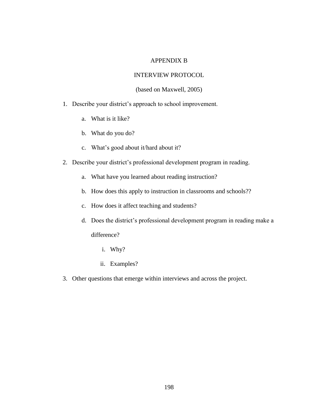### APPENDIX B

### INTERVIEW PROTOCOL

#### (based on Maxwell, 2005)

- 1. Describe your district's approach to school improvement.
	- a. What is it like?
	- b. What do you do?
	- c. What's good about it/hard about it?
- 2. Describe your district's professional development program in reading.
	- a. What have you learned about reading instruction?
	- b. How does this apply to instruction in classrooms and schools??
	- c. How does it affect teaching and students?
	- d. Does the district's professional development program in reading make a difference?
		- i. Why?
		- ii. Examples?
- 3. Other questions that emerge within interviews and across the project.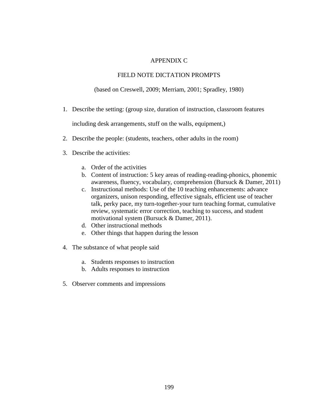## APPENDIX C

#### FIELD NOTE DICTATION PROMPTS

(based on Creswell, 2009; Merriam, 2001; Spradley, 1980)

1. Describe the setting: (group size, duration of instruction, classroom features

including desk arrangements, stuff on the walls, equipment,)

- 2. Describe the people: (students, teachers, other adults in the room)
- 3. Describe the activities:
	- a. Order of the activities
	- b. Content of instruction: 5 key areas of reading-reading-phonics, phonemic awareness, fluency, vocabulary, comprehension (Bursuck & Damer, 2011)
	- c. Instructional methods: Use of the 10 teaching enhancements: advance organizers, unison responding, effective signals, efficient use of teacher talk, perky pace, my turn-together-your turn teaching format, cumulative review, systematic error correction, teaching to success, and student motivational system (Bursuck & Damer, 2011).
	- d. Other instructional methods
	- e. Other things that happen during the lesson
- 4. The substance of what people said
	- a. Students responses to instruction
	- b. Adults responses to instruction
- 5. Observer comments and impressions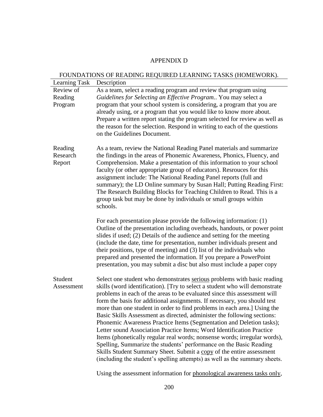### APPENDIX D

## FOUNDATIONS OF READING REQUIRED LEARNING TASKS (HOMEWORK).

| Learning Task                 | Description                                                                                                                                                                                                                                                                                                                                                                                                                                                                                                                                                                                                                                                                                                                                                                                                                                                                                                                     |  |  |
|-------------------------------|---------------------------------------------------------------------------------------------------------------------------------------------------------------------------------------------------------------------------------------------------------------------------------------------------------------------------------------------------------------------------------------------------------------------------------------------------------------------------------------------------------------------------------------------------------------------------------------------------------------------------------------------------------------------------------------------------------------------------------------------------------------------------------------------------------------------------------------------------------------------------------------------------------------------------------|--|--|
| Review of                     | As a team, select a reading program and review that program using                                                                                                                                                                                                                                                                                                                                                                                                                                                                                                                                                                                                                                                                                                                                                                                                                                                               |  |  |
| Reading                       | Guidelines for Selecting an Effective Program You may select a                                                                                                                                                                                                                                                                                                                                                                                                                                                                                                                                                                                                                                                                                                                                                                                                                                                                  |  |  |
| Program                       | program that your school system is considering, a program that you are<br>already using, or a program that you would like to know more about.<br>Prepare a written report stating the program selected for review as well as<br>the reason for the selection. Respond in writing to each of the questions<br>on the Guidelines Document.                                                                                                                                                                                                                                                                                                                                                                                                                                                                                                                                                                                        |  |  |
|                               | As a team, review the National Reading Panel materials and summarize                                                                                                                                                                                                                                                                                                                                                                                                                                                                                                                                                                                                                                                                                                                                                                                                                                                            |  |  |
| Reading<br>Research<br>Report | the findings in the areas of Phonemic Awareness, Phonics, Fluency, and<br>Comprehension. Make a presentation of this information to your school<br>faculty (or other appropriate group of educators). Resrouces for this<br>assignment include: The National Reading Panel reports (full and<br>summary); the LD Online summary by Susan Hall; Putting Reading First:<br>The Research Building Blocks for Teaching Children to Read. This is a<br>group task but may be done by individuals or small groups within<br>schools.                                                                                                                                                                                                                                                                                                                                                                                                  |  |  |
|                               | For each presentation please provide the following information: (1)<br>Outline of the presentation including overheads, handouts, or power point<br>slides if used; (2) Details of the audience and setting for the meeting<br>(include the date, time for presentation, number individuals present and<br>their positions, type of meeting) and (3) list of the individuals who<br>prepared and presented the information. If you prepare a PowerPoint<br>presentation, you may submit a disc but also must include a paper copy                                                                                                                                                                                                                                                                                                                                                                                               |  |  |
| Student<br>Assessment         | Select one student who demonstrates serious problems with basic reading<br>skills (word identification). [Try to select a student who will demonstrate<br>problems in each of the areas to be evaluated since this assessment will<br>form the basis for additional assignments. If necessary, you should test<br>more than one student in order to find problems in each area.] Using the<br>Basic Skills Assessment as directed, administer the following sections:<br>Phonemic Awareness Practice Items (Segmentation and Deletion tasks);<br>Letter sound Association Practice Items; Word Identification Practice<br>Items (phonetically regular real words; nonsense words; irregular words),<br>Spelling, Summarize the students' performance on the Basic Reading<br>Skills Student Summary Sheet. Submit a copy of the entire assessment<br>(including the student's spelling attempts) as well as the summary sheets. |  |  |

Using the assessment information for phonological awareness tasks only,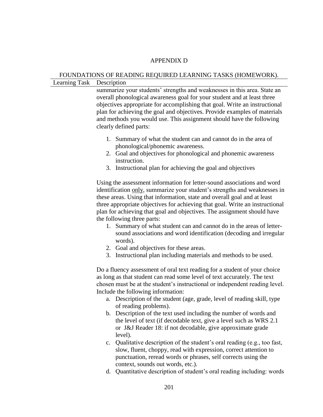#### APPENDIX D

#### FOUNDATIONS OF READING REQUIRED LEARNING TASKS (HOMEWORK).

Learning Task Description

summarize your students' strengths and weaknesses in this area. State an overall phonological awareness goal for your student and at least three objectives appropriate for accomplishing that goal. Write an instructional plan for achieving the goal and objectives. Provide examples of materials and methods you would use. This assignment should have the following clearly defined parts:

- 1. Summary of what the student can and cannot do in the area of phonological/phonemic awareness.
- 2. Goal and objectives for phonological and phonemic awareness instruction.
- 3. Instructional plan for achieving the goal and objectives

Using the assessment information for letter-sound associations and word identification only, summarize your student's strengths and weaknesses in these areas. Using that information, state and overall goal and at least three appropriate objectives for achieving that goal. Write an instructional plan for achieving that goal and objectives. The assignment should have the following three parts:

- 1. Summary of what student can and cannot do in the areas of lettersound associations and word identification (decoding and irregular words).
- 2. Goal and objectives for these areas.
- 3. Instructional plan including materials and methods to be used.

Do a fluency assessment of oral text reading for a student of your choice as long as that student can read some level of text accurately. The text chosen must be at the student's instructional or independent reading level. Include the following information:

- a. Description of the student (age, grade, level of reading skill, type of reading problems).
- b. Description of the text used including the number of words and the level of text (if decodable text, give a level such as WRS 2.1 or J&J Reader 18: if not decodable, give approximate grade level).
- c. Qualitative description of the student's oral reading (e.g., too fast, slow, fluent, choppy, read with expression, correct attention to punctuation, reread words or phrases, self corrects using the context, sounds out words, etc.).
- d. Quantitative description of student's oral reading including: words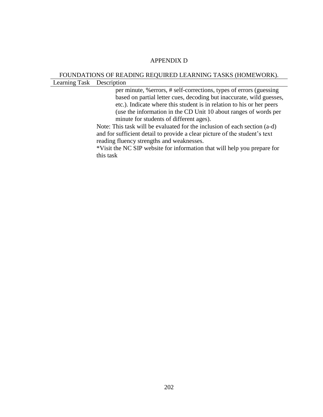#### APPENDIX D

#### FOUNDATIONS OF READING REQUIRED LEARNING TASKS (HOMEWORK). Learning Task Description

per minute, %errors, # self-corrections, types of errors (guessing based on partial letter cues, decoding but inaccurate, wild guesses, etc.). Indicate where this student is in relation to his or her peers (use the information in the CD Unit 10 about ranges of words per minute for students of different ages).

Note: This task will be evaluated for the inclusion of each section (a-d) and for sufficient detail to provide a clear picture of the student's text reading fluency strengths and weaknesses.

\*Visit the NC SIP website for information that will help you prepare for this task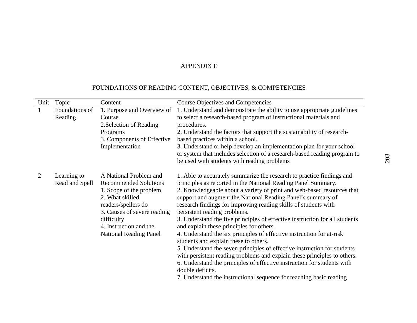| Unit         | Topic                         | Content                                                                                                                                                                                                                             | <b>Course Objectives and Competencies</b>                                                                                                                                                                                                                                                                                                                                                                                                                                                                                                                                                                                                                                                                                                                                                                                                                                                                                                                     |
|--------------|-------------------------------|-------------------------------------------------------------------------------------------------------------------------------------------------------------------------------------------------------------------------------------|---------------------------------------------------------------------------------------------------------------------------------------------------------------------------------------------------------------------------------------------------------------------------------------------------------------------------------------------------------------------------------------------------------------------------------------------------------------------------------------------------------------------------------------------------------------------------------------------------------------------------------------------------------------------------------------------------------------------------------------------------------------------------------------------------------------------------------------------------------------------------------------------------------------------------------------------------------------|
| $\mathbf{1}$ | Foundations of<br>Reading     | 1. Purpose and Overview of<br>Course<br>2. Selection of Reading<br>Programs<br>3. Components of Effective<br>Implementation                                                                                                         | 1. Understand and demonstrate the ability to use appropriate guidelines<br>to select a research-based program of instructional materials and<br>procedures.<br>2. Understand the factors that support the sustainability of research-<br>based practices within a school.<br>3. Understand or help develop an implementation plan for your school<br>or system that includes selection of a research-based reading program to<br>be used with students with reading problems                                                                                                                                                                                                                                                                                                                                                                                                                                                                                  |
| 2            | Learning to<br>Read and Spell | A National Problem and<br><b>Recommended Solutions</b><br>1. Scope of the problem<br>2. What skilled<br>readers/spellers do<br>3. Causes of severe reading<br>difficulty<br>4. Instruction and the<br><b>National Reading Panel</b> | 1. Able to accurately summarize the research to practice findings and<br>principles as reported in the National Reading Panel Summary.<br>2. Knowledgeable about a variety of print and web-based resources that<br>support and augment the National Reading Panel's summary of<br>research findings for improving reading skills of students with<br>persistent reading problems.<br>3. Understand the five principles of effective instruction for all students<br>and explain these principles for others.<br>4. Understand the six principles of effective instruction for at-risk<br>students and explain these to others.<br>5. Understand the seven principles of effective instruction for students<br>with persistent reading problems and explain these principles to others.<br>6. Understand the principles of effective instruction for students with<br>double deficits.<br>7. Understand the instructional sequence for teaching basic reading |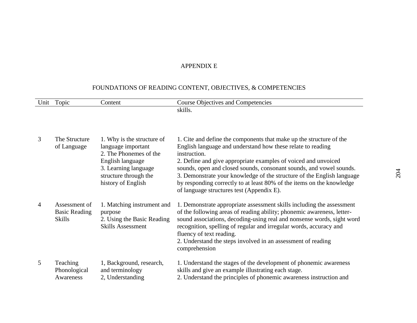| Unit | Topic                                                  | Content                                                                                                                                                               | <b>Course Objectives and Competencies</b>                                                                                                                                                                                                                                                                                                                                                                                                                                                   |
|------|--------------------------------------------------------|-----------------------------------------------------------------------------------------------------------------------------------------------------------------------|---------------------------------------------------------------------------------------------------------------------------------------------------------------------------------------------------------------------------------------------------------------------------------------------------------------------------------------------------------------------------------------------------------------------------------------------------------------------------------------------|
|      |                                                        |                                                                                                                                                                       | skills.                                                                                                                                                                                                                                                                                                                                                                                                                                                                                     |
|      |                                                        |                                                                                                                                                                       |                                                                                                                                                                                                                                                                                                                                                                                                                                                                                             |
| 3    | The Structure<br>of Language                           | 1. Why is the structure of<br>language important<br>2. The Phonemes of the<br>English language<br>3. Learning language<br>structure through the<br>history of English | 1. Cite and define the components that make up the structure of the<br>English language and understand how these relate to reading<br>instruction.<br>2. Define and give appropriate examples of voiced and unvoiced<br>sounds, open and closed sounds, consonant sounds, and vowel sounds.<br>3. Demonstrate your knowledge of the structure of the English language<br>by responding correctly to at least 80% of the items on the knowledge<br>of language structures test (Appendix E). |
| 4    | Assessment of<br><b>Basic Reading</b><br><b>Skills</b> | 1. Matching instrument and<br>purpose<br>2. Using the Basic Reading<br><b>Skills Assessment</b>                                                                       | 1. Demonstrate appropriate assessment skills including the assessment<br>of the following areas of reading ability; phonemic awareness, letter-<br>sound associations, decoding-using real and nonsense words, sight word<br>recognition, spelling of regular and irregular words, accuracy and<br>fluency of text reading.<br>2. Understand the steps involved in an assessment of reading<br>comprehension                                                                                |
| 5    | Teaching<br>Phonological<br>Awareness                  | 1, Background, research,<br>and terminology<br>2, Understanding                                                                                                       | 1. Understand the stages of the development of phonemic awareness<br>skills and give an example illustrating each stage.<br>2. Understand the principles of phonemic awareness instruction and                                                                                                                                                                                                                                                                                              |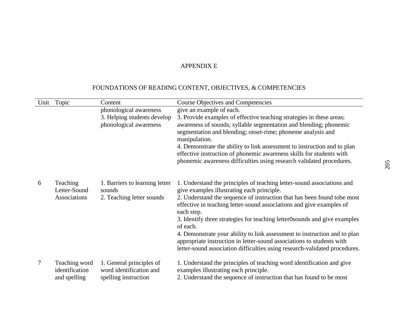| Unit | Topic                                           | Content                                                                     | <b>Course Objectives and Competencies</b>                                                                                                                                                                                        |
|------|-------------------------------------------------|-----------------------------------------------------------------------------|----------------------------------------------------------------------------------------------------------------------------------------------------------------------------------------------------------------------------------|
|      |                                                 | phonological awareness                                                      | give an example of each.                                                                                                                                                                                                         |
|      |                                                 | 3. Helping students develop                                                 | 3. Provide examples of effective teaching strategies in these areas;                                                                                                                                                             |
|      |                                                 | phonological awareness                                                      | awareness of sounds; syllable segmentation and blending; phonemic<br>segmentation and blending; onset-rime; phoneme analysis and<br>manipulation.                                                                                |
|      |                                                 |                                                                             | 4. Demonstrate the ability to link assessment to instruction and to plan<br>effective instruction of phonemic awareness skills for students with<br>phonemic awareness difficulties using research validated procedures.         |
| 6    | Teaching<br>Letter-Sound                        | 1. Barriers to learning letter<br>sounds                                    | 1. Understand the principles of teaching letter-sound associations and<br>give examples illustrating each principle.                                                                                                             |
|      | Associations                                    | 2. Teaching letter sounds                                                   | 2. Understand the sequence of instruction that has been found tobe most<br>effective in teaching letter-sound associations and give examples of<br>each step.                                                                    |
|      |                                                 |                                                                             | 3. Identify three strategies for teaching letter0sounds and give examples<br>of each.                                                                                                                                            |
|      |                                                 |                                                                             | 4. Demonstrate your ability to link assessment to instruction and to plan<br>appropriate instruction in letter-sound associations to students with<br>letter-sound association difficulties using research-validated procedures. |
| 7    | Teaching word<br>identification<br>and spelling | 1. General principles of<br>word identification and<br>spelling instruction | 1. Understand the principles of teaching word identification and give<br>examples illustrating each principle.<br>2. Understand the sequence of instruction that has found to be most                                            |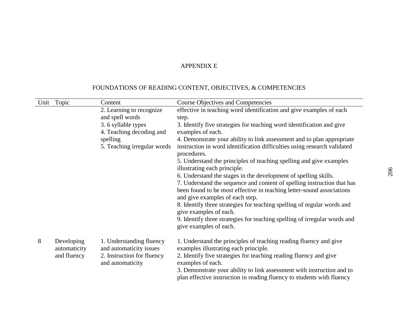| Unit | Topic                      | Content                                             | <b>Course Objectives and Competencies</b>                                                                                                                                           |
|------|----------------------------|-----------------------------------------------------|-------------------------------------------------------------------------------------------------------------------------------------------------------------------------------------|
|      |                            | 2. Learning to recognize                            | effective in teaching word identification and give examples of each                                                                                                                 |
|      |                            | and spell words                                     | step.                                                                                                                                                                               |
|      |                            | 3.6 syllable types                                  | 3. Identify five strategies for teaching word identification and give                                                                                                               |
|      |                            | 4. Teaching decoding and                            | examples of each.                                                                                                                                                                   |
|      |                            | spelling                                            | 4. Demonstrate your ability to link assessment and to plan appropriate                                                                                                              |
|      |                            | 5. Teaching irregular words                         | instruction in word identification difficulties using research validated<br>procedures.                                                                                             |
|      |                            |                                                     | 5. Understand the principles of teaching spelling and give examples<br>illustrating each principle.                                                                                 |
|      |                            |                                                     | 6. Understand the stages in the development of spelling skills.                                                                                                                     |
|      |                            |                                                     | 7. Understand the sequence and content of spelling instruction that has<br>been found to be most effective in teaching letter-sound associations<br>and give examples of each step. |
|      |                            |                                                     | 8. Identify three strategies for teaching spelling of regular words and<br>give examples of each.                                                                                   |
|      |                            |                                                     | 9. Identify three strategies for teaching spelling of irregular words and<br>give examples of each.                                                                                 |
| 8    | Developing<br>automaticity | 1. Understanding fluency<br>and automaticity issues | 1. Understand the principles of teaching reading fluency and give<br>examples illustrating each principle.                                                                          |
|      | and fluency                | 2. Instruction for fluency<br>and automaticity      | 2. Identify five strategies for teaching reading fluency and give<br>examples of each.                                                                                              |
|      |                            |                                                     | 3. Demonstrate your ability to link assessment with instruction and to<br>plan effective instruction in reading fluency to students with fluency                                    |